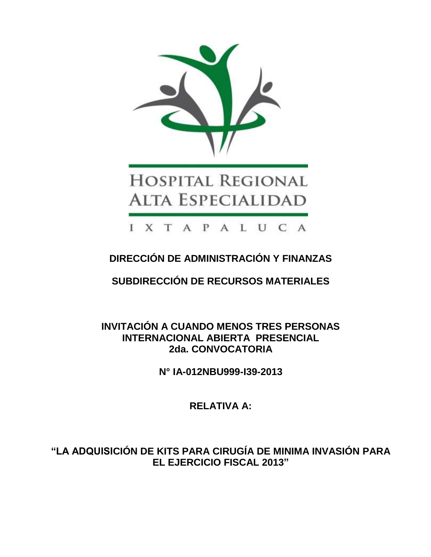

# **DIRECCIÓN DE ADMINISTRACIÓN Y FINANZAS**

**SUBDIRECCIÓN DE RECURSOS MATERIALES**

**INVITACIÓN A CUANDO MENOS TRES PERSONAS INTERNACIONAL ABIERTA PRESENCIAL 2da. CONVOCATORIA**

**N° IA-012NBU999-I39-2013**

**RELATIVA A:**

**"LA ADQUISICIÓN DE KITS PARA CIRUGÍA DE MINIMA INVASIÓN PARA EL EJERCICIO FISCAL 2013"**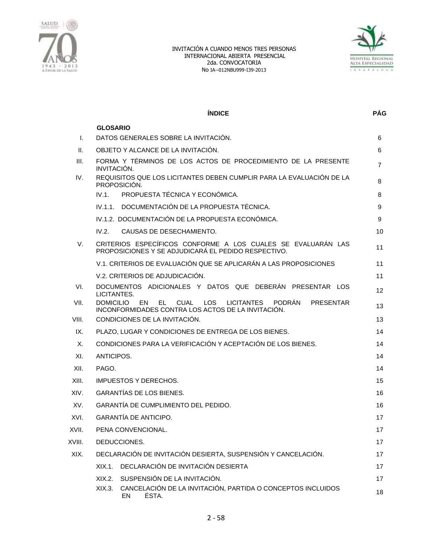



|        | <b>ÍNDICE</b>                                                                                                                                                      | <b>PÁG</b>     |
|--------|--------------------------------------------------------------------------------------------------------------------------------------------------------------------|----------------|
|        | <b>GLOSARIO</b>                                                                                                                                                    |                |
| I.     | DATOS GENERALES SOBRE LA INVITACIÓN.                                                                                                                               | 6              |
| Ш.     | OBJETO Y ALCANCE DE LA INVITACIÓN.                                                                                                                                 | 6              |
| III.   | FORMA Y TÉRMINOS DE LOS ACTOS DE PROCEDIMIENTO DE LA PRESENTE<br>INVITACIÓN.                                                                                       | $\overline{7}$ |
| IV.    | REQUISITOS QUE LOS LICITANTES DEBEN CUMPLIR PARA LA EVALUACIÓN DE LA<br>PROPOSICIÓN.                                                                               | 8              |
|        | PROPUESTA TÉCNICA Y ECONÓMICA.<br>IV.1.                                                                                                                            | 8              |
|        | IV.1.1. DOCUMENTACIÓN DE LA PROPUESTA TÉCNICA.                                                                                                                     | 9              |
|        | IV.1.2. DOCUMENTACIÓN DE LA PROPUESTA ECONÓMICA.                                                                                                                   | 9              |
|        | IV.2.<br>CAUSAS DE DESECHAMIENTO.                                                                                                                                  | 10             |
| V.     | CRITERIOS ESPECÍFICOS CONFORME A LOS CUALES SE EVALUARÁN LAS<br>PROPOSICIONES Y SE ADJUDICARÁ EL PEDIDO RESPECTIVO.                                                | 11             |
|        | V.1. CRITERIOS DE EVALUACIÓN QUE SE APLICARÁN A LAS PROPOSICIONES                                                                                                  | 11             |
|        | V.2. CRITERIOS DE ADJUDICACIÓN.                                                                                                                                    | 11             |
| VI.    | DOCUMENTOS ADICIONALES Y DATOS QUE DEBERÁN PRESENTAR LOS<br>LICITANTES.                                                                                            | 12             |
| VII.   | PODRÁN<br><b>DOMICILIO</b><br>EN<br><b>CUAL</b><br><b>LOS</b><br><b>LICITANTES</b><br>EL<br><b>PRESENTAR</b><br>INCONFORMIDADES CONTRA LOS ACTOS DE LA INVITACIÓN. | 13             |
| VIII.  | CONDICIONES DE LA INVITACIÓN.                                                                                                                                      | 13             |
| IX.    | PLAZO, LUGAR Y CONDICIONES DE ENTREGA DE LOS BIENES.                                                                                                               | 14             |
| Χ.     | CONDICIONES PARA LA VERIFICACIÓN Y ACEPTACIÓN DE LOS BIENES.                                                                                                       | 14             |
| XI.    | ANTICIPOS.                                                                                                                                                         | 14             |
| XII.   | PAGO.                                                                                                                                                              | 14             |
| XIII.  | <b>IMPUESTOS Y DERECHOS.</b>                                                                                                                                       | 15             |
| XIV.   | <b>GARANTÍAS DE LOS BIENES.</b>                                                                                                                                    | 16             |
| XV.    | GARANTÍA DE CUMPLIMIENTO DEL PEDIDO.                                                                                                                               | 16             |
| XVI.   | <b>GARANTÍA DE ANTICIPO.</b>                                                                                                                                       | 17             |
| XVII.  | PENA CONVENCIONAL.                                                                                                                                                 | 17             |
| XVIII. | DEDUCCIONES.                                                                                                                                                       | 17             |
| XIX.   | DECLARACIÓN DE INVITACIÓN DESIERTA, SUSPENSIÓN Y CANCELACIÓN.                                                                                                      | 17             |
|        | DECLARACIÓN DE INVITACIÓN DESIERTA<br>$XIX.1$ .                                                                                                                    | 17             |
|        | SUSPENSIÓN DE LA INVITACIÓN.<br>XIX.2.                                                                                                                             | 17             |
|        | CANCELACIÓN DE LA INVITACIÓN, PARTIDA O CONCEPTOS INCLUIDOS<br>XIX.3.<br>ÉSTA.<br>EN                                                                               | 18             |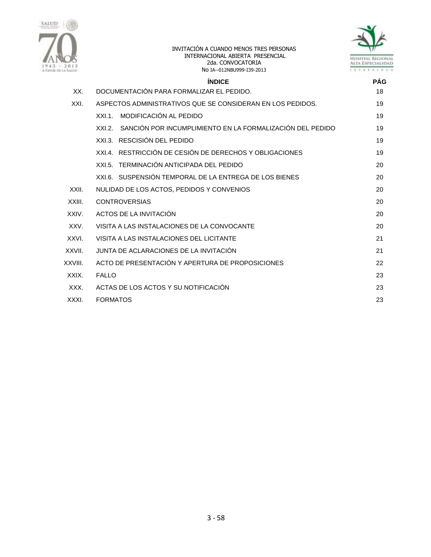



|         | <b>ÍNDICE</b>                                                      | <b>PÁG</b> |
|---------|--------------------------------------------------------------------|------------|
| XX.     | DOCUMENTACIÓN PARA FORMALIZAR EL PEDIDO.                           | 18         |
| XXI.    | ASPECTOS ADMINISTRATIVOS QUE SE CONSIDERAN EN LOS PEDIDOS.         | 19         |
|         | MODIFICACIÓN AL PEDIDO<br>$XXI.1$ .                                | 19         |
|         | SANCIÓN POR INCUMPLIMIENTO EN LA FORMALIZACIÓN DEL PEDIDO<br>XXL2. | 19         |
|         | XXI.3. RESCISIÓN DEL PEDIDO                                        | 19         |
|         | XXI.4. RESTRICCIÓN DE CESIÓN DE DERECHOS Y OBLIGACIONES            | 19         |
|         | XXI.5. TERMINACIÓN ANTICIPADA DEL PEDIDO                           | 20         |
|         | XXL6. SUSPENSIÓN TEMPORAL DE LA ENTREGA DE LOS BIENES              | 20         |
| XXII.   | NULIDAD DE LOS ACTOS, PEDIDOS Y CONVENIOS                          | 20         |
| XXIII.  | <b>CONTROVERSIAS</b>                                               | 20         |
| XXIV.   | ACTOS DE LA INVITACIÓN                                             | 20         |
| XXV.    | VISITA A LAS INSTALACIONES DE LA CONVOCANTE                        | 20         |
| XXVI.   | VISITA A LAS INSTALACIONES DEL LICITANTE                           | 21         |
| XXVII.  | JUNTA DE ACLARACIONES DE LA INVITACIÓN                             | 21         |
| XXVIII. | ACTO DE PRESENTACIÓN Y APERTURA DE PROPOSICIONES                   | 22         |
| XXIX.   | <b>FALLO</b>                                                       | 23         |
| XXX.    | ACTAS DE LOS ACTOS Y SU NOTIFICACIÓN                               | 23         |
| XXXI.   | <b>FORMATOS</b>                                                    | 23         |
|         |                                                                    |            |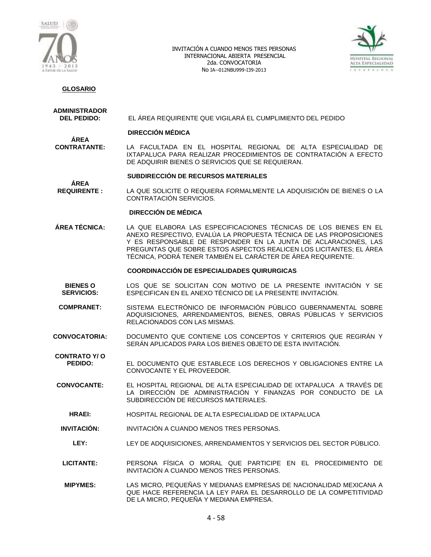



# **GLOSARIO**

# **ADMINISTRADOR**

**ÁREA** 

**DEL PEDIDO:** EL ÁREA REQUIRENTE QUE VIGILARÁ EL CUMPLIMIENTO DEL PEDIDO

#### **DIRECCIÓN MÉDICA**

**ÁREA<br>CONTRATANTE:** LA FACULTADA EN EL HOSPITAL REGIONAL DE ALTA ESPECIALIDAD DE IXTAPALUCA PARA REALIZAR PROCEDIMIENTOS DE CONTRATACIÓN A EFECTO DE ADQUIRIR BIENES O SERVICIOS QUE SE REQUIERAN.

#### **SUBDIRECCIÓN DE RECURSOS MATERIALES**

**REQUIRENTE :** LA QUE SOLICITE O REQUIERA FORMALMENTE LA ADQUISICIÓN DE BIENES O LA CONTRATACIÓN SERVICIOS.

### **DIRECCIÓN DE MÉDICA**

**ÁREA TÉCNICA:** LA QUE ELABORA LAS ESPECIFICACIONES TÉCNICAS DE LOS BIENES EN EL ANEXO RESPECTIVO, EVALÚA LA PROPUESTA TÉCNICA DE LAS PROPOSICIONES Y ES RESPONSABLE DE RESPONDER EN LA JUNTA DE ACLARACIONES, LAS PREGUNTAS QUE SOBRE ESTOS ASPECTOS REALICEN LOS LICITANTES; EL ÁREA TÉCNICA, PODRÁ TENER TAMBIÉN EL CARÁCTER DE ÁREA REQUIRENTE.

#### **COORDINACCIÓN DE ESPECIALIDADES QUIRURGICAS**

- **BIENES O SERVICIOS:** LOS QUE SE SOLICITAN CON MOTIVO DE LA PRESENTE INVITACIÓN Y SE ESPECIFICAN EN EL ANEXO TÉCNICO DE LA PRESENTE INVITACIÓN.
- **COMPRANET:** SISTEMA ELECTRÓNICO DE INFORMACIÓN PÚBLICO GUBERNAMENTAL SOBRE ADQUISICIONES, ARRENDAMIENTOS, BIENES, OBRAS PÚBLICAS Y SERVICIOS RELACIONADOS CON LAS MISMAS.
- **CONVOCATORIA:** DOCUMENTO QUE CONTIENE LOS CONCEPTOS Y CRITERIOS QUE REGIRÁN Y SERÁN APLICADOS PARA LOS BIENES OBJETO DE ESTA INVITACIÓN.

**CONTRATO Y/ O PEDIDO:** EL DOCUMENTO QUE ESTABLECE LOS DERECHOS Y OBLIGACIONES ENTRE LA CONVOCANTE Y EL PROVEEDOR.

- **CONVOCANTE:** EL HOSPITAL REGIONAL DE ALTA ESPECIALIDAD DE IXTAPALUCA A TRAVÉS DE LA DIRECCIÓN DE ADMINISTRACIÓN Y FINANZAS POR CONDUCTO DE LA SUBDIRECCIÓN DE RECURSOS MATERIALES.
	- **HRAEI:** HOSPITAL REGIONAL DE ALTA ESPECIALIDAD DE IXTAPALUCA
- **INVITACIÓN:** INVITACIÓN A CUANDO MENOS TRES PERSONAS.
	- **LEY:** LEY DE ADQUISICIONES, ARRENDAMIENTOS Y SERVICIOS DEL SECTOR PÚBLICO.
- **LICITANTE:** PERSONA FÍSICA O MORAL QUE PARTICIPE EN EL PROCEDIMIENTO DE INVITACIÓN A CUANDO MENOS TRES PERSONAS.
- **MIPYMES:** LAS MICRO, PEQUEÑAS Y MEDIANAS EMPRESAS DE NACIONALIDAD MEXICANA A QUE HACE REFERENCIA LA LEY PARA EL DESARROLLO DE LA COMPETITIVIDAD DE LA MICRO, PEQUEÑA Y MEDIANA EMPRESA.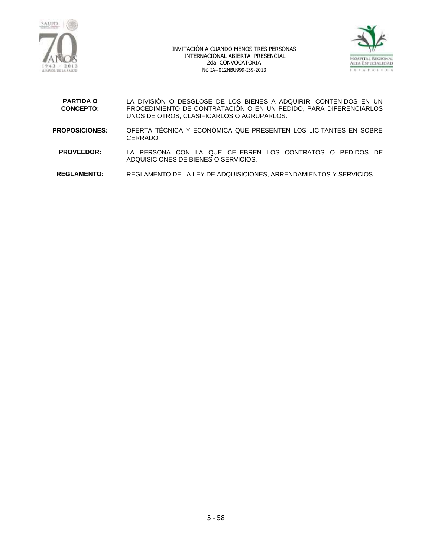



| <b>PARTIDA O</b><br><b>CONCEPTO:</b> | LA DIVISIÓN O DESGLOSE DE LOS BIENES A ADQUIRIR, CONTENIDOS EN UN<br>PROCEDIMIENTO DE CONTRATACIÓN O EN UN PEDIDO, PARA DIFERENCIARLOS<br>UNOS DE OTROS, CLASIFICARLOS O AGRUPARLOS. |
|--------------------------------------|--------------------------------------------------------------------------------------------------------------------------------------------------------------------------------------|
| <b>PROPOSICIONES:</b>                | OFERTA TÉCNICA Y ECONÓMICA QUE PRESENTEN LOS LICITANTES EN SOBRE<br>CERRADO.                                                                                                         |
| <b>PROVEEDOR:</b>                    | LA PERSONA CON LA QUE CELEBREN LOS CONTRATOS O PEDIDOS DE<br>ADQUISICIONES DE BIENES O SERVICIOS.                                                                                    |
| <b>REGLAMENTO:</b>                   | REGLAMENTO DE LA LEY DE ADQUISICIONES, ARRENDAMIENTOS Y SERVICIOS.                                                                                                                   |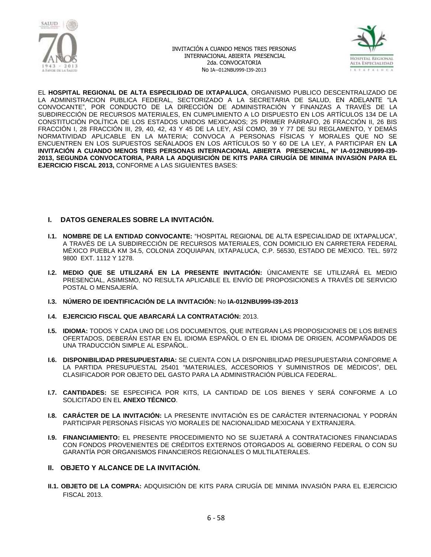



EL **HOSPITAL REGIONAL DE ALTA ESPECILIDAD DE IXTAPALUCA**, ORGANISMO PUBLICO DESCENTRALIZADO DE LA ADMINISTRACION PUBLICA FEDERAL, SECTORIZADO A LA SECRETARIA DE SALUD, EN ADELANTE "LA CONVOCANTE", POR CONDUCTO DE LA DIRECCIÓN DE ADMINISTRACIÓN Y FINANZAS A TRAVÉS DE LA SUBDIRECCIÓN DE RECURSOS MATERIALES, EN CUMPLIMIENTO A LO DISPUESTO EN LOS ARTÍCULOS 134 DE LA CONSTITUCIÓN POLÍTICA DE LOS ESTADOS UNIDOS MEXICANOS; 25 PRIMER PÁRRAFO, 26 FRACCIÓN II, 26 BIS FRACCIÓN I, 28 FRACCIÓN III, 29, 40, 42, 43 Y 45 DE LA LEY, ASÍ COMO, 39 Y 77 DE SU REGLAMENTO, Y DEMÁS NORMATIVIDAD APLICABLE EN LA MATERIA; CONVOCA A PERSONAS FÍSICAS Y MORALES QUE NO SE ENCUENTREN EN LOS SUPUESTOS SEÑALADOS EN LOS ARTÍCULOS 50 Y 60 DE LA LEY, A PARTICIPAR EN **LA INVITACIÓN A CUANDO MENOS TRES PERSONAS INTERNACIONAL ABIERTA PRESENCIAL, N° IA-012NBU999-I39- 2013, SEGUNDA CONVOCATORIA, PARA LA ADQUISICIÓN DE KITS PARA CIRUGÍA DE MINIMA INVASIÓN PARA EL EJERCICIO FISCAL 2013,** CONFORME A LAS SIGUIENTES BASES:

### **I. DATOS GENERALES SOBRE LA INVITACIÓN.**

- **I.1. NOMBRE DE LA ENTIDAD CONVOCANTE:** "HOSPITAL REGIONAL DE ALTA ESPECIALIDAD DE IXTAPALUCA", A TRAVÉS DE LA SUBDIRECCIÓN DE RECURSOS MATERIALES, CON DOMICILIO EN CARRETERA FEDERAL MÉXICO PUEBLA KM 34.5, COLONIA ZOQUIAPAN, IXTAPALUCA, C.P. 56530, ESTADO DE MÉXICO. TEL. 5972 9800 EXT. 1112 Y 1278.
- **I.2. MEDIO QUE SE UTILIZARÁ EN LA PRESENTE INVITACIÓN:** ÚNICAMENTE SE UTILIZARÁ EL MEDIO PRESENCIAL, ASIMISMO, NO RESULTA APLICABLE EL ENVÍO DE PROPOSICIONES A TRAVÉS DE SERVICIO POSTAL O MENSAJERÍA.
- **I.3. NÚMERO DE IDENTIFICACIÓN DE LA INVITACIÓN:** No **IA-012NBU999-I39-2013**
- **I.4. EJERCICIO FISCAL QUE ABARCARÁ LA CONTRATACIÓN:** 2013.
- **I.5. IDIOMA:** TODOS Y CADA UNO DE LOS DOCUMENTOS, QUE INTEGRAN LAS PROPOSICIONES DE LOS BIENES OFERTADOS, DEBERÁN ESTAR EN EL IDIOMA ESPAÑOL O EN EL IDIOMA DE ORIGEN, ACOMPAÑADOS DE UNA TRADUCCIÓN SIMPLE AL ESPAÑOL.
- **I.6. DISPONIBILIDAD PRESUPUESTARIA:** SE CUENTA CON LA DISPONIBILIDAD PRESUPUESTARIA CONFORME A LA PARTIDA PRESUPUESTAL 25401 "MATERIALES, ACCESORIOS Y SUMINISTROS DE MÉDICOS", DEL CLASIFICADOR POR OBJETO DEL GASTO PARA LA ADMINISTRACIÓN PÚBLICA FEDERAL.
- **I.7. CANTIDADES:** SE ESPECIFICA POR KITS, LA CANTIDAD DE LOS BIENES Y SERÁ CONFORME A LO SOLICITADO EN EL **ANEXO TÉCNICO**.
- **I.8. CARÁCTER DE LA INVITACIÓN:** LA PRESENTE INVITACIÓN ES DE CARÁCTER INTERNACIONAL Y PODRÁN PARTICIPAR PERSONAS FÍSICAS Y/O MORALES DE NACIONALIDAD MEXICANA Y EXTRANJERA.
- **I.9. FINANCIAMIENTO:** EL PRESENTE PROCEDIMIENTO NO SE SUJETARÁ A CONTRATACIONES FINANCIADAS CON FONDOS PROVENIENTES DE CRÉDITOS EXTERNOS OTORGADOS AL GOBIERNO FEDERAL O CON SU GARANTÍA POR ORGANISMOS FINANCIEROS REGIONALES O MULTILATERALES.
- **II. OBJETO Y ALCANCE DE LA INVITACIÓN.**
- **II.1. OBJETO DE LA COMPRA:** ADQUISICIÓN DE KITS PARA CIRUGÍA DE MINIMA INVASIÓN PARA EL EJERCICIO FISCAL 2013.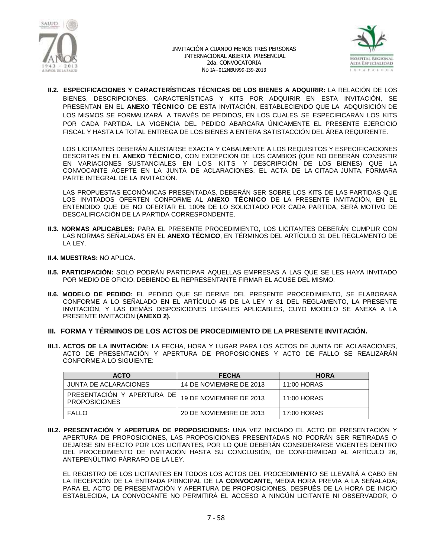



**II.2. ESPECIFICACIONES Y CARACTERÍSTICAS TÉCNICAS DE LOS BIENES A ADQUIRIR:** LA RELACIÓN DE LOS BIENES, DESCRIPCIONES, CARACTERÍSTICAS Y KITS POR ADQUIRIR EN ESTA INVITACIÓN, SE PRESENTAN EN EL **ANEXO TÉCNICO** DE ESTA INVITACIÓN, ESTABLECIENDO QUE LA ADQUISICIÓN DE LOS MISMOS SE FORMALIZARÁ A TRAVÉS DE PEDIDOS, EN LOS CUALES SE ESPECIFICARÁN LOS KITS POR CADA PARTIDA. LA VIGENCIA DEL PEDIDO ABARCARA ÚNICAMENTE EL PRESENTE EJERCICIO FISCAL Y HASTA LA TOTAL ENTREGA DE LOS BIENES A ENTERA SATISTACCIÓN DEL ÁREA REQUIRENTE.

LOS LICITANTES DEBERÁN AJUSTARSE EXACTA Y CABALMENTE A LOS REQUISITOS Y ESPECIFICACIONES DESCRITAS EN EL **ANEXO TÉCNICO**, CON EXCEPCIÓN DE LOS CAMBIOS (QUE NO DEBERÁN CONSISTIR EN VARIACIONES SUSTANCIALES EN LOS KITS Y DESCRIPCIÓN DE LOS BIENES) QUE LA CONVOCANTE ACEPTE EN LA JUNTA DE ACLARACIONES. EL ACTA DE LA CITADA JUNTA, FORMARA PARTE INTEGRAL DE LA INVITACIÓN.

LAS PROPUESTAS ECONÓMICAS PRESENTADAS, DEBERÁN SER SOBRE LOS KITS DE LAS PARTIDAS QUE LOS INVITADOS OFERTEN CONFORME AL **ANEXO TÉCNICO** DE LA PRESENTE INVITACIÓN, EN EL ENTENDIDO QUE DE NO OFERTAR EL 100% DE LO SOLICITADO POR CADA PARTIDA, SERÁ MOTIVO DE DESCALIFICACIÓN DE LA PARTIDA CORRESPONDENTE.

- **II.3. NORMAS APLICABLES:** PARA EL PRESENTE PROCEDIMIENTO, LOS LICITANTES DEBERÁN CUMPLIR CON LAS NORMAS SEÑALADAS EN EL **ANEXO TÉCNICO**, EN TÉRMINOS DEL ARTÍCULO 31 DEL REGLAMENTO DE LA LEY.
- **II.4. MUESTRAS:** NO APLICA.
- **II.5. PARTICIPACIÓN:** SOLO PODRÁN PARTICIPAR AQUELLAS EMPRESAS A LAS QUE SE LES HAYA INVITADO POR MEDIO DE OFICIO, DEBIENDO EL REPRESENTANTE FIRMAR EL ACUSE DEL MISMO.
- **II.6. MODELO DE PEDIDO:** EL PEDIDO QUE SE DERIVE DEL PRESENTE PROCEDIMIENTO, SE ELABORARÁ CONFORME A LO SEÑALADO EN EL ARTÍCULO 45 DE LA LEY Y 81 DEL REGLAMENTO, LA PRESENTE INVITACIÓN, Y LAS DEMÁS DISPOSICIONES LEGALES APLICABLES, CUYO MODELO SE ANEXA A LA PRESENTE INVITACIÓN **(ANEXO 2).**
- **III. FORMA Y TÉRMINOS DE LOS ACTOS DE PROCEDIMIENTO DE LA PRESENTE INVITACIÓN.**
- **III.1. ACTOS DE LA INVITACIÓN:** LA FECHA, HORA Y LUGAR PARA LOS ACTOS DE JUNTA DE ACLARACIONES, ACTO DE PRESENTACIÓN Y APERTURA DE PROPOSICIONES Y ACTO DE FALLO SE REALIZARÁN CONFORME A LO SIGUIENTE:

| <b>ACTO</b>                                        | <b>FECHA</b>            | <b>HORA</b>   |
|----------------------------------------------------|-------------------------|---------------|
| JUNTA DE ACLARACIONES                              | 14 DE NOVIEMBRE DE 2013 | 11:00 HORAS   |
| PRESENTACIÓN Y APERTURA DE<br><b>PROPOSICIONES</b> | 19 DE NOVIEMBRE DE 2013 | $11:00$ HORAS |
| FALLO                                              | 20 DE NOVIEMBRE DE 2013 | 17:00 HORAS   |

**III.2. PRESENTACIÓN Y APERTURA DE PROPOSICIONES:** UNA VEZ INICIADO EL ACTO DE PRESENTACIÓN Y APERTURA DE PROPOSICIONES, LAS PROPOSICIONES PRESENTADAS NO PODRÁN SER RETIRADAS O DEJARSE SIN EFECTO POR LOS LICITANTES, POR LO QUE DEBERÁN CONSIDERARSE VIGENTES DENTRO DEL PROCEDIMIENTO DE INVITACIÓN HASTA SU CONCLUSIÓN, DE CONFORMIDAD AL ARTÍCULO 26, ANTEPENÚLTIMO PÁRRAFO DE LA LEY.

EL REGISTRO DE LOS LICITANTES EN TODOS LOS ACTOS DEL PROCEDIMIENTO SE LLEVARÁ A CABO EN LA RECEPCIÓN DE LA ENTRADA PRINCIPAL DE LA **CONVOCANTE**, MEDIA HORA PREVIA A LA SEÑALADA; PARA EL ACTO DE PRESENTACIÓN Y APERTURA DE PROPOSICIONES. DESPUÉS DE LA HORA DE INICIO ESTABLECIDA, LA CONVOCANTE NO PERMITIRÁ EL ACCESO A NINGÚN LICITANTE NI OBSERVADOR, O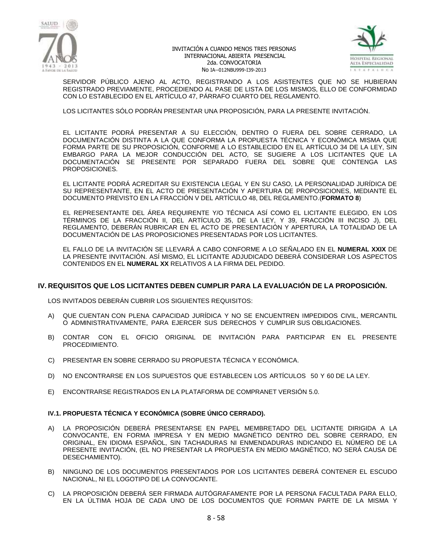



SERVIDOR PÚBLICO AJENO AL ACTO, REGISTRANDO A LOS ASISTENTES QUE NO SE HUBIERAN REGISTRADO PREVIAMENTE, PROCEDIENDO AL PASE DE LISTA DE LOS MISMOS, ELLO DE CONFORMIDAD CON LO ESTABLECIDO EN EL ARTÍCULO 47, PÁRRAFO CUARTO DEL REGLAMENTO.

LOS LICITANTES SÓLO PODRÁN PRESENTAR UNA PROPOSICIÓN, PARA LA PRESENTE INVITACIÓN.

EL LICITANTE PODRÁ PRESENTAR A SU ELECCIÓN, DENTRO O FUERA DEL SOBRE CERRADO, LA DOCUMENTACIÓN DISTINTA A LA QUE CONFORMA LA PROPUESTA TÉCNICA Y ECONÓMICA MISMA QUE FORMA PARTE DE SU PROPOSICIÓN, CONFORME A LO ESTABLECIDO EN EL ARTÍCULO 34 DE LA LEY, SIN EMBARGO PARA LA MEJOR CONDUCCIÓN DEL ACTO, SE SUGIERE A LOS LICITANTES QUE LA DOCUMENTACIÓN SE PRESENTE POR SEPARADO FUERA DEL SOBRE QUE CONTENGA LAS PROPOSICIONES.

EL LICITANTE PODRÁ ACREDITAR SU EXISTENCIA LEGAL Y EN SU CASO, LA PERSONALIDAD JURÍDICA DE SU REPRESENTANTE, EN EL ACTO DE PRESENTACIÓN Y APERTURA DE PROPOSICIONES, MEDIANTE EL DOCUMENTO PREVISTO EN LA FRACCIÓN V DEL ARTÍCULO 48, DEL REGLAMENTO.(**FORMATO 8**)

EL REPRESENTANTE DEL ÁREA REQUIRENTE Y/O TÉCNICA ASÍ COMO EL LICITANTE ELEGIDO, EN LOS TÉRMINOS DE LA FRACCIÓN II, DEL ARTÍCULO 35, DE LA LEY, Y 39, FRACCIÓN III INCISO J), DEL REGLAMENTO, DEBERÁN RUBRICAR EN EL ACTO DE PRESENTACIÓN Y APERTURA, LA TOTALIDAD DE LA DOCUMENTACIÓN DE LAS PROPOSICIONES PRESENTADAS POR LOS LICITANTES.

EL FALLO DE LA INVITACIÓN SE LLEVARÁ A CABO CONFORME A LO SEÑALADO EN EL **NUMERAL XXIX** DE LA PRESENTE INVITACIÓN. ASÍ MISMO, EL LICITANTE ADJUDICADO DEBERÁ CONSIDERAR LOS ASPECTOS CONTENIDOS EN EL **NUMERAL XX** RELATIVOS A LA FIRMA DEL PEDIDO.

### **IV. REQUISITOS QUE LOS LICITANTES DEBEN CUMPLIR PARA LA EVALUACIÓN DE LA PROPOSICIÓN.**

LOS INVITADOS DEBERÁN CUBRIR LOS SIGUIENTES REQUISITOS:

- A) QUE CUENTAN CON PLENA CAPACIDAD JURÍDICA Y NO SE ENCUENTREN IMPEDIDOS CIVIL, MERCANTIL O ADMINISTRATIVAMENTE, PARA EJERCER SUS DERECHOS Y CUMPLIR SUS OBLIGACIONES.
- B) CONTAR CON EL OFICIO ORIGINAL DE INVITACIÓN PARA PARTICIPAR EN EL PRESENTE PROCEDIMIENTO.
- C) PRESENTAR EN SOBRE CERRADO SU PROPUESTA TÉCNICA Y ECONÓMICA.
- D) NO ENCONTRARSE EN LOS SUPUESTOS QUE ESTABLECEN LOS ARTÍCULOS 50 Y 60 DE LA LEY.
- E) ENCONTRARSE REGISTRADOS EN LA PLATAFORMA DE COMPRANET VERSIÓN 5.0.

#### **IV.1. PROPUESTA TÉCNICA Y ECONÓMICA (SOBRE ÚNICO CERRADO).**

- A) LA PROPOSICIÓN DEBERÁ PRESENTARSE EN PAPEL MEMBRETADO DEL LICITANTE DIRIGIDA A LA CONVOCANTE, EN FORMA IMPRESA Y EN MEDIO MAGNÉTICO DENTRO DEL SOBRE CERRADO, EN ORIGINAL, EN IDIOMA ESPAÑOL, SIN TACHADURAS NI ENMENDADURAS INDICANDO EL NÚMERO DE LA PRESENTE INVITACIÓN, (EL NO PRESENTAR LA PROPUESTA EN MEDIO MAGNÉTICO, NO SERÁ CAUSA DE DESECHAMIENTO).
- B) NINGUNO DE LOS DOCUMENTOS PRESENTADOS POR LOS LICITANTES DEBERÁ CONTENER EL ESCUDO NACIONAL, NI EL LOGOTIPO DE LA CONVOCANTE.
- C) LA PROPOSICIÓN DEBERÁ SER FIRMADA AUTÓGRAFAMENTE POR LA PERSONA FACULTADA PARA ELLO, EN LA ÚLTIMA HOJA DE CADA UNO DE LOS DOCUMENTOS QUE FORMAN PARTE DE LA MISMA Y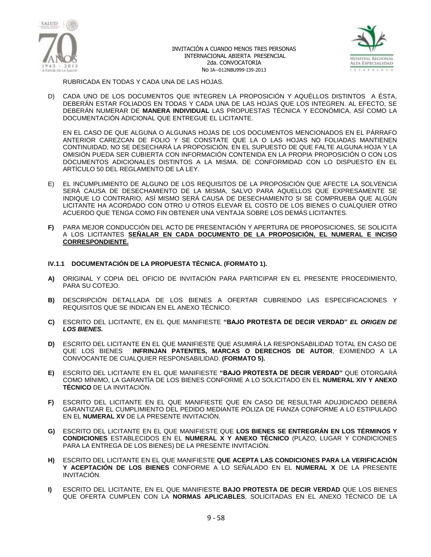



RUBRICADA EN TODAS Y CADA UNA DE LAS HOJAS.

D) CADA UNO DE LOS DOCUMENTOS QUE INTEGREN LA PROPOSICIÓN Y AQUÉLLOS DISTINTOS A ÉSTA, DEBERÁN ESTAR FOLIADOS EN TODAS Y CADA UNA DE LAS HOJAS QUE LOS INTEGREN. AL EFECTO, SE DEBERÁN NUMERAR DE **MANERA INDIVIDUAL** LAS PROPUESTAS TÉCNICA Y ECONÓMICA, ASÍ COMO LA DOCUMENTACIÓN ADICIONAL QUE ENTREGUE EL LICITANTE.

EN EL CASO DE QUE ALGUNA O ALGUNAS HOJAS DE LOS DOCUMENTOS MENCIONADOS EN EL PÁRRAFO ANTERIOR CAREZCAN DE FOLIO Y SE CONSTATE QUE LA O LAS HOJAS NO FOLIADAS MANTIENEN CONTINUIDAD, NO SE DESECHARÁ LA PROPOSICIÓN. EN EL SUPUESTO DE QUE FALTE ALGUNA HOJA Y LA OMISIÓN PUEDA SER CUBIERTA CON INFORMACIÓN CONTENIDA EN LA PROPIA PROPOSICIÓN O CON LOS DOCUMENTOS ADICIONALES DISTINTOS A LA MISMA. DE CONFORMIDAD CON LO DISPUESTO EN EL ARTÍCULO 50 DEL REGLAMENTO DE LA LEY.

- E) EL INCUMPLIMIENTO DE ALGUNO DE LOS REQUISITOS DE LA PROPOSICIÓN QUE AFECTE LA SOLVENCIA SERÁ CAUSA DE DESECHAMIENTO DE LA MISMA, SALVO PARA AQUELLOS QUE EXPRESAMENTE SE INDIQUE LO CONTRARIO, ASÍ MISMO SERÁ CAUSA DE DESECHAMIENTO SI SE COMPRUEBA QUE ALGÚN LICITANTE HA ACORDADO CON OTRO U OTROS ELEVAR EL COSTO DE LOS BIENES O CUALQUIER OTRO ACUERDO QUE TENGA COMO FIN OBTENER UNA VENTAJA SOBRE LOS DEMÁS LICITANTES.
- **F)** PARA MEJOR CONDUCCIÓN DEL ACTO DE PRESENTACIÓN Y APERTURA DE PROPOSICIONES, SE SOLICITA A LOS LICITANTES **SEÑALAR EN CADA DOCUMENTO DE LA PROPOSICIÓN, EL NUMERAL E INCISO CORRESPONDIENTE.**

#### **IV.1.1 DOCUMENTACIÓN DE LA PROPUESTA TÉCNICA. (FORMATO 1).**

- **A)** ORIGINAL Y COPIA DEL OFICIO DE INVITACIÓN PARA PARTICIPAR EN EL PRESENTE PROCEDIMIENTO, PARA SU COTEJO.
- **B)** DESCRIPCIÓN DETALLADA DE LOS BIENES A OFERTAR CUBRIENDO LAS ESPECIFICACIONES Y REQUISITOS QUE SE INDICAN EN EL ANEXO TÉCNICO.
- **C)** ESCRITO DEL LICITANTE, EN EL QUE MANIFIESTE **"BAJO PROTESTA DE DECIR VERDAD"** *EL ORIGEN DE LOS BIENES.*
- **D)** ESCRITO DEL LICITANTE EN EL QUE MANIFIESTE QUE ASUMIRÁ LA RESPONSABILIDAD TOTAL EN CASO DE QUE LOS BIENES **INFRINJAN PATENTES, MARCAS O DERECHOS DE AUTOR**, EXIMIENDO A LA CONVOCANTE DE CUALQUIER RESPONSABILIDAD. **(FORMATO 5).**
- **E)** ESCRITO DEL LICITANTE EN EL QUE MANIFIESTE **"BAJO PROTESTA DE DECIR VERDAD"** QUE OTORGARÁ COMO MÍNIMO, LA GARANTÍA DE LOS BIENES CONFORME A LO SOLICITADO EN EL **NUMERAL XIV Y ANEXO TÉCNICO** DE LA INVITACIÓN.
- **F)** ESCRITO DEL LICITANTE EN EL QUE MANIFIESTE QUE EN CASO DE RESULTAR ADUJIDICADO DEBERÁ GARANTIZAR EL CUMPLIMIENTO DEL PEDIDO MEDIANTE PÓLIZA DE FIANZA CONFORME A LO ESTIPULADO EN EL **NUMERAL XV** DE LA PRESENTE INVITACIÓN.
- **G)** ESCRITO DEL LICITANTE EN EL QUE MANIFIESTE QUE **LOS BIENES SE ENTREGRÁN EN LOS TÉRMINOS Y CONDICIONES** ESTABLECIDOS EN EL **NUMERAL X Y ANEXO TÉCNICO** (PLAZO, LUGAR Y CONDICIONES PARA LA ENTREGA DE LOS BIENES) DE LA PRESENTE INVITACIÓN.
- **H)** ESCRITO DEL LICITANTE EN EL QUE MANIFIESTE **QUE ACEPTA LAS CONDICIONES PARA LA VERIFICACIÓN Y ACEPTACIÓN DE LOS BIENES** CONFORME A LO SEÑALADO EN EL **NUMERAL X** DE LA PRESENTE INVITACIÓN.
- **I)** ESCRITO DEL LICITANTE, EN EL QUE MANIFIESTE **BAJO PROTESTA DE DECIR VERDAD** QUE LOS BIENES QUE OFERTA CUMPLEN CON LA **NORMAS APLICABLES**, SOLICITADAS EN EL ANEXO TÉCNICO DE LA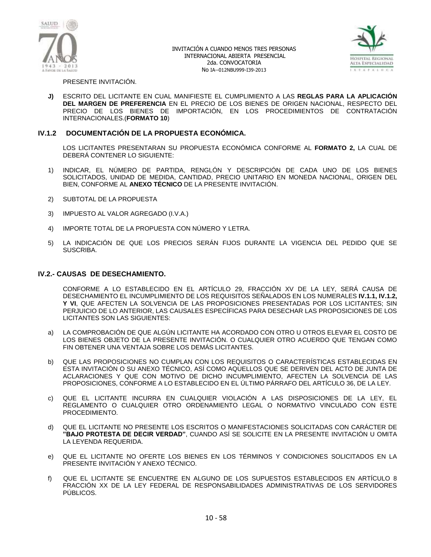



PRESENTE INVITACIÓN.

**J)** ESCRITO DEL LICITANTE EN CUAL MANIFIESTE EL CUMPLIMIENTO A LAS **REGLAS PARA LA APLICACIÓN DEL MARGEN DE PREFERENCIA** EN EL PRECIO DE LOS BIENES DE ORIGEN NACIONAL, RESPECTO DEL PRECIO DE LOS BIENES DE IMPORTACIÓN, EN LOS PROCEDIMIENTOS DE CONTRATACIÓN INTERNACIONALES.(**FORMATO 10**)

### **IV.1.2 DOCUMENTACIÓN DE LA PROPUESTA ECONÓMICA.**

LOS LICITANTES PRESENTARAN SU PROPUESTA ECONÓMICA CONFORME AL **FORMATO 2,** LA CUAL DE DEBERÁ CONTENER LO SIGUIENTE:

- 1) INDICAR, EL NÚMERO DE PARTIDA, RENGLÓN Y DESCRIPCIÓN DE CADA UNO DE LOS BIENES SOLICITADOS, UNIDAD DE MEDIDA, CANTIDAD, PRECIO UNITARIO EN MONEDA NACIONAL, ORIGEN DEL BIEN, CONFORME AL **ANEXO TÉCNICO** DE LA PRESENTE INVITACIÓN.
- 2) SUBTOTAL DE LA PROPUESTA
- 3) IMPUESTO AL VALOR AGREGADO (I.V.A.)
- 4) IMPORTE TOTAL DE LA PROPUESTA CON NÚMERO Y LETRA.
- 5) LA INDICACIÓN DE QUE LOS PRECIOS SERÁN FIJOS DURANTE LA VIGENCIA DEL PEDIDO QUE SE SUSCRIBA.

#### **IV.2.- CAUSAS DE DESECHAMIENTO.**

CONFORME A LO ESTABLECIDO EN EL ARTÍCULO 29, FRACCIÓN XV DE LA LEY, SERÁ CAUSA DE DESECHAMIENTO EL INCUMPLIMIENTO DE LOS REQUISITOS SEÑALADOS EN LOS NUMERALES **IV.1.1, IV.1.2, Y VI**, QUE AFECTEN LA SOLVENCIA DE LAS PROPOSICIONES PRESENTADAS POR LOS LICITANTES; SIN PERJUICIO DE LO ANTERIOR, LAS CAUSALES ESPECÍFICAS PARA DESECHAR LAS PROPOSICIONES DE LOS LICITANTES SON LAS SIGUIENTES:

- a) LA COMPROBACIÓN DE QUE ALGÚN LICITANTE HA ACORDADO CON OTRO U OTROS ELEVAR EL COSTO DE LOS BIENES OBJETO DE LA PRESENTE INVITACIÓN. O CUALQUIER OTRO ACUERDO QUE TENGAN COMO FIN OBTENER UNA VENTAJA SOBRE LOS DEMÁS LICITANTES.
- b) QUE LAS PROPOSICIONES NO CUMPLAN CON LOS REQUISITOS O CARACTERÍSTICAS ESTABLECIDAS EN ESTA INVITACIÓN O SU ANEXO TÉCNICO, ASÍ COMO AQUELLOS QUE SE DERIVEN DEL ACTO DE JUNTA DE ACLARACIONES Y QUE CON MOTIVO DE DICHO INCUMPLIMIENTO, AFECTEN LA SOLVENCIA DE LAS PROPOSICIONES, CONFORME A LO ESTABLECIDO EN EL ÚLTIMO PÁRRAFO DEL ARTÍCULO 36, DE LA LEY.
- c) QUE EL LICITANTE INCURRA EN CUALQUIER VIOLACIÓN A LAS DISPOSICIONES DE LA LEY, EL REGLAMENTO O CUALQUIER OTRO ORDENAMIENTO LEGAL O NORMATIVO VINCULADO CON ESTE PROCEDIMIENTO.
- d) QUE EL LICITANTE NO PRESENTE LOS ESCRITOS O MANIFESTACIONES SOLICITADAS CON CARÁCTER DE **"BAJO PROTESTA DE DECIR VERDAD"**, CUANDO ASÍ SE SOLICITE EN LA PRESENTE INVITACIÓN U OMITA LA LEYENDA REQUERIDA.
- e) QUE EL LICITANTE NO OFERTE LOS BIENES EN LOS TÉRMINOS Y CONDICIONES SOLICITADOS EN LA PRESENTE INVITACIÓN Y ANEXO TÉCNICO.
- f) QUE EL LICITANTE SE ENCUENTRE EN ALGUNO DE LOS SUPUESTOS ESTABLECIDOS EN ARTÍCULO 8 FRACCIÓN XX DE LA LEY FEDERAL DE RESPONSABILIDADES ADMINISTRATIVAS DE LOS SERVIDORES PÚBLICOS.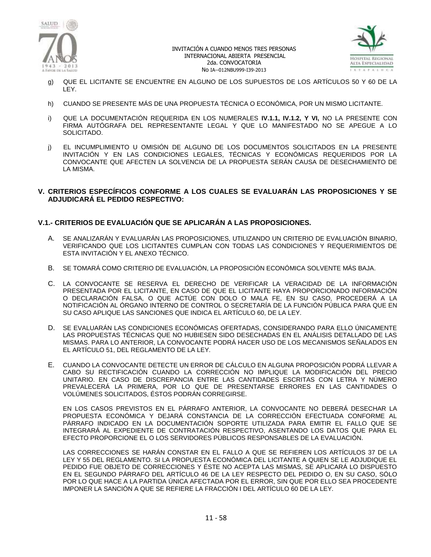



- g) QUE EL LICITANTE SE ENCUENTRE EN ALGUNO DE LOS SUPUESTOS DE LOS ARTÍCULOS 50 Y 60 DE LA LEY.
- h) CUANDO SE PRESENTE MÁS DE UNA PROPUESTA TÉCNICA O ECONÓMICA, POR UN MISMO LICITANTE.
- i) QUE LA DOCUMENTACIÓN REQUERIDA EN LOS NUMERALES **IV.1.1, IV.1.2, Y VI,** NO LA PRESENTE CON FIRMA AUTÓGRAFA DEL REPRESENTANTE LEGAL Y QUE LO MANIFESTADO NO SE APEGUE A LO SOLICITADO.
- j) EL INCUMPLIMIENTO U OMISIÓN DE ALGUNO DE LOS DOCUMENTOS SOLICITADOS EN LA PRESENTE INVITACIÓN Y EN LAS CONDICIONES LEGALES, TÉCNICAS Y ECONÓMICAS REQUERIDOS POR LA CONVOCANTE QUE AFECTEN LA SOLVENCIA DE LA PROPUESTA SERÁN CAUSA DE DESECHAMIENTO DE LA MISMA.

### **V. CRITERIOS ESPECÍFICOS CONFORME A LOS CUALES SE EVALUARÁN LAS PROPOSICIONES Y SE ADJUDICARÁ EL PEDIDO RESPECTIVO:**

# **V.1.- CRITERIOS DE EVALUACIÓN QUE SE APLICARÁN A LAS PROPOSICIONES.**

- A. SE ANALIZARÁN Y EVALUARÁN LAS PROPOSICIONES, UTILIZANDO UN CRITERIO DE EVALUACIÓN BINARIO, VERIFICANDO QUE LOS LICITANTES CUMPLAN CON TODAS LAS CONDICIONES Y REQUERIMIENTOS DE ESTA INVITACIÓN Y EL ANEXO TÉCNICO.
- B. SE TOMARÁ COMO CRITERIO DE EVALUACIÓN, LA PROPOSICIÓN ECONÓMICA SOLVENTE MÁS BAJA.
- C. LA CONVOCANTE SE RESERVA EL DERECHO DE VERIFICAR LA VERACIDAD DE LA INFORMACIÓN PRESENTADA POR EL LICITANTE, EN CASO DE QUE EL LICITANTE HAYA PROPORCIONADO INFORMACIÓN O DECLARACIÓN FALSA, O QUE ACTÚE CON DOLO O MALA FE, EN SU CASO, PROCEDERÁ A LA NOTIFICACIÓN AL ÓRGANO INTERNO DE CONTROL O SECRETARÍA DE LA FUNCIÓN PÚBLICA PARA QUE EN SU CASO APLIQUE LAS SANCIONES QUE INDICA EL ARTÍCULO 60, DE LA LEY.
- D. SE EVALUARÁN LAS CONDICIONES ECONÓMICAS OFERTADAS, CONSIDERANDO PARA ELLO ÚNICAMENTE LAS PROPUESTAS TÉCNICAS QUE NO HUBIESEN SIDO DESECHADAS EN EL ANÁLISIS DETALLADO DE LAS MISMAS. PARA LO ANTERIOR, LA CONVOCANTE PODRÁ HACER USO DE LOS MECANISMOS SEÑALADOS EN EL ARTÍCULO 51, DEL REGLAMENTO DE LA LEY.
- E. CUANDO LA CONVOCANTE DETECTE UN ERROR DE CÁLCULO EN ALGUNA PROPOSICIÓN PODRÁ LLEVAR A CABO SU RECTIFICACIÓN CUANDO LA CORRECCIÓN NO IMPLIQUE LA MODIFICACIÓN DEL PRECIO UNITARIO. EN CASO DE DISCREPANCIA ENTRE LAS CANTIDADES ESCRITAS CON LETRA Y NÚMERO PREVALECERÁ LA PRIMERA, POR LO QUE DE PRESENTARSE ERRORES EN LAS CANTIDADES O VOLÚMENES SOLICITADOS, ÉSTOS PODRÁN CORREGIRSE.

EN LOS CASOS PREVISTOS EN EL PÁRRAFO ANTERIOR, LA CONVOCANTE NO DEBERÁ DESECHAR LA PROPUESTA ECONÓMICA Y DEJARÁ CONSTANCIA DE LA CORRECCIÓN EFECTUADA CONFORME AL PÁRRAFO INDICADO EN LA DOCUMENTACIÓN SOPORTE UTILIZADA PARA EMITIR EL FALLO QUE SE INTEGRARÁ AL EXPEDIENTE DE CONTRATACIÓN RESPECTIVO, ASENTANDO LOS DATOS QUE PARA EL EFECTO PROPORCIONE EL O LOS SERVIDORES PÚBLICOS RESPONSABLES DE LA EVALUACIÓN.

LAS CORRECCIONES SE HARÁN CONSTAR EN EL FALLO A QUE SE REFIEREN LOS ARTÍCULOS 37 DE LA LEY Y 55 DEL REGLAMENTO. SI LA PROPUESTA ECONÓMICA DEL LICITANTE A QUIEN SE LE ADJUDIQUE EL PEDIDO FUE OBJETO DE CORRECCIONES Y ÉSTE NO ACEPTA LAS MISMAS, SE APLICARÁ LO DISPUESTO EN EL SEGUNDO PÁRRAFO DEL ARTÍCULO 46 DE LA LEY RESPECTO DEL PEDIDO O, EN SU CASO, SÓLO POR LO QUE HACE A LA PARTIDA ÚNICA AFECTADA POR EL ERROR, SIN QUE POR ELLO SEA PROCEDENTE IMPONER LA SANCIÓN A QUE SE REFIERE LA FRACCIÓN I DEL ARTÍCULO 60 DE LA LEY.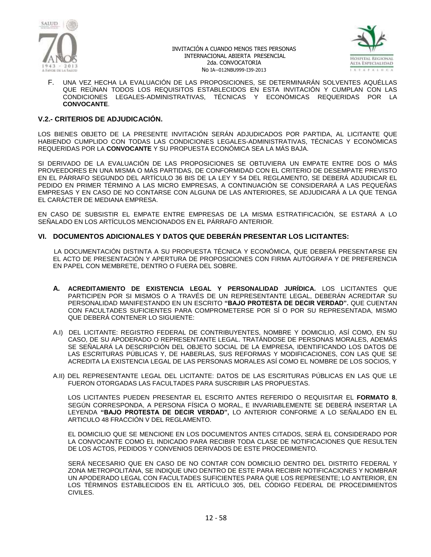



F. UNA VEZ HECHA LA EVALUACIÓN DE LAS PROPOSICIONES, SE DETERMINARÁN SOLVENTES AQUÉLLAS QUE REÚNAN TODOS LOS REQUISITOS ESTABLECIDOS EN ESTA INVITACIÓN Y CUMPLAN CON LAS CONDICIONES LEGALES-ADMINISTRATIVAS, TÉCNICAS Y ECONÓMICAS REQUERIDAS POR LA **CONVOCANTE**.

#### **V.2.- CRITERIOS DE ADJUDICACIÓN.**

LOS BIENES OBJETO DE LA PRESENTE INVITACIÓN SERÁN ADJUDICADOS POR PARTIDA, AL LICITANTE QUE HABIENDO CUMPLIDO CON TODAS LAS CONDICIONES LEGALES-ADMINISTRATIVAS, TÉCNICAS Y ECONÓMICAS REQUERIDAS POR LA **CONVOCANTE** Y SU PROPUESTA ECONÓMICA SEA LA MÁS BAJA.

SI DERIVADO DE LA EVALUACIÓN DE LAS PROPOSICIONES SE OBTUVIERA UN EMPATE ENTRE DOS O MÁS PROVEEDORES EN UNA MISMA O MÁS PARTIDAS, DE CONFORMIDAD CON EL CRITERIO DE DESEMPATE PREVISTO EN EL PÁRRAFO SEGUNDO DEL ARTÍCULO 36 BIS DE LA LEY Y 54 DEL REGLAMENTO, SE DEBERÁ ADJUDICAR EL PEDIDO EN PRIMER TÉRMINO A LAS MICRO EMPRESAS, A CONTINUACIÓN SE CONSIDERARÁ A LAS PEQUEÑAS EMPRESAS Y EN CASO DE NO CONTARSE CON ALGUNA DE LAS ANTERIORES, SE ADJUDICARÁ A LA QUE TENGA EL CARÁCTER DE MEDIANA EMPRESA.

EN CASO DE SUBSISTIR EL EMPATE ENTRE EMPRESAS DE LA MISMA ESTRATIFICACIÓN, SE ESTARÁ A LO SEÑALADO EN LOS ARTÍCULOS MENCIONADOS EN EL PÁRRAFO ANTERIOR.

#### **VI. DOCUMENTOS ADICIONALES Y DATOS QUE DEBERÁN PRESENTAR LOS LICITANTES:**

 LA DOCUMENTACIÓN DISTINTA A SU PROPUESTA TÉCNICA Y ECONÓMICA, QUE DEBERÁ PRESENTARSE EN EL ACTO DE PRESENTACIÓN Y APERTURA DE PROPOSICIONES CON FIRMA AUTÓGRAFA Y DE PREFERENCIA EN PAPEL CON MEMBRETE, DENTRO O FUERA DEL SOBRE.

- **A. ACREDITAMIENTO DE EXISTENCIA LEGAL Y PERSONALIDAD JURÍDICA.** LOS LICITANTES QUE PARTICIPEN POR SI MISMOS O A TRAVÉS DE UN REPRESENTANTE LEGAL, DEBERÁN ACREDITAR SU PERSONALIDAD MANIFESTANDO EN UN ESCRITO **"BAJO PROTESTA DE DECIR VERDAD".** QUE CUENTAN CON FACULTADES SUFICIENTES PARA COMPROMETERSE POR SÍ O POR SU REPRESENTADA, MISMO QUE DEBERÁ CONTENER LO SIGUIENTE:
- A.I) DEL LICITANTE: REGISTRO FEDERAL DE CONTRIBUYENTES, NOMBRE Y DOMICILIO, ASÍ COMO, EN SU CASO, DE SU APODERADO O REPRESENTANTE LEGAL. TRATÁNDOSE DE PERSONAS MORALES, ADEMÁS SE SEÑALARÁ LA DESCRIPCIÓN DEL OBJETO SOCIAL DE LA EMPRESA, IDENTIFICANDO LOS DATOS DE LAS ESCRITURAS PÚBLICAS Y, DE HABERLAS, SUS REFORMAS Y MODIFICACIONES, CON LAS QUE SE ACREDITA LA EXISTENCIA LEGAL DE LAS PERSONAS MORALES ASÍ COMO EL NOMBRE DE LOS SOCIOS, Y
- A.II) DEL REPRESENTANTE LEGAL DEL LICITANTE: DATOS DE LAS ESCRITURAS PÚBLICAS EN LAS QUE LE FUERON OTORGADAS LAS FACULTADES PARA SUSCRIBIR LAS PROPUESTAS.

LOS LICITANTES PUEDEN PRESENTAR EL ESCRITO ANTES REFERIDO O REQUISITAR EL **FORMATO 8**, SEGÚN CORRESPONDA, A PERSONA FÍSICA O MORAL, E INVARIABLEMENTE SE DEBERÁ INSERTAR LA LEYENDA **"BAJO PROTESTA DE DECIR VERDAD",** LO ANTERIOR CONFORME A LO SEÑALADO EN EL ARTICULO 48 FRACCIÓN V DEL REGLAMENTO.

EL DOMICILIO QUE SE MENCIONE EN LOS DOCUMENTOS ANTES CITADOS, SERÁ EL CONSIDERADO POR LA CONVOCANTE COMO EL INDICADO PARA RECIBIR TODA CLASE DE NOTIFICACIONES QUE RESULTEN DE LOS ACTOS, PEDIDOS Y CONVENIOS DERIVADOS DE ESTE PROCEDIMIENTO.

SERÁ NECESARIO QUE EN CASO DE NO CONTAR CON DOMICILIO DENTRO DEL DISTRITO FEDERAL Y ZONA METROPOLITANA, SE INDIQUE UNO DENTRO DE ESTE PARA RECIBIR NOTIFICACIONES Y NOMBRAR UN APODERADO LEGAL CON FACULTADES SUFICIENTES PARA QUE LOS REPRESENTE; LO ANTERIOR, EN LOS TÉRMINOS ESTABLECIDOS EN EL ARTÍCULO 305, DEL CÓDIGO FEDERAL DE PROCEDIMIENTOS CIVILES.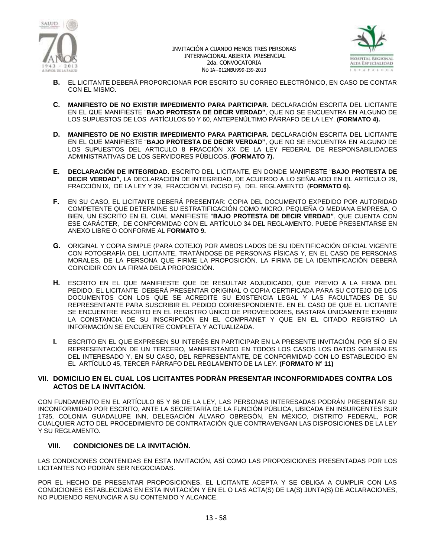



- **B.** EL LICITANTE DEBERÁ PROPORCIONAR POR ESCRITO SU CORREO ELECTRÓNICO, EN CASO DE CONTAR CON EL MISMO.
- **C. MANIFIESTO DE NO EXISTIR IMPEDIMENTO PARA PARTICIPAR.** DECLARACIÓN ESCRITA DEL LICITANTE EN EL QUE MANIFIESTE "**BAJO PROTESTA DE DECIR VERDAD"**, QUE NO SE ENCUENTRA EN ALGUNO DE LOS SUPUESTOS DE LOS ARTÍCULOS 50 Y 60, ANTEPENÚLTIMO PÁRRAFO DE LA LEY. **(FORMATO 4).**
- **D. MANIFIESTO DE NO EXISTIR IMPEDIMENTO PARA PARTICIPAR.** DECLARACIÓN ESCRITA DEL LICITANTE EN EL QUE MANIFIESTE "**BAJO PROTESTA DE DECIR VERDAD"**, QUE NO SE ENCUENTRA EN ALGUNO DE LOS SUPUESTOS DEL ARTICULO 8 FRACCIÓN XX DE LA LEY FEDERAL DE RESPONSABILIDADES ADMINISTRATIVAS DE LOS SERVIDORES PÚBLICOS. **(FORMATO 7).**
- **E. DECLARACIÓN DE INTEGRIDAD.** ESCRITO DEL LICITANTE, EN DONDE MANIFIESTE "**BAJO PROTESTA DE DECIR VERDAD"**, LA DECLARACIÓN DE INTEGRIDAD, DE ACUERDO A LO SEÑALADO EN EL ARTÍCULO 29, FRACCIÓN IX, DE LA LEY Y 39, FRACCIÓN VI, INCISO F), DEL REGLAMENTO (**FORMATO 6).**
- **F.** EN SU CASO, EL LICITANTE DEBERÁ PRESENTAR: COPIA DEL DOCUMENTO EXPEDIDO POR AUTORIDAD COMPETENTE QUE DETERMINE SU ESTRATIFICACIÓN COMO MICRO, PEQUEÑA O MEDIANA EMPRESA, O BIEN, UN ESCRITO EN EL CUAL MANIFIESTE "**BAJO PROTESTA DE DECIR VERDAD"**, QUE CUENTA CON ESE CARÁCTER, DE CONFORMIDAD CON EL ARTÍCULO 34 DEL REGLAMENTO. PUEDE PRESENTARSE EN ANEXO LIBRE O CONFORME AL **FORMATO 9.**
- **G.** ORIGINAL Y COPIA SIMPLE (PARA COTEJO) POR AMBOS LADOS DE SU IDENTIFICACIÓN OFICIAL VIGENTE CON FOTOGRAFÍA DEL LICITANTE, TRATÁNDOSE DE PERSONAS FÍSICAS Y, EN EL CASO DE PERSONAS MORALES, DE LA PERSONA QUE FIRME LA PROPOSICIÓN. LA FIRMA DE LA IDENTIFICACIÓN DEBERÁ COINCIDIR CON LA FIRMA DELA PROPOSICIÓN.
- **H.** ESCRITO EN EL QUE MANIFIESTE QUE DE RESULTAR ADJUDICADO, QUE PREVIO A LA FIRMA DEL PEDIDO, EL LICITANTE DEBERÁ PRESENTAR ORIGINAL O COPIA CERTIFICADA PARA SU COTEJO DE LOS DOCUMENTOS CON LOS QUE SE ACREDITE SU EXISTENCIA LEGAL Y LAS FACULTADES DE SU REPRESENTANTE PARA SUSCRIBIR EL PEDIDO CORRESPONDIENTE. EN EL CASO DE QUE EL LICITANTE SE ENCUENTRE INSCRITO EN EL REGISTRO ÚNICO DE PROVEEDORES, BASTARÁ ÚNICAMENTE EXHIBIR LA CONSTANCIA DE SU INSCRIPCIÓN EN EL COMPRANET Y QUE EN EL CITADO REGISTRO LA INFORMACIÓN SE ENCUENTRE COMPLETA Y ACTUALIZADA.
- **I.** ESCRITO EN EL QUE EXPRESEN SU INTERÉS EN PARTICIPAR EN LA PRESENTE INVITACIÓN, POR SÍ O EN REPRESENTACIÓN DE UN TERCERO, MANIFESTANDO EN TODOS LOS CASOS LOS DATOS GENERALES DEL INTERESADO Y, EN SU CASO, DEL REPRESENTANTE, DE CONFORMIDAD CON LO ESTABLECIDO EN EL ARTÍCULO 45, TERCER PÁRRAFO DEL REGLAMENTO DE LA LEY. **(FORMATO N° 11)**

### **VII. DOMICILIO EN EL CUAL LOS LICITANTES PODRÁN PRESENTAR INCONFORMIDADES CONTRA LOS ACTOS DE LA INVITACIÓN.**

CON FUNDAMENTO EN EL ARTÍCULO 65 Y 66 DE LA LEY, LAS PERSONAS INTERESADAS PODRÁN PRESENTAR SU INCONFORMIDAD POR ESCRITO, ANTE LA SECRETARÍA DE LA FUNCIÓN PÚBLICA, UBICADA EN INSURGENTES SUR 1735, COLONIA GUADALUPE INN, DELEGACIÓN ÁLVARO OBREGÓN, EN MÉXICO, DISTRITO FEDERAL, POR CUALQUIER ACTO DEL PROCEDIMIENTO DE CONTRATACIÓN QUE CONTRAVENGAN LAS DISPOSICIONES DE LA LEY Y SU REGLAMENTO.

# **VIII. CONDICIONES DE LA INVITACIÓN.**

LAS CONDICIONES CONTENIDAS EN ESTA INVITACIÓN, ASÍ COMO LAS PROPOSICIONES PRESENTADAS POR LOS LICITANTES NO PODRÁN SER NEGOCIADAS.

POR EL HECHO DE PRESENTAR PROPOSICIONES, EL LICITANTE ACEPTA Y SE OBLIGA A CUMPLIR CON LAS CONDICIONES ESTABLECIDAS EN ESTA INVITACIÓN Y EN EL O LAS ACTA(S) DE LA(S) JUNTA(S) DE ACLARACIONES, NO PUDIENDO RENUNCIAR A SU CONTENIDO Y ALCANCE.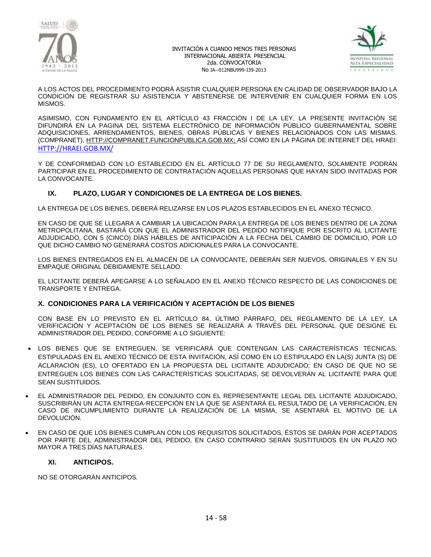



A LOS ACTOS DEL PROCEDIMIENTO PODRÁ ASISTIR CUALQUIER PERSONA EN CALIDAD DE OBSERVADOR BAJO LA CONDICIÓN DE REGISTRAR SU ASISTENCIA Y ABSTENERSE DE INTERVENIR EN CUALQUIER FORMA EN LOS MISMOS.

ASIMISMO, CON FUNDAMENTO EN EL ARTÍCULO 43 FRACCIÓN I DE LA LEY, LA PRESENTE INVITACIÓN SE DIFUNDIRÁ EN LA PAGINA DEL SISTEMA ELECTRÓNICO DE INFORMACIÓN PÚBLICO GUBERNAMENTAL SOBRE ADQUISICIONES, ARRENDAMIENTOS, BIENES, OBRAS PÚBLICAS Y BIENES RELACIONADOS CON LAS MISMAS. (COMPRANET), [HTTP://COMPRANET.FUNCIONPUBLICA.GOB.MX;](http://compranet.funcionpublica.gob.mx/) ASÍ COMO EN LA PÁGINA DE INTERNET DEL HRAEI: [HTTP://HRAEI.GOB.MX/](http://hraei.gob.mx/)

Y DE CONFORMIDAD CON LO ESTABLECIDO EN EL ARTÍCULO 77 DE SU REGLAMENTO, SOLAMENTE PODRÁN PARTICIPAR EN EL PROCEDIMIENTO DE CONTRATACIÓN AQUELLAS PERSONAS QUE HAYAN SIDO INVITADAS POR LA CONVOCANTE.

# **IX. PLAZO, LUGAR Y CONDICIONES DE LA ENTREGA DE LOS BIENES.**

LA ENTREGA DE LOS BIENES, DEBERÁ RELIZARSE EN LOS PLAZOS ESTABLECIDOS EN EL ANEXO TÉCNICO.

EN CASO DE QUE SE LLEGARA A CAMBIAR LA UBICACIÓN PARA LA ENTREGA DE LOS BIENES DENTRO DE LA ZONA METROPOLITANA, BASTARÁ CON QUE EL ADMINISTRADOR DEL PEDIDO NOTIFIQUE POR ESCRITO AL LICITANTE ADJUDICADO, CON 5 (CINCO) DÍAS HÁBILES DE ANTICIPACIÓN A LA FECHA DEL CAMBIO DE DOMICILIO, POR LO QUE DICHO CAMBIO NO GENERARÁ COSTOS ADICIONALES PARA LA CONVOCANTE.

LOS BIENES ENTREGADOS EN EL ALMACÉN DE LA CONVOCANTE, DEBERÁN SER NUEVOS, ORIGINALES Y EN SU EMPAQUE ORIGINAL DEBIDAMENTE SELLADO.

EL LICITANTE DEBERÁ APEGARSE A LO SEÑALADO EN EL ANEXO TÉCNICO RESPECTO DE LAS CONDICIONES DE TRANSPORTE Y ENTREGA.

### **X. CONDICIONES PARA LA VERIFICACIÓN Y ACEPTACIÓN DE LOS BIENES**

CON BASE EN LO PREVISTO EN EL ARTÍCULO 84, ÚLTIMO PÁRRAFO, DEL REGLAMENTO DE LA LEY, LA VERIFICACIÓN Y ACEPTACIÓN DE LOS BIENES SE REALIZARÁ A TRAVÉS DEL PERSONAL QUE DESIGNE EL ADMINISTRADOR DEL PEDIDO, CONFORME A LO SIGUIENTE:

- LOS BIENES QUE SE ENTREGUEN, SE VERIFICARÁ QUE CONTENGAN LAS CARACTERÍSTICAS TÉCNICAS, ESTIPULADAS EN EL ANEXO TÉCNICO DE ESTA INVITACIÓN, ASÍ COMO EN LO ESTIPULADO EN LA(S) JUNTA (S) DE ACLARACIÓN (ES), LO OFERTADO EN LA PROPUESTA DEL LICITANTE ADJUDICADO; EN CASO DE QUE NO SE ENTREGUEN LOS BIENES CON LAS CARACTERÍSTICAS SOLICITADAS, SE DEVOLVERÁN AL LICITANTE PARA QUE SEAN SUSTITUIDOS.
- EL ADMINISTRADOR DEL PEDIDO, EN CONJUNTO CON EL REPRESENTANTE LEGAL DEL LICITANTE ADJUDICADO, SUSCRIBIRÁN UN ACTA ENTREGA-RECEPCIÓN EN LA QUE SE ASENTARÁ EL RESULTADO DE LA VERIFICACIÓN, EN CASO DE INCUMPLIMIENTO DURANTE LA REALIZACIÓN DE LA MISMA, SE ASENTARÁ EL MOTIVO DE LA DEVOLUCIÓN.
- EN CASO DE QUE LOS BIENES CUMPLAN CON LOS REQUISITOS SOLICITADOS, ÉSTOS SE DARÁN POR ACEPTADOS POR PARTE DEL ADMINISTRADOR DEL PEDIDO, EN CASO CONTRARIO SERÁN SUSTITUIDOS EN UN PLAZO NO MAYOR A TRES DÍAS NATURALES.

### **XI. ANTICIPOS.**

NO SE OTORGARÁN ANTICIPOS*.*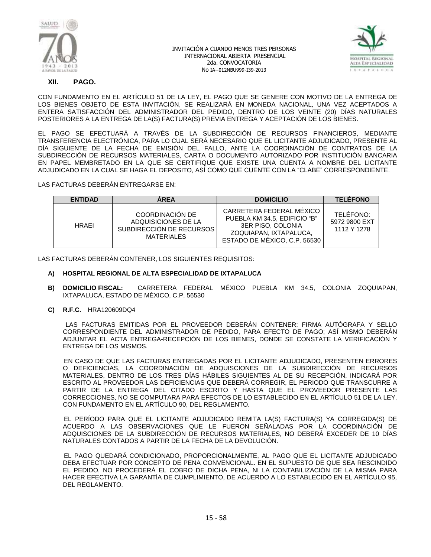



### **XII. PAGO.**

CON FUNDAMENTO EN EL ARTÍCULO 51 DE LA LEY, EL PAGO QUE SE GENERE CON MOTIVO DE LA ENTREGA DE LOS BIENES OBJETO DE ESTA INVITACIÓN, SE REALIZARÁ EN MONEDA NACIONAL, UNA VEZ ACEPTADOS A ENTERA SATISFACCIÓN DEL ADMINISTRADOR DEL PEDIDO, DENTRO DE LOS VEINTE (20) DÍAS NATURALES POSTERIORES A LA ENTREGA DE LA(S) FACTURA(S) PREVIA ENTREGA Y ACEPTACIÓN DE LOS BIENES.

EL PAGO SE EFECTUARÁ A TRAVÉS DE LA SUBDIRECCIÓN DE RECURSOS FINANCIEROS, MEDIANTE TRANSFERENCIA ELECTRÓNICA, PARA LO CUAL SERÁ NECESARIO QUE EL LICITANTE ADJUDICADO, PRESENTE AL DÍA SIGUIENTE DE LA FECHA DE EMISIÓN DEL FALLO, ANTE LA COORDINACIÓN DE CONTRATOS DE LA SUBDIRECCIÓN DE RECURSOS MATERIALES, CARTA O DOCUMENTO AUTORIZADO POR INSTITUCIÓN BANCARIA EN PAPEL MEMBRETADO EN LA QUE SE CERTIFIQUE QUE EXISTE UNA CUENTA A NOMBRE DEL LICITANTE ADJUDICADO EN LA CUAL SE HAGA EL DEPOSITO, ASÍ COMO QUE CUENTE CON LA "CLABE" CORRESPONDIENTE.

LAS FACTURAS DEBERÁN ENTREGARSE EN:

| <b>ENTIDAD</b> | <b>AREA</b>                                                                             | <b>DOMICILIO</b>                                                                                                                        | <b>TELEFONO</b>                           |
|----------------|-----------------------------------------------------------------------------------------|-----------------------------------------------------------------------------------------------------------------------------------------|-------------------------------------------|
| <b>HRAFI</b>   | COORDINACIÓN DE<br>ADQUISICIONES DE LA<br>SUBDIRECCIÓN DE RECURSOS<br><b>MATERIALES</b> | CARRETERA FEDERAL MÉXICO<br>PUEBLA KM 34.5. EDIFICIO "B"<br>3ER PISO, COLONIA<br>ZOQUIAPAN, IXTAPALUCA.<br>ESTADO DE MÉXICO, C.P. 56530 | TELÉFONO:<br>5972 9800 EXT<br>1112 Y 1278 |

LAS FACTURAS DEBERÁN CONTENER, LOS SIGUIENTES REQUISITOS:

#### **A) HOSPITAL REGIONAL DE ALTA ESPECIALIDAD DE IXTAPALUCA**

- **B) DOMICILIO FISCAL:** CARRETERA FEDERAL MÉXICO PUEBLA KM 34.5, COLONIA ZOQUIAPAN, IXTAPALUCA, ESTADO DE MÉXICO, C.P. 56530
- **C) R.F.C.** HRA120609DQ4

 LAS FACTURAS EMITIDAS POR EL PROVEEDOR DEBERÁN CONTENER: FIRMA AUTÓGRAFA Y SELLO CORRESPONDIENTE DEL ADMINISTRADOR DE PEDIDO, PARA EFECTO DE PAGO; ASÍ MISMO DEBERÁN ADJUNTAR EL ACTA ENTREGA-RECEPCIÓN DE LOS BIENES, DONDE SE CONSTATE LA VERIFICACIÓN Y ENTREGA DE LOS MISMOS.

 EN CASO DE QUE LAS FACTURAS ENTREGADAS POR EL LICITANTE ADJUDICADO, PRESENTEN ERRORES O DEFICIENCIAS, LA COORDINACIÓN DE ADQUISCIONES DE LA SUBDIRECCIÓN DE RECURSOS MATERIALES, DENTRO DE LOS TRES DÍAS HÁBILES SIGUIENTES AL DE SU RECEPCIÓN, INDICARÁ POR ESCRITO AL PROVEEDOR LAS DEFICIENCIAS QUE DEBERÁ CORREGIR, EL PERIODO QUE TRANSCURRE A PARTIR DE LA ENTREGA DEL CITADO ESCRITO Y HASTA QUE EL PROVEEDOR PRESENTE LAS CORRECCIONES, NO SE COMPUTARA PARA EFECTOS DE LO ESTABLECIDO EN EL ARTÍCULO 51 DE LA LEY, CON FUNDAMENTO EN EL ARTÍCULO 90, DEL REGLAMENTO.

 EL PERÍODO PARA QUE EL LICITANTE ADJUDICADO REMITA LA(S) FACTURA(S) YA CORREGIDA(S) DE ACUERDO A LAS OBSERVACIONES QUE LE FUERON SEÑALADAS POR LA COORDINACIÓN DE ADQUISCIONES DE LA SUBDIRECCIÓN DE RECURSOS MATERIALES, NO DEBERÁ EXCEDER DE 10 DÍAS NATURALES CONTADOS A PARTIR DE LA FECHA DE LA DEVOLUCIÓN.

 EL PAGO QUEDARÁ CONDICIONADO, PROPORCIONALMENTE, AL PAGO QUE EL LICITANTE ADJUDICADO DEBA EFECTUAR POR CONCEPTO DE PENA CONVENCIONAL. EN EL SUPUESTO DE QUE SEA RESCINDIDO EL PEDIDO, NO PROCEDERÁ EL COBRO DE DICHA PENA, NI LA CONTABILIZACIÓN DE LA MISMA PARA HACER EFECTIVA LA GARANTÍA DE CUMPLIMIENTO, DE ACUERDO A LO ESTABLECIDO EN EL ARTÍCULO 95, DEL REGLAMENTO.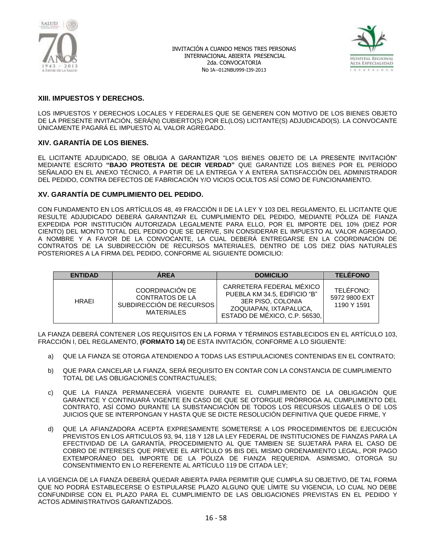



# **XIII. IMPUESTOS Y DERECHOS.**

LOS IMPUESTOS Y DERECHOS LOCALES Y FEDERALES QUE SE GENEREN CON MOTIVO DE LOS BIENES OBJETO DE LA PRESENTE INVITACIÓN, SERÁ(N) CUBIERTO(S) POR EL(LOS) LICITANTE(S) ADJUDICADO(S). LA CONVOCANTE ÚNICAMENTE PAGARÁ EL IMPUESTO AL VALOR AGREGADO.

### **XIV. GARANTÍA DE LOS BIENES.**

EL LICITANTE ADJUDICADO, SE OBLIGA A GARANTIZAR "LOS BIENES OBJETO DE LA PRESENTE INVITACIÓN" MEDIANTE ESCRITO **"BAJO PROTESTA DE DECIR VERDAD"** QUE GARANTIZE LOS BIENES POR EL PERÍODO SEÑALADO EN EL ANEXO TÉCNICO, A PARTIR DE LA ENTREGA Y A ENTERA SATISFACCIÓN DEL ADMINISTRADOR DEL PEDIDO, CONTRA DEFECTOS DE FABRICACIÓN Y/O VICIOS OCULTOS ASÍ COMO DE FUNCIONAMIENTO.

### **XV. GARANTÍA DE CUMPLIMIENTO DEL PEDIDO.**

CON FUNDAMENTO EN LOS ARTÍCULOS 48, 49 FRACCIÓN II DE LA LEY Y 103 DEL REGLAMENTO, EL LICITANTE QUE RESULTE ADJUDICADO DEBERÁ GARANTIZAR EL CUMPLIMIENTO DEL PEDIDO, MEDIANTE PÓLIZA DE FIANZA EXPEDIDA POR INSTITUCIÓN AUTORIZADA LEGALMENTE PARA ELLO, POR EL IMPORTE DEL 10% (DIEZ POR CIENTO) DEL MONTO TOTAL DEL PEDIDO QUE SE DERIVE, SIN CONSIDERAR EL IMPUESTO AL VALOR AGREGADO, A NOMBRE Y A FAVOR DE LA CONVOCANTE, LA CUAL DEBERÁ ENTREGARSE EN LA COORDINACIÓN DE CONTRATOS DE LA SUBDIRECCIÓN DE RECURSOS MATERIALES, DENTRO DE LOS DIEZ DÍAS NATURALES POSTERIORES A LA FIRMA DEL PEDIDO, CONFORME AL SIGUIENTE DOMICILIO:

| <b>ENTIDAD</b> | <b>AREA</b>                                                                                | <b>DOMICILIO</b>                                                                                                                         | <b>TELÉFONO</b>                           |
|----------------|--------------------------------------------------------------------------------------------|------------------------------------------------------------------------------------------------------------------------------------------|-------------------------------------------|
| <b>HRAFI</b>   | COORDINACIÓN DE<br><b>CONTRATOS DE LA</b><br>SUBDIRECCIÓN DE RECURSOS<br><b>MATERIALES</b> | CARRETERA FEDERAL MÉXICO<br>PUEBLA KM 34.5. EDIFICIO "B"<br>3ER PISO, COLONIA<br>ZOQUIAPAN, IXTAPALUCA.<br>ESTADO DE MÉXICO, C.P. 56530. | TELÉFONO:<br>5972 9800 EXT<br>1190 Y 1591 |

LA FIANZA DEBERÁ CONTENER LOS REQUISITOS EN LA FORMA Y TÉRMINOS ESTABLECIDOS EN EL ARTÍCULO 103, FRACCIÓN I, DEL REGLAMENTO, **(FORMATO 14)** DE ESTA INVITACIÓN, CONFORME A LO SIGUIENTE:

- a) QUE LA FIANZA SE OTORGA ATENDIENDO A TODAS LAS ESTIPULACIONES CONTENIDAS EN EL CONTRATO;
- b) QUE PARA CANCELAR LA FIANZA, SERÁ REQUISITO EN CONTAR CON LA CONSTANCIA DE CUMPLIMIENTO TOTAL DE LAS OBLIGACIONES CONTRACTUALES;
- c) QUE LA FIANZA PERMANECERÁ VIGENTE DURANTE EL CUMPLIMIENTO DE LA OBLIGACIÓN QUE GARANTICE Y CONTINUARÁ VIGENTE EN CASO DE QUE SE OTORGUE PRÓRROGA AL CUMPLIMIENTO DEL CONTRATO, ASÍ COMO DURANTE LA SUBSTANCIACIÓN DE TODOS LOS RECURSOS LEGALES O DE LOS JUICIOS QUE SE INTERPONGAN Y HASTA QUE SE DICTE RESOLUCIÓN DEFINITIVA QUE QUEDE FIRME, Y
- d) QUE LA AFIANZADORA ACEPTA EXPRESAMENTE SOMETERSE A LOS PROCEDIMIENTOS DE EJECUCIÓN PREVISTOS EN LOS ARTICULOS 93, 94, 118 Y 128 LA LEY FEDERAL DE INSTITUCIONES DE FIANZAS PARA LA EFECTIVIDAD DE LA GARANTÍA, PROCEDIMIENTO AL QUE TAMBIEN SE SUJETARÁ PARA EL CASO DE COBRO DE INTERESES QUE PREVEE EL ARTÍCULO 95 BIS DEL MISMO ORDENAMIENTO LEGAL, POR PAGO EXTEMPORÁNEO DEL IMPORTE DE LA PÓLIZA DE FIANZA REQUERIDA. ASIMISMO, OTORGA SU CONSENTIMIENTO EN LO REFERENTE AL ARTÍCULO 119 DE CITADA LEY;

LA VIGENCIA DE LA FIANZA DEBERÁ QUEDAR ABIERTA PARA PERMITIR QUE CUMPLA SU OBJETIVO, DE TAL FORMA QUE NO PODRÁ ESTABLECERSE O ESTIPULARSE PLAZO ALGUNO QUE LÍMITE SU VIGENCIA, LO CUAL NO DEBE CONFUNDIRSE CON EL PLAZO PARA EL CUMPLIMIENTO DE LAS OBLIGACIONES PREVISTAS EN EL PEDIDO Y ACTOS ADMINISTRATIVOS GARANTIZADOS.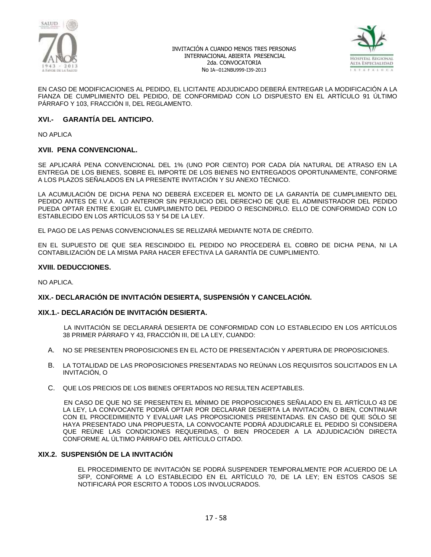



EN CASO DE MODIFICACIONES AL PEDIDO, EL LICITANTE ADJUDICADO DEBERÁ ENTREGAR LA MODIFICACIÓN A LA FIANZA DE CUMPLIMIENTO DEL PEDIDO, DE CONFORMIDAD CON LO DISPUESTO EN EL ARTÍCULO 91 ÚLTIMO PÁRRAFO Y 103, FRACCIÓN II, DEL REGLAMENTO.

### **XVI.- GARANTÍA DEL ANTICIPO.**

NO APLICA

### **XVII. PENA CONVENCIONAL.**

SE APLICARÁ PENA CONVENCIONAL DEL 1% (UNO POR CIENTO) POR CADA DÍA NATURAL DE ATRASO EN LA ENTREGA DE LOS BIENES, SOBRE EL IMPORTE DE LOS BIENES NO ENTREGADOS OPORTUNAMENTE, CONFORME A LOS PLAZOS SEÑALADOS EN LA PRESENTE INVITACIÓN Y SU ANEXO TÉCNICO.

LA ACUMULACIÓN DE DICHA PENA NO DEBERÁ EXCEDER EL MONTO DE LA GARANTÍA DE CUMPLIMIENTO DEL PEDIDO ANTES DE I.V.A. LO ANTERIOR SIN PERJUICIO DEL DERECHO DE QUE EL ADMINISTRADOR DEL PEDIDO PUEDA OPTAR ENTRE EXIGIR EL CUMPLIMIENTO DEL PEDIDO O RESCINDIRLO. ELLO DE CONFORMIDAD CON LO ESTABLECIDO EN LOS ARTÍCULOS 53 Y 54 DE LA LEY.

EL PAGO DE LAS PENAS CONVENCIONALES SE RELIZARÁ MEDIANTE NOTA DE CRÉDITO.

EN EL SUPUESTO DE QUE SEA RESCINDIDO EL PEDIDO NO PROCEDERÁ EL COBRO DE DICHA PENA, NI LA CONTABILIZACIÓN DE LA MISMA PARA HACER EFECTIVA LA GARANTÍA DE CUMPLIMIENTO.

#### **XVIII. DEDUCCIONES.**

NO APLICA.

### **XIX.- DECLARACIÓN DE INVITACIÓN DESIERTA, SUSPENSIÓN Y CANCELACIÓN.**

#### **XIX.1.- DECLARACIÓN DE INVITACIÓN DESIERTA.**

 LA INVITACIÓN SE DECLARARÁ DESIERTA DE CONFORMIDAD CON LO ESTABLECIDO EN LOS ARTÍCULOS 38 PRIMER PÁRRAFO Y 43, FRACCIÓN III, DE LA LEY, CUANDO:

- A. NO SE PRESENTEN PROPOSICIONES EN EL ACTO DE PRESENTACIÓN Y APERTURA DE PROPOSICIONES.
- B. LA TOTALIDAD DE LAS PROPOSICIONES PRESENTADAS NO REÚNAN LOS REQUISITOS SOLICITADOS EN LA INVITACIÓN, O
- C. QUE LOS PRECIOS DE LOS BIENES OFERTADOS NO RESULTEN ACEPTABLES.

 EN CASO DE QUE NO SE PRESENTEN EL MÍNIMO DE PROPOSICIONES SEÑALADO EN EL ARTÍCULO 43 DE LA LEY, LA CONVOCANTE PODRÁ OPTAR POR DECLARAR DESIERTA LA INVITACIÓN, O BIEN, CONTINUAR CON EL PROCEDIMIENTO Y EVALUAR LAS PROPOSICIONES PRESENTADAS. EN CASO DE QUE SÓLO SE HAYA PRESENTADO UNA PROPUESTA, LA CONVOCANTE PODRÁ ADJUDICARLE EL PEDIDO SI CONSIDERA QUE REÚNE LAS CONDICIONES REQUERIDAS, O BIEN PROCEDER A LA ADJUDICACIÓN DIRECTA CONFORME AL ÚLTIMO PÁRRAFO DEL ARTÍCULO CITADO.

### **XIX.2. SUSPENSIÓN DE LA INVITACIÓN**

EL PROCEDIMIENTO DE INVITACIÓN SE PODRÁ SUSPENDER TEMPORALMENTE POR ACUERDO DE LA SFP, CONFORME A LO ESTABLECIDO EN EL ARTÍCULO 70, DE LA LEY; EN ESTOS CASOS SE NOTIFICARÁ POR ESCRITO A TODOS LOS INVOLUCRADOS.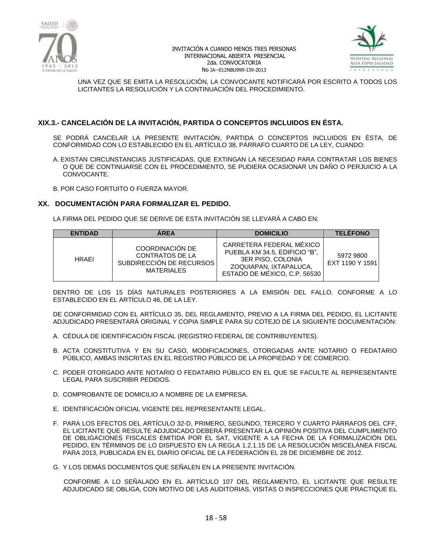



UNA VEZ QUE SE EMITA LA RESOLUCIÓN, LA CONVOCANTE NOTIFICARÁ POR ESCRITO A TODOS LOS LICITANTES LA RESOLUCIÓN Y LA CONTINUACIÓN DEL PROCEDIMIENTO.

# **XIX.3.- CANCELACIÓN DE LA INVITACIÓN, PARTIDA O CONCEPTOS INCLUIDOS EN ÉSTA.**

SE PODRÁ CANCELAR LA PRESENTE INVITACIÓN, PARTIDA O CONCEPTOS INCLUIDOS EN ÉSTA, DE CONFORMIDAD CON LO ESTABLECIDO EN EL ARTÍCULO 38, PÁRRAFO CUARTO DE LA LEY, CUANDO:

A. EXISTAN CIRCUNSTANCIAS JUSTIFICADAS, QUE EXTINGAN LA NECESIDAD PARA CONTRATAR LOS BIENES O QUE DE CONTINUARSE CON EL PROCEDIMIENTO, SE PUDIERA OCASIONAR UN DAÑO O PERJUICIO A LA CONVOCANTE.

B. POR CASO FORTUITO O FUERZA MAYOR.

### **XX. DOCUMENTACIÓN PARA FORMALIZAR EL PEDIDO.**

LA FIRMA DEL PEDIDO QUE SE DERIVE DE ESTA INVITACIÓN SE LLEVARÁ A CABO EN:

| <b>ENTIDAD</b> | <b>AREA</b>                                                                                | <b>DOMICILIO</b>                                                                                                                         | <b>TELEFONO</b>              |
|----------------|--------------------------------------------------------------------------------------------|------------------------------------------------------------------------------------------------------------------------------------------|------------------------------|
| <b>HRAFI</b>   | <b>COORDINACIÓN DE</b><br>CONTRATOS DE LA<br>SUBDIRECCIÓN DE RECURSOS<br><b>MATERIALES</b> | CARRETERA FEDERAL MÉXICO<br>PUEBLA KM 34.5, EDIFICIO "B",<br>3ER PISO, COLONIA<br>ZOQUIAPAN, IXTAPALUCA,<br>ESTADO DE MÉXICO, C.P. 56530 | 5972 9800<br>EXT 1190 Y 1591 |

DENTRO DE LOS 15 DÍAS NATURALES POSTERIORES A LA EMISIÓN DEL FALLO. CONFORME A LO ESTABLECIDO EN EL ARTÍCULO 46, DE LA LEY.

DE CONFORMIDAD CON EL ARTÍCULO 35, DEL REGLAMENTO, PREVIO A LA FIRMA DEL PEDIDO, EL LICITANTE ADJUDICADO PRESENTARÁ ORIGINAL Y COPIA SIMPLE PARA SU COTEJO DE LA SIGUIENTE DOCUMENTACIÓN:

- A. CÉDULA DE IDENTIFICACIÓN FISCAL (REGISTRO FEDERAL DE CONTRIBUYENTES).
- B. ACTA CONSTITUTIVA Y EN SU CASO, MODIFICACIONES, OTORGADAS ANTE NOTARIO O FEDATARIO PÚBLICO, AMBAS INSCRITAS EN EL REGISTRO PÚBLICO DE LA PROPIEDAD Y DE COMERCIO.
- C. PODER OTORGADO ANTE NOTARIO O FEDATARIO PÚBLICO EN EL QUE SE FACULTE AL REPRESENTANTE LEGAL PARA SUSCRIBIR PEDIDOS.
- D. COMPROBANTE DE DOMICILIO A NOMBRE DE LA EMPRESA.
- E. IDENTIFICACIÓN OFICIAL VIGENTE DEL REPRESENTANTE LEGAL.
- F. PARA LOS EFECTOS DEL ARTÍCULO 32-D, PRIMERO, SEGUNDO, TERCERO Y CUARTO PÁRRAFOS DEL CFF, EL LICITANTE QUE RESULTE ADJUDICADO DEBERÁ PRESENTAR LA OPINIÓN POSITIVA DEL CUMPLIMIENTO DE OBLIGACIONES FISCALES EMITIDA POR EL SAT, VIGENTE A LA FECHA DE LA FORMALIZACIÓN DEL PEDIDO, EN TÉRMINOS DE LO DISPUESTO EN LA REGLA 1.2.1.15 DE LA RESOLUCIÓN MISCELÁNEA FISCAL PARA 2013, PUBLICADA EN EL DIARIO OFICIAL DE LA FEDERACIÓN EL 28 DE DICIEMBRE DE 2012.
- G. Y LOS DEMÁS DOCUMENTOS QUE SEÑALEN EN LA PRESENTE INVITACIÓN.

 CONFORME A LO SEÑALADO EN EL ARTÍCULO 107 DEL REGLAMENTO, EL LICITANTE QUE RESULTE ADJUDICADO SE OBLIGA, CON MOTIVO DE LAS AUDITORIAS, VISITAS O INSPECCIONES QUE PRACTIQUE EL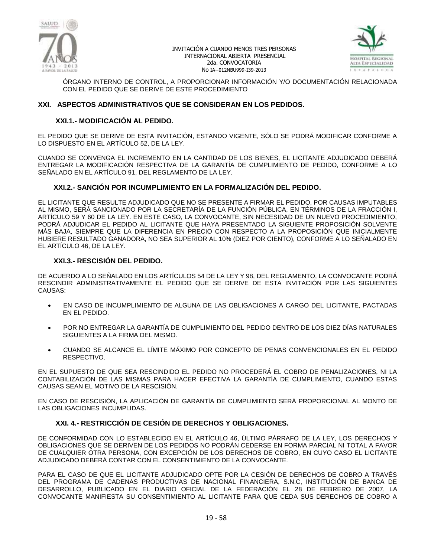



ÓRGANO INTERNO DE CONTROL, A PROPORCIONAR INFORMACIÓN Y/O DOCUMENTACIÓN RELACIONADA CON EL PEDIDO QUE SE DERIVE DE ESTE PROCEDIMIENTO

### **XXI. ASPECTOS ADMINISTRATIVOS QUE SE CONSIDERAN EN LOS PEDIDOS.**

### **XXI.1.- MODIFICACIÓN AL PEDIDO.**

EL PEDIDO QUE SE DERIVE DE ESTA INVITACIÓN, ESTANDO VIGENTE, SÓLO SE PODRÁ MODIFICAR CONFORME A LO DISPUESTO EN EL ARTÍCULO 52, DE LA LEY.

CUANDO SE CONVENGA EL INCREMENTO EN LA CANTIDAD DE LOS BIENES, EL LICITANTE ADJUDICADO DEBERÁ ENTREGAR LA MODIFICACIÓN RESPECTIVA DE LA GARANTÍA DE CUMPLIMIENTO DE PEDIDO, CONFORME A LO SEÑALADO EN EL ARTÍCULO 91, DEL REGLAMENTO DE LA LEY.

### **XXI.2.- SANCIÓN POR INCUMPLIMIENTO EN LA FORMALIZACIÓN DEL PEDIDO.**

EL LICITANTE QUE RESULTE ADJUDICADO QUE NO SE PRESENTE A FIRMAR EL PEDIDO, POR CAUSAS IMPUTABLES AL MISMO, SERÁ SANCIONADO POR LA SECRETARÍA DE LA FUNCIÓN PÚBLICA, EN TÉRMINOS DE LA FRACCIÓN I, ARTÍCULO 59 Y 60 DE LA LEY. EN ESTE CASO, LA CONVOCANTE, SIN NECESIDAD DE UN NUEVO PROCEDIMIENTO, PODRÁ ADJUDICAR EL PEDIDO AL LICITANTE QUE HAYA PRESENTADO LA SIGUIENTE PROPOSICIÓN SOLVENTE MÁS BAJA, SIEMPRE QUE LA DIFERENCIA EN PRECIO CON RESPECTO A LA PROPOSICIÓN QUE INICIALMENTE HUBIERE RESULTADO GANADORA, NO SEA SUPERIOR AL 10% (DIEZ POR CIENTO), CONFORME A LO SEÑALADO EN EL ARTÍCULO 46, DE LA LEY.

### **XXI.3.- RESCISIÓN DEL PEDIDO.**

DE ACUERDO A LO SEÑALADO EN LOS ARTÍCULOS 54 DE LA LEY Y 98, DEL REGLAMENTO, LA CONVOCANTE PODRÁ RESCINDIR ADMINISTRATIVAMENTE EL PEDIDO QUE SE DERIVE DE ESTA INVITACIÓN POR LAS SIGUIENTES CAUSAS:

- EN CASO DE INCUMPLIMIENTO DE ALGUNA DE LAS OBLIGACIONES A CARGO DEL LICITANTE, PACTADAS EN EL PEDIDO.
- POR NO ENTREGAR LA GARANTÍA DE CUMPLIMIENTO DEL PEDIDO DENTRO DE LOS DIEZ DÍAS NATURALES SIGUIENTES A LA FIRMA DEL MISMO.
- CUANDO SE ALCANCE EL LÍMITE MÁXIMO POR CONCEPTO DE PENAS CONVENCIONALES EN EL PEDIDO RESPECTIVO.

EN EL SUPUESTO DE QUE SEA RESCINDIDO EL PEDIDO NO PROCEDERÁ EL COBRO DE PENALIZACIONES, NI LA CONTABILIZACIÓN DE LAS MISMAS PARA HACER EFECTIVA LA GARANTÍA DE CUMPLIMIENTO, CUANDO ESTAS CAUSAS SEAN EL MOTIVO DE LA RESCISIÓN.

EN CASO DE RESCISIÓN, LA APLICACIÓN DE GARANTÍA DE CUMPLIMIENTO SERÁ PROPORCIONAL AL MONTO DE LAS OBLIGACIONES INCUMPLIDAS.

# **XXI. 4.- RESTRICCIÓN DE CESIÓN DE DERECHOS Y OBLIGACIONES.**

DE CONFORMIDAD CON LO ESTABLECIDO EN EL ARTÍCULO 46, ÚLTIMO PÁRRAFO DE LA LEY, LOS DERECHOS Y OBLIGACIONES QUE SE DERIVEN DE LOS PEDIDOS NO PODRÁN CEDERSE EN FORMA PARCIAL NI TOTAL A FAVOR DE CUALQUIER OTRA PERSONA, CON EXCEPCIÓN DE LOS DERECHOS DE COBRO, EN CUYO CASO EL LICITANTE ADJUDICADO DEBERÁ CONTAR CON EL CONSENTIMIENTO DE LA CONVOCANTE.

PARA EL CASO DE QUE EL LICITANTE ADJUDICADO OPTE POR LA CESIÓN DE DERECHOS DE COBRO A TRAVÉS DEL PROGRAMA DE CADENAS PRODUCTIVAS DE NACIONAL FINANCIERA, S.N.C, INSTITUCIÓN DE BANCA DE DESARROLLO, PUBLICADO EN EL DIARIO OFICIAL DE LA FEDERACIÓN EL 28 DE FEBRERO DE 2007, LA CONVOCANTE MANIFIESTA SU CONSENTIMIENTO AL LICITANTE PARA QUE CEDA SUS DERECHOS DE COBRO A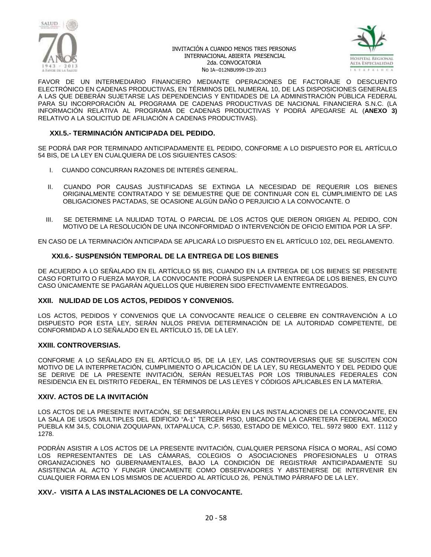



FAVOR DE UN INTERMEDIARIO FINANCIERO MEDIANTE OPERACIONES DE FACTORAJE O DESCUENTO ELECTRÓNICO EN CADENAS PRODUCTIVAS, EN TÉRMINOS DEL NUMERAL 10, DE LAS DISPOSICIONES GENERALES A LAS QUE DEBERÁN SUJETARSE LAS DEPENDENCIAS Y ENTIDADES DE LA ADMINISTRACIÓN PÚBLICA FEDERAL PARA SU INCORPORACIÓN AL PROGRAMA DE CADENAS PRODUCTIVAS DE NACIONAL FINANCIERA S.N.C. (LA INFORMACIÓN RELATIVA AL PROGRAMA DE CADENAS PRODUCTIVAS Y PODRÁ APEGARSE AL (**ANEXO 3)** RELATIVO A LA SOLICITUD DE AFILIACIÓN A CADENAS PRODUCTIVAS).

### **XXI.5.- TERMINACIÓN ANTICIPADA DEL PEDIDO.**

SE PODRÁ DAR POR TERMINADO ANTICIPADAMENTE EL PEDIDO, CONFORME A LO DISPUESTO POR EL ARTÍCULO 54 BIS, DE LA LEY EN CUALQUIERA DE LOS SIGUIENTES CASOS:

- I. CUANDO CONCURRAN RAZONES DE INTERÉS GENERAL.
- II. CUANDO POR CAUSAS JUSTIFICADAS SE EXTINGA LA NECESIDAD DE REQUERIR LOS BIENES ORIGINALMENTE CONTRATADO Y SE DEMUESTRE QUE DE CONTINUAR CON EL CUMPLIMIENTO DE LAS OBLIGACIONES PACTADAS, SE OCASIONE ALGÚN DAÑO O PERJUICIO A LA CONVOCANTE. O
- III. SE DETERMINE LA NULIDAD TOTAL O PARCIAL DE LOS ACTOS QUE DIERON ORIGEN AL PEDIDO, CON MOTIVO DE LA RESOLUCIÓN DE UNA INCONFORMIDAD O INTERVENCIÓN DE OFICIO EMITIDA POR LA SFP.

EN CASO DE LA TERMINACIÓN ANTICIPADA SE APLICARÁ LO DISPUESTO EN EL ARTÍCULO 102, DEL REGLAMENTO.

### **XXI.6.- SUSPENSIÓN TEMPORAL DE LA ENTREGA DE LOS BIENES**

DE ACUERDO A LO SEÑALADO EN EL ARTÍCULO 55 BIS, CUANDO EN LA ENTREGA DE LOS BIENES SE PRESENTE CASO FORTUITO O FUERZA MAYOR, LA CONVOCANTE PODRÁ SUSPENDER LA ENTREGA DE LOS BIENES, EN CUYO CASO ÚNICAMENTE SE PAGARÁN AQUELLOS QUE HUBIEREN SIDO EFECTIVAMENTE ENTREGADOS.

### **XXII. NULIDAD DE LOS ACTOS, PEDIDOS Y CONVENIOS.**

LOS ACTOS, PEDIDOS Y CONVENIOS QUE LA CONVOCANTE REALICE O CELEBRE EN CONTRAVENCIÓN A LO DISPUESTO POR ESTA LEY, SERÁN NULOS PREVIA DETERMINACIÓN DE LA AUTORIDAD COMPETENTE, DE CONFORMIDAD A LO SEÑALADO EN EL ARTÍCULO 15, DE LA LEY.

### **XXIII. CONTROVERSIAS.**

CONFORME A LO SEÑALADO EN EL ARTÍCULO 85, DE LA LEY, LAS CONTROVERSIAS QUE SE SUSCITEN CON MOTIVO DE LA INTERPRETACIÓN, CUMPLIMIENTO O APLICACIÓN DE LA LEY, SU REGLAMENTO Y DEL PEDIDO QUE SE DERIVE DE LA PRESENTE INVITACIÓN, SERÁN RESUELTAS POR LOS TRIBUNALES FEDERALES CON RESIDENCIA EN EL DISTRITO FEDERAL, EN TÉRMINOS DE LAS LEYES Y CÓDIGOS APLICABLES EN LA MATERIA.

### **XXIV. ACTOS DE LA INVITACIÓN**

LOS ACTOS DE LA PRESENTE INVITACIÓN, SE DESARROLLARÁN EN LAS INSTALACIONES DE LA CONVOCANTE, EN LA SALA DE USOS MULTIPLES DEL EDIFICIO "A-1" TERCER PISO, UBICADO EN LA CARRETERA FEDERAL MÉXICO PUEBLA KM 34.5, COLONIA ZOQUIAPAN, IXTAPALUCA, C.P. 56530, ESTADO DE MÉXICO, TEL. 5972 9800 EXT. 1112 y 1278.

PODRÁN ASISTIR A LOS ACTOS DE LA PRESENTE INVITACIÓN, CUALQUIER PERSONA FÍSICA O MORAL, ASÍ COMO LOS REPRESENTANTES DE LAS CÁMARAS, COLEGIOS O ASOCIACIONES PROFESIONALES U OTRAS ORGANIZACIONES NO GUBERNAMENTALES, BAJO LA CONDICIÓN DE REGISTRAR ANTICIPADAMENTE SU ASISTENCIA AL ACTO Y FUNGIR ÚNICAMENTE COMO OBSERVADORES Y ABSTENERSE DE INTERVENIR EN CUALQUIER FORMA EN LOS MISMOS DE ACUERDO AL ARTÍCULO 26, PENÚLTIMO PÁRRAFO DE LA LEY.

### **XXV.- VISITA A LAS INSTALACIONES DE LA CONVOCANTE.**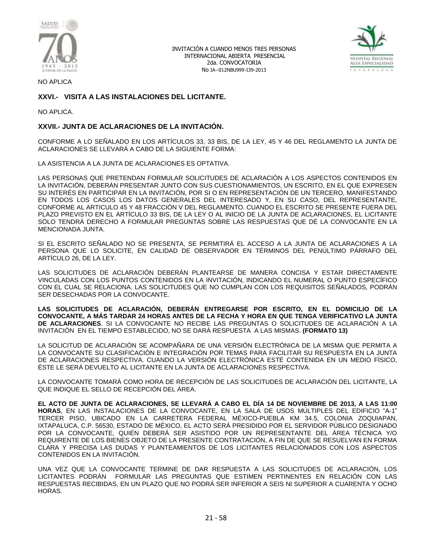



NO APLICA

# **XXVI.- VISITA A LAS INSTALACIONES DEL LICITANTE.**

NO APLICA.

### **XXVII.- JUNTA DE ACLARACIONES DE LA INVITACIÓN.**

CONFORME A LO SEÑALADO EN LOS ARTÍCULOS 33, 33 BIS, DE LA LEY, 45 Y 46 DEL REGLAMENTO LA JUNTA DE ACLARACIONES SE LLEVARÁ A CABO DE LA SIGUIENTE FORMA:

LA ASISTENCIA A LA JUNTA DE ACLARACIONES ES OPTATIVA.

LAS PERSONAS QUE PRETENDAN FORMULAR SOLICITUDES DE ACLARACIÓN A LOS ASPECTOS CONTENIDOS EN LA INVITACIÓN, DEBERÁN PRESENTAR JUNTO CON SUS CUESTIONAMIENTOS, UN ESCRITO, EN EL QUE EXPRESEN SU INTERÉS EN PARTICIPAR EN LA INVITACIÓN, POR SI O EN REPRESENTACIÓN DE UN TERCERO, MANIFESTANDO EN TODOS LOS CASOS LOS DATOS GENERALES DEL INTERESADO Y, EN SU CASO, DEL REPRESENTANTE, CONFORME AL ARTICULO 45 Y 48 FRACCIÓN V DEL REGLAMENTO. CUANDO EL ESCRITO SE PRESENTE FUERA DEL PLAZO PREVISTO EN EL ARTÍCULO 33 BIS, DE LA LEY O AL INICIO DE LA JUNTA DE ACLARACIONES, EL LICITANTE SÓLO TENDRÁ DERECHO A FORMULAR PREGUNTAS SOBRE LAS RESPUESTAS QUE DÉ LA CONVOCANTE EN LA MENCIONADA JUNTA.

SI EL ESCRITO SEÑALADO NO SE PRESENTA, SE PERMITIRÁ EL ACCESO A LA JUNTA DE ACLARACIONES A LA PERSONA QUE LO SOLICITE, EN CALIDAD DE OBSERVADOR EN TÉRMINOS DEL PENÚLTIMO PÁRRAFO DEL ARTÍCULO 26, DE LA LEY.

LAS SOLICITUDES DE ACLARACIÓN DEBERÁN PLANTEARSE DE MANERA CONCISA Y ESTAR DIRECTAMENTE VINCULADAS CON LOS PUNTOS CONTENIDOS EN LA INVITACIÓN, INDICANDO EL NUMERAL O PUNTO ESPECÍFICO CON EL CUAL SE RELACIONA. LAS SOLICITUDES QUE NO CUMPLAN CON LOS REQUISITOS SEÑALADOS, PODRÁN SER DESECHADAS POR LA CONVOCANTE.

**LAS SOLICITUDES DE ACLARACIÓN, DEBERÁN ENTREGARSE POR ESCRITO, EN EL DOMICILIO DE LA CONVOCANTE, A MÁS TARDAR 24 HORAS ANTES DE LA FECHA Y HORA EN QUE TENGA VERIFICATIVO LA JUNTA DE ACLARACIONES**. SI LA CONVOCANTE NO RECIBE LAS PREGUNTAS O SOLICITUDES DE ACLARACIÓN A LA INVITACIÓN EN EL TIEMPO ESTABLECIDO, NO SE DARÁ RESPUESTA A LAS MISMAS. **(FORMATO 13)**

LA SOLICITUD DE ACLARACIÓN SE ACOMPAÑARA DE UNA VERSIÓN ELECTRÓNICA DE LA MISMA QUE PERMITA A LA CONVOCANTE SU CLASIFICACIÓN E INTEGRACIÓN POR TEMAS PARA FACILITAR SU RESPUESTA EN LA JUNTA DE ACLARACIONES RESPECTIVA. CUANDO LA VERSIÓN ELECTRÓNICA ESTÉ CONTENIDA EN UN MEDIO FÍSICO, ÉSTE LE SERÁ DEVUELTO AL LICITANTE EN LA JUNTA DE ACLARACIONES RESPECTIVA.

LA CONVOCANTE TOMARÁ COMO HORA DE RECEPCIÓN DE LAS SOLICITUDES DE ACLARACIÓN DEL LICITANTE, LA QUE INDIQUE EL SELLO DE RECEPCIÓN DEL ÁREA.

**EL ACTO DE JUNTA DE ACLARACIONES, SE LLEVARÁ A CABO EL DÍA 14 DE NOVIEMBRE DE 2013, A LAS 11:00 HORAS**, EN LAS INSTALACIONES DE LA CONVOCANTE, EN LA SALA DE USOS MÚLTIPLES DEL EDIFICIO "A-1" TERCER PISO, UBICADO EN LA CARRETERA FEDERAL MÉXICO-PUEBLA KM 34.5, COLONIA ZOQUIAPAN, IXTAPALUCA, C.P. 56530, ESTADO DE MÉXICO, EL ACTO SERÁ PRESIDIDO POR EL SERVIDOR PÚBLICO DESIGNADO POR LA CONVOCANTE, QUIÉN DEBERÁ SER ASISTIDO POR UN REPRESENTANTE DEL ÁREA TÉCNICA Y/O REQUIRENTE DE LOS BIENES OBJETO DE LA PRESENTE CONTRATACIÓN, A FIN DE QUE SE RESUELVAN EN FORMA CLARA Y PRECISA LAS DUDAS Y PLANTEAMIENTOS DE LOS LICITANTES RELACIONADOS CON LOS ASPECTOS CONTENIDOS EN LA INVITACIÓN.

UNA VEZ QUE LA CONVOCANTE TERMINE DE DAR RESPUESTA A LAS SOLICITUDES DE ACLARACIÓN, LOS LICITANTES PODRÁN FORMULAR LAS PREGUNTAS QUE ESTIMEN PERTINENTES EN RELACIÓN CON LAS RESPUESTAS RECIBIDAS, EN UN PLAZO QUE NO PODRÁ SER INFERIOR A SEIS NI SUPERIOR A CUARENTA Y OCHO HORAS.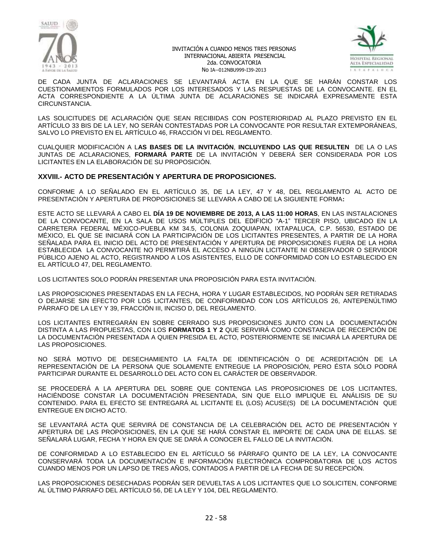



DE CADA JUNTA DE ACLARACIONES SE LEVANTARÁ ACTA EN LA QUE SE HARÁN CONSTAR LOS CUESTIONAMIENTOS FORMULADOS POR LOS INTERESADOS Y LAS RESPUESTAS DE LA CONVOCANTE. EN EL ACTA CORRESPONDIENTE A LA ÚLTIMA JUNTA DE ACLARACIONES SE INDICARÁ EXPRESAMENTE ESTA CIRCUNSTANCIA.

LAS SOLICITUDES DE ACLARACIÓN QUE SEAN RECIBIDAS CON POSTERIORIDAD AL PLAZO PREVISTO EN EL ARTÍCULO 33 BIS DE LA LEY, NO SERÁN CONTESTADAS POR LA CONVOCANTE POR RESULTAR EXTEMPORÁNEAS, SALVO LO PREVISTO EN EL ARTÍCULO 46, FRACCIÓN VI DEL REGLAMENTO.

CUALQUIER MODIFICACIÓN A L**AS BASES DE LA INVITACIÓN**, **INCLUYENDO LAS QUE RESULTEN** DE LA O LAS JUNTAS DE ACLARACIONES, **FORMARÁ PARTE** DE LA INVITACIÓN Y DEBERÁ SER CONSIDERADA POR LOS LICITANTES EN LA ELABORACIÓN DE SU PROPOSICIÓN.

### **XXVIII.- ACTO DE PRESENTACIÓN Y APERTURA DE PROPOSICIONES.**

CONFORME A LO SEÑALADO EN EL ARTÍCULO 35, DE LA LEY, 47 Y 48, DEL REGLAMENTO AL ACTO DE PRESENTACIÓN Y APERTURA DE PROPOSICIONES SE LLEVARA A CABO DE LA SIGUIENTE FORMA**:**

ESTE ACTO SE LLEVARÁ A CABO EL **DÍA 19 DE NOVIEMBRE DE 2013, A LAS 11:00 HORAS**, EN LAS INSTALACIONES DE LA CONVOCANTE, EN LA SALA DE USOS MÚLTIPLES DEL EDIFICIO "A-1" TERCER PISO, UBICADO EN LA CARRETERA FEDERAL MÉXICO-PUEBLA KM 34.5, COLONIA ZOQUIAPAN, IXTAPALUCA, C.P. 56530, ESTADO DE MÉXICO, EL QUE SE INICIARÁ CON LA PARTICIPACIÓN DE LOS LICITANTES PRESENTES, A PARTIR DE LA HORA SEÑALADA PARA EL INICIO DEL ACTO DE PRESENTACIÓN Y APERTURA DE PROPOSICIONES FUERA DE LA HORA ESTABLECIDA LA CONVOCANTE NO PERMITIRÁ EL ACCESO A NINGÚN LICITANTE NI OBSERVADOR O SERVIDOR PÚBLICO AJENO AL ACTO, REGISTRANDO A LOS ASISTENTES, ELLO DE CONFORMIDAD CON LO ESTABLECIDO EN EL ARTÍCULO 47, DEL REGLAMENTO.

LOS LICITANTES SOLO PODRÁN PRESENTAR UNA PROPOSICIÓN PARA ESTA INVITACIÓN.

LAS PROPOSICIONES PRESENTADAS EN LA FECHA, HORA Y LUGAR ESTABLECIDOS, NO PODRÁN SER RETIRADAS O DEJARSE SIN EFECTO POR LOS LICITANTES, DE CONFORMIDAD CON LOS ARTÍCULOS 26, ANTEPENÚLTIMO PÁRRAFO DE LA LEY Y 39, FRACCIÓN III, INCISO D, DEL REGLAMENTO.

LOS LICITANTES ENTREGARÁN EN SOBRE CERRADO SUS PROPOSICIONES JUNTO CON LA DOCUMENTACIÓN DISTINTA A LAS PROPUESTAS, CON LOS **FORMATOS 1 Y 2** QUE SERVIRÁ COMO CONSTANCIA DE RECEPCIÓN DE LA DOCUMENTACIÓN PRESENTADA A QUIEN PRESIDA EL ACTO, POSTERIORMENTE SE INICIARÁ LA APERTURA DE LAS PROPOSICIONES.

NO SERÁ MOTIVO DE DESECHAMIENTO LA FALTA DE IDENTIFICACIÓN O DE ACREDITACIÓN DE LA REPRESENTACIÓN DE LA PERSONA QUE SOLAMENTE ENTREGUE LA PROPOSICIÓN, PERO ÉSTA SÓLO PODRÁ PARTICIPAR DURANTE EL DESARROLLO DEL ACTO CON EL CARÁCTER DE OBSERVADOR.

SE PROCEDERÁ A LA APERTURA DEL SOBRE QUE CONTENGA LAS PROPOSICIONES DE LOS LICITANTES, HACIÉNDOSE CONSTAR LA DOCUMENTACIÓN PRESENTADA, SIN QUE ELLO IMPLIQUE EL ANÁLISIS DE SU CONTENIDO. PARA EL EFECTO SE ENTREGARÁ AL LICITANTE EL (LOS) ACUSE(S) DE LA DOCUMENTACIÓN QUE ENTREGUE EN DICHO ACTO.

SE LEVANTARÁ ACTA QUE SERVIRÁ DE CONSTANCIA DE LA CELEBRACIÓN DEL ACTO DE PRESENTACIÓN Y APERTURA DE LAS PROPOSICIONES, EN LA QUE SE HARÁ CONSTAR EL IMPORTE DE CADA UNA DE ELLAS. SE SEÑALARÁ LUGAR, FECHA Y HORA EN QUE SE DARÁ A CONOCER EL FALLO DE LA INVITACIÓN.

DE CONFORMIDAD A LO ESTABLECIDO EN EL ARTÍCULO 56 PÁRRAFO QUINTO DE LA LEY, LA CONVOCANTE CONSERVARÁ TODA LA DOCUMENTACIÓN E INFORMACIÓN ELECTRÓNICA COMPROBATORIA DE LOS ACTOS CUANDO MENOS POR UN LAPSO DE TRES AÑOS, CONTADOS A PARTIR DE LA FECHA DE SU RECEPCIÓN.

LAS PROPOSICIONES DESECHADAS PODRÁN SER DEVUELTAS A LOS LICITANTES QUE LO SOLICITEN, CONFORME AL ÚLTIMO PÁRRAFO DEL ARTÍCULO 56, DE LA LEY Y 104, DEL REGLAMENTO.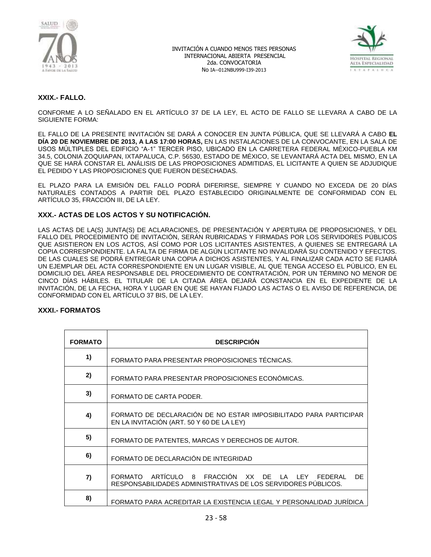



# **XXIX.- FALLO.**

CONFORME A LO SEÑALADO EN EL ARTÍCULO 37 DE LA LEY, EL ACTO DE FALLO SE LLEVARA A CABO DE LA SIGUIENTE FORMA:

EL FALLO DE LA PRESENTE INVITACIÓN SE DARÁ A CONOCER EN JUNTA PÚBLICA, QUE SE LLEVARÁ A CABO **EL DÍA 20 DE NOVIEMBRE DE 2013, A LAS 17:00 HORAS,** EN LAS INSTALACIONES DE LA CONVOCANTE, EN LA SALA DE USOS MÚLTIPLES DEL EDIFICIO "A-1" TERCER PISO, UBICADO EN LA CARRETERA FEDERAL MÉXICO-PUEBLA KM 34.5, COLONIA ZOQUIAPAN, IXTAPALUCA, C.P. 56530, ESTADO DE MÉXICO, SE LEVANTARÁ ACTA DEL MISMO, EN LA QUE SE HARÁ CONSTAR EL ANÁLISIS DE LAS PROPOSICIONES ADMITIDAS, EL LICITANTE A QUIEN SE ADJUDIQUE EL PEDIDO Y LAS PROPOSICIONES QUE FUERON DESECHADAS.

EL PLAZO PARA LA EMISIÓN DEL FALLO PODRÁ DIFERIRSE, SIEMPRE Y CUANDO NO EXCEDA DE 20 DÍAS NATURALES CONTADOS A PARTIR DEL PLAZO ESTABLECIDO ORIGINALMENTE DE CONFORMIDAD CON EL ARTÍCULO 35, FRACCIÓN III, DE LA LEY.

# **XXX.- ACTAS DE LOS ACTOS Y SU NOTIFICACIÓN.**

LAS ACTAS DE LA(S) JUNTA(S) DE ACLARACIONES, DE PRESENTACIÓN Y APERTURA DE PROPOSICIONES, Y DEL FALLO DEL PROCEDIMIENTO DE INVITACIÓN, SERÁN RUBRICADAS Y FIRMADAS POR LOS SERVIDORES PÚBLICOS QUE ASISTIERON EN LOS ACTOS, ASÍ COMO POR LOS LICITANTES ASISTENTES, A QUIENES SE ENTREGARÁ LA COPIA CORRESPONDIENTE. LA FALTA DE FIRMA DE ALGÚN LICITANTE NO INVALIDARÁ SU CONTENIDO Y EFECTOS. DE LAS CUALES SE PODRÁ ENTREGAR UNA COPIA A DICHOS ASISTENTES, Y AL FINALIZAR CADA ACTO SE FIJARÁ UN EJEMPLAR DEL ACTA CORRESPONDIENTE EN UN LUGAR VISIBLE, AL QUE TENGA ACCESO EL PÚBLICO, EN EL DOMICILIO DEL ÁREA RESPONSABLE DEL PROCEDIMIENTO DE CONTRATACIÓN, POR UN TÉRMINO NO MENOR DE CINCO DÍAS HÁBILES. EL TITULAR DE LA CITADA ÁREA DEJARÁ CONSTANCIA EN EL EXPEDIENTE DE LA INVITACIÓN, DE LA FECHA, HORA Y LUGAR EN QUE SE HAYAN FIJADO LAS ACTAS O EL AVISO DE REFERENCIA, DE CONFORMIDAD CON EL ARTÍCULO 37 BIS, DE LA LEY.

### **XXXI.- FORMATOS**

| <b>FORMATO</b> | <b>DESCRIPCIÓN</b>                                                                                                                    |
|----------------|---------------------------------------------------------------------------------------------------------------------------------------|
| 1)             | FORMATO PARA PRESENTAR PROPOSICIONES TÉCNICAS.                                                                                        |
| 2)             | FORMATO PARA PRESENTAR PROPOSICIONES ECONÓMICAS.                                                                                      |
| 3)             | FORMATO DE CARTA PODER.                                                                                                               |
| 4)             | FORMATO DE DECLARACIÓN DE NO ESTAR IMPOSIBILITADO PARA PARTICIPAR<br>EN LA INVITACIÓN (ART. 50 Y 60 DE LA LEY)                        |
| 5)             | FORMATO DE PATENTES, MARCAS Y DERECHOS DE AUTOR.                                                                                      |
| 6)             | FORMATO DE DECLARACIÓN DE INTEGRIDAD                                                                                                  |
| 7)             | FORMATO ARTÍCULO 8 FRACCIÓN<br>XX DE<br>LA<br>DF.<br>I FY<br>FEDERAL<br>RESPONSABILIDADES ADMINISTRATIVAS DE LOS SERVIDORES PÚBLICOS. |
| 8)             | FORMATO PARA ACREDITAR LA EXISTENCIA LEGAL Y PERSONALIDAD JURÍDICA                                                                    |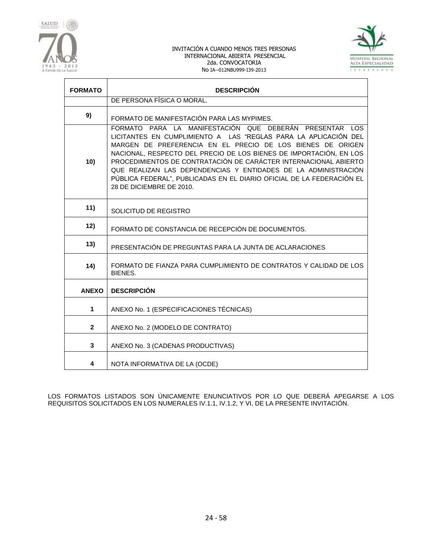



| <b>FORMATO</b> | <b>DESCRIPCIÓN</b>                                                                                                                                                                                                                                                                                                                                                                                                                                                                                        |
|----------------|-----------------------------------------------------------------------------------------------------------------------------------------------------------------------------------------------------------------------------------------------------------------------------------------------------------------------------------------------------------------------------------------------------------------------------------------------------------------------------------------------------------|
|                | DE PERSONA FÍSICA O MORAL.                                                                                                                                                                                                                                                                                                                                                                                                                                                                                |
| 9)             | FORMATO DE MANIFESTACIÓN PARA LAS MYPIMES.                                                                                                                                                                                                                                                                                                                                                                                                                                                                |
| 10)            | FORMATO PARA LA MANIFESTACIÓN QUE DEBERÁN PRESENTAR LOS<br>LICITANTES EN CUMPLIMIENTO A LAS "REGLAS PARA LA APLICACIÓN DEL<br>MARGEN DE PREFERENCIA EN EL PRECIO DE LOS BIENES DE ORIGEN<br>NACIONAL, RESPECTO DEL PRECIO DE LOS BIENES DE IMPORTACIÓN, EN LOS<br>PROCEDIMIENTOS DE CONTRATACIÓN DE CARÁCTER INTERNACIONAL ABIERTO<br>QUE REALIZAN LAS DEPENDENCIAS Y ENTIDADES DE LA ADMINISTRACIÓN<br>PÚBLICA FEDERAL", PUBLICADAS EN EL DIARIO OFICIAL DE LA FEDERACIÓN EL<br>28 DE DICIEMBRE DE 2010. |
| 11)            | SOLICITUD DE REGISTRO                                                                                                                                                                                                                                                                                                                                                                                                                                                                                     |
| 12)            | FORMATO DE CONSTANCIA DE RECEPCIÓN DE DOCUMENTOS.                                                                                                                                                                                                                                                                                                                                                                                                                                                         |
| 13)            | PRESENTACIÓN DE PREGUNTAS PARA LA JUNTA DE ACLARACIONES                                                                                                                                                                                                                                                                                                                                                                                                                                                   |
| 14)            | FORMATO DE FIANZA PARA CUMPLIMIENTO DE CONTRATOS Y CALIDAD DE LOS<br><b>BIENES.</b>                                                                                                                                                                                                                                                                                                                                                                                                                       |
| <b>ANEXO</b>   | <b>DESCRIPCIÓN</b>                                                                                                                                                                                                                                                                                                                                                                                                                                                                                        |
| 1              | ANEXO No. 1 (ESPECIFICACIONES TÉCNICAS)                                                                                                                                                                                                                                                                                                                                                                                                                                                                   |
| $\mathbf{2}$   | ANEXO No. 2 (MODELO DE CONTRATO)                                                                                                                                                                                                                                                                                                                                                                                                                                                                          |
| 3              | ANEXO No. 3 (CADENAS PRODUCTIVAS)                                                                                                                                                                                                                                                                                                                                                                                                                                                                         |
| 4              | NOTA INFORMATIVA DE LA (OCDE)                                                                                                                                                                                                                                                                                                                                                                                                                                                                             |

LOS FORMATOS LISTADOS SON ÚNICAMENTE ENUNCIATIVOS POR LO QUE DEBERÁ APEGARSE A LOS REQUISITOS SOLICITADOS EN LOS NUMERALES IV.1.1, IV.1.2, Y VI, DE LA PRESENTE INVITACIÓN.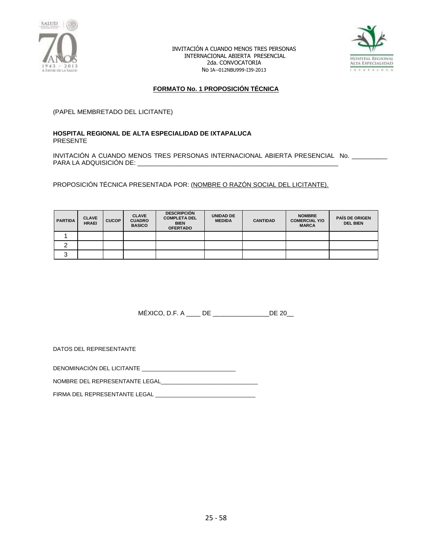



### **FORMATO No. 1 PROPOSICIÓN TÉCNICA**

(PAPEL MEMBRETADO DEL LICITANTE)

### **HOSPITAL REGIONAL DE ALTA ESPECIALIDAD DE IXTAPALUCA** PRESENTE

INVITACIÓN A CUANDO MENOS TRES PERSONAS INTERNACIONAL ABIERTA PRESENCIAL No. \_\_\_\_\_\_\_\_\_\_ PARA LA ADQUISICIÓN DE: \_\_\_\_\_\_\_\_\_\_\_\_\_\_\_\_\_\_\_\_\_\_\_\_\_\_\_\_\_\_\_\_\_\_\_\_\_\_\_\_\_\_\_\_\_\_\_\_\_\_\_\_\_\_\_\_\_

PROPOSICIÓN TÉCNICA PRESENTADA POR: (NOMBRE O RAZÓN SOCIAL DEL LICITANTE).

| <b>PARTIDA</b> | <b>CLAVE</b><br><b>HRAEI</b> | <b>CUCOP</b> | <b>CLAVE</b><br><b>CUADRO</b><br><b>BASICO</b> | <b>DESCRIPCIÓN</b><br><b>COMPLETA DEL</b><br><b>BIEN</b><br><b>OFERTADO</b> | <b>UNIDAD DE</b><br><b>MEDIDA</b> | <b>CANTIDAD</b> | <b>NOMBRE</b><br><b>COMERCIAL Y/O</b><br><b>MARCA</b> | <b>PAIS DE ORIGEN</b><br><b>DEL BIEN</b> |
|----------------|------------------------------|--------------|------------------------------------------------|-----------------------------------------------------------------------------|-----------------------------------|-----------------|-------------------------------------------------------|------------------------------------------|
|                |                              |              |                                                |                                                                             |                                   |                 |                                                       |                                          |
|                |                              |              |                                                |                                                                             |                                   |                 |                                                       |                                          |
| ື              |                              |              |                                                |                                                                             |                                   |                 |                                                       |                                          |

MÉXICO, D.F. A \_\_\_\_ DE \_\_\_\_\_\_\_\_\_\_\_\_\_\_\_\_DE 20\_\_

DATOS DEL REPRESENTANTE

DENOMINACIÓN DEL LICITANTE \_\_\_\_\_\_\_\_\_\_\_\_\_\_\_\_\_\_\_\_\_\_\_\_\_\_\_\_\_\_

NOMBRE DEL REPRESENTANTE LEGAL

FIRMA DEL REPRESENTANTE LEGAL \_\_\_\_\_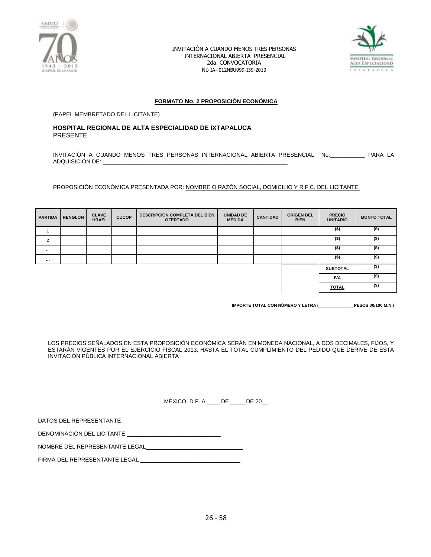



#### **FORMATO No. 2 PROPOSICIÓN ECONÓMICA**

(PAPEL MEMBRETADO DEL LICITANTE)

#### **HOSPITAL REGIONAL DE ALTA ESPECIALIDAD DE IXTAPALUCA** PRESENTE

INVITACIÓN A CUANDO MENOS TRES PERSONAS INTERNACIONAL ABIERTA PRESENCIAL No.\_\_\_\_\_\_\_\_\_\_\_ PARA LA ADQUISICIÓN DE:

PROPOSICIÓN ECONÓMICA PRESENTADA POR: NOMBRE O RAZÓN SOCIAL, DOMICILIO Y R.F.C. DEL LICITANTE.

| <b>PARTIDA</b> | <b>RENGLÓN</b> | <b>CLAVE</b><br><b>HRAEI</b> | <b>CUCOP</b> | DESCRIPCIÓN COMPLETA DEL BIEN<br><b>OFERTADO</b> | <b>UNIDAD DE</b><br><b>MEDIDA</b> | <b>CANTIDAD</b> | <b>ORIGEN DEL</b><br><b>BIEN</b> | <b>PRECIO</b><br><b>UNITARIO</b> | <b>MONTO TOTAL</b> |
|----------------|----------------|------------------------------|--------------|--------------------------------------------------|-----------------------------------|-----------------|----------------------------------|----------------------------------|--------------------|
|                |                |                              |              |                                                  |                                   |                 |                                  | $($ \$)                          | $($ \$)            |
| $\overline{2}$ |                |                              |              |                                                  |                                   |                 |                                  | $($ \$)                          | $($ \$)            |
| $\cdots$       |                |                              |              |                                                  |                                   |                 |                                  | $($ \$)                          | (\$)               |
| $\cdots$       |                |                              |              |                                                  |                                   |                 |                                  | $($ \$)                          | (\$)               |
|                |                |                              |              |                                                  |                                   |                 |                                  | <b>SUBTOTAL</b>                  | (\$)               |
|                |                |                              |              |                                                  |                                   |                 |                                  | <u>IVA</u>                       | (\$)               |
|                |                |                              |              |                                                  |                                   |                 |                                  | <b>TOTAL</b>                     | (\$)               |

**IMPORTE TOTAL CON NÚMERO Y LETRA (\_\_\_\_\_\_\_\_\_\_\_\_\_\_\_PESOS 00/100 M.N.)**

LOS PRECIOS SEÑALADOS EN ESTA PROPOSICIÓN ECONÓMICA SERÁN EN MONEDA NACIONAL, A DOS DECIMALES, FIJOS, Y ESTARÁN VIGENTES POR EL EJERCICIO FISCAL 2013, HASTA EL TOTAL CUMPLIMIENTO DEL PEDIDO QUE DERIVE DE ESTA INVITACIÓN PÚBLICA INTERNACIONAL ABIERTA

MÉXICO, D.F. A \_\_\_\_ DE \_\_\_\_\_DE 20\_\_

| DATOS DEL REPRESENTANTE |
|-------------------------|
|-------------------------|

DENOMINACIÓN DEL LICITANTE \_\_\_\_\_\_\_\_\_\_\_\_\_\_\_\_\_\_\_\_\_\_\_\_\_\_\_\_\_\_

NOMBRE DEL REPRESENTANTE LEGAL

FIRMA DEL REPRESENTANTE LEGAL \_\_\_\_\_\_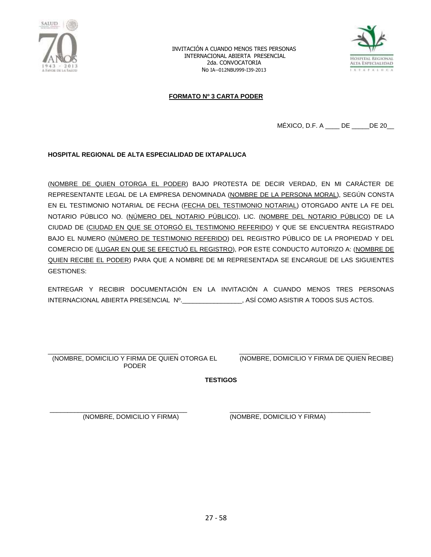



### **FORMATO Nº 3 CARTA PODER**

MÉXICO, D.F. A \_\_\_\_ DE \_\_\_\_\_DE 20\_\_

### **HOSPITAL REGIONAL DE ALTA ESPECIALIDAD DE IXTAPALUCA**

(NOMBRE DE QUIEN OTORGA EL PODER) BAJO PROTESTA DE DECIR VERDAD, EN MI CARÁCTER DE REPRESENTANTE LEGAL DE LA EMPRESA DENOMINADA (NOMBRE DE LA PERSONA MORAL), SEGÚN CONSTA EN EL TESTIMONIO NOTARIAL DE FECHA (FECHA DEL TESTIMONIO NOTARIAL) OTORGADO ANTE LA FE DEL NOTARIO PÚBLICO NO. (NÚMERO DEL NOTARIO PÚBLICO), LIC. (NOMBRE DEL NOTARIO PÚBLICO) DE LA CIUDAD DE (CIUDAD EN QUE SE OTORGÓ EL TESTIMONIO REFERIDO) Y QUE SE ENCUENTRA REGISTRADO BAJO EL NUMERO (NÚMERO DE TESTIMONIO REFERIDO) DEL REGISTRO PÚBLICO DE LA PROPIEDAD Y DEL COMERCIO DE (LUGAR EN QUE SE EFECTUÓ EL REGISTRO), POR ESTE CONDUCTO AUTORIZO A: (NOMBRE DE QUIEN RECIBE EL PODER) PARA QUE A NOMBRE DE MI REPRESENTADA SE ENCARGUE DE LAS SIGUIENTES GESTIONES:

ENTREGAR Y RECIBIR DOCUMENTACIÓN EN LA INVITACIÓN A CUANDO MENOS TRES PERSONAS INTERNACIONAL ABIERTA PRESENCIAL Nº.\_\_\_\_\_\_\_\_\_\_\_\_\_\_\_\_\_, ASÍ COMO ASISTIR A TODOS SUS ACTOS.

\_\_\_\_\_\_\_\_\_\_\_\_\_\_\_\_\_\_\_\_\_\_\_\_\_\_\_\_\_\_\_\_\_\_\_\_\_ (NOMBRE, DOMICILIO Y FIRMA DE QUIEN OTORGA EL PODER

\_\_\_\_\_\_\_\_\_\_\_\_\_\_\_\_\_\_\_\_\_\_\_\_\_\_\_\_\_\_\_\_\_\_\_\_\_ (NOMBRE, DOMICILIO Y FIRMA DE QUIEN RECIBE)

**TESTIGOS**

\_\_\_\_\_\_\_\_\_\_\_\_\_\_\_\_\_\_\_\_\_\_\_\_\_\_\_\_\_\_\_\_\_\_\_\_\_\_\_ (NOMBRE, DOMICILIO Y FIRMA)

\_\_\_\_\_\_\_\_\_\_\_\_\_\_\_\_\_\_\_\_\_\_\_\_\_\_\_\_\_\_\_\_\_\_\_\_\_\_\_\_ (NOMBRE, DOMICILIO Y FIRMA)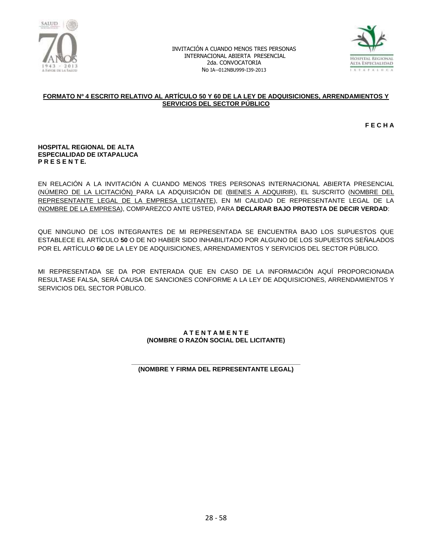



#### **FORMATO Nº 4 ESCRITO RELATIVO AL ARTÍCULO 50 Y 60 DE LA LEY DE ADQUISICIONES, ARRENDAMIENTOS Y SERVICIOS DEL SECTOR PÚBLICO**

**F E C H A**

#### **HOSPITAL REGIONAL DE ALTA ESPECIALIDAD DE IXTAPALUCA P R E S E N T E.**

EN RELACIÓN A LA INVITACIÓN A CUANDO MENOS TRES PERSONAS INTERNACIONAL ABIERTA PRESENCIAL (NÚMERO DE LA LICITACIÓN) PARA LA ADQUISICIÓN DE (BIENES A ADQUIRIR), EL SUSCRITO (NOMBRE DEL REPRESENTANTE LEGAL DE LA EMPRESA LICITANTE), EN MI CALIDAD DE REPRESENTANTE LEGAL DE LA (NOMBRE DE LA EMPRESA), COMPAREZCO ANTE USTED, PARA **DECLARAR BAJO PROTESTA DE DECIR VERDAD**:

QUE NINGUNO DE LOS INTEGRANTES DE MI REPRESENTADA SE ENCUENTRA BAJO LOS SUPUESTOS QUE ESTABLECE EL ARTÍCULO **50** O DE NO HABER SIDO INHABILITADO POR ALGUNO DE LOS SUPUESTOS SEÑALADOS POR EL ARTÍCULO **60** DE LA LEY DE ADQUISICIONES, ARRENDAMIENTOS Y SERVICIOS DEL SECTOR PÚBLICO.

MI REPRESENTADA SE DA POR ENTERADA QUE EN CASO DE LA INFORMACIÓN AQUÍ PROPORCIONADA RESULTASE FALSA, SERÁ CAUSA DE SANCIONES CONFORME A LA LEY DE ADQUISICIONES, ARRENDAMIENTOS Y SERVICIOS DEL SECTOR PÚBLICO.

### **A T E N T A M E N T E (NOMBRE O RAZÓN SOCIAL DEL LICITANTE)**

#### **\_\_\_\_\_\_\_\_\_\_\_\_\_\_\_\_\_\_\_\_\_\_\_\_\_\_\_\_\_\_\_\_\_\_\_\_\_\_\_\_\_\_\_\_\_\_\_\_ (NOMBRE Y FIRMA DEL REPRESENTANTE LEGAL)**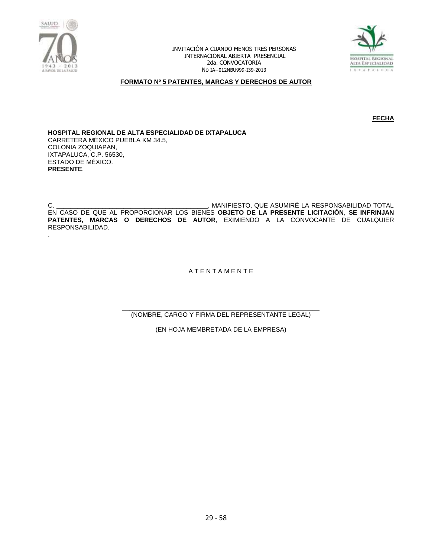



### **FORMATO Nº 5 PATENTES, MARCAS Y DERECHOS DE AUTOR**

**FECHA** 

**HOSPITAL REGIONAL DE ALTA ESPECIALIDAD DE IXTAPALUCA** CARRETERA MÉXICO PUEBLA KM 34.5, COLONIA ZOQUIAPAN, IXTAPALUCA, C.P. 56530, ESTADO DE MÉXICO. **PRESENTE**.

C. \_\_\_\_\_\_\_\_\_\_\_\_\_\_\_\_\_\_\_\_\_\_\_\_\_\_\_\_\_\_\_\_\_\_\_\_\_\_\_\_\_\_\_, MANIFIESTO, QUE ASUMIRÉ LA RESPONSABILIDAD TOTAL EN CASO DE QUE AL PROPORCIONAR LOS BIENES **OBJETO DE LA PRESENTE LICITACIÓN**, **SE INFRINJAN PATENTES, MARCAS O DERECHOS DE AUTOR**, EXIMIENDO A LA CONVOCANTE DE CUALQUIER RESPONSABILIDAD. .

A T E N T A M E N T E

\_\_\_\_\_\_\_\_\_\_\_\_\_\_\_\_\_\_\_\_\_\_\_\_\_\_\_\_\_\_\_\_\_\_\_\_\_\_\_\_\_\_\_\_\_\_\_\_\_\_\_\_\_\_\_\_ (NOMBRE, CARGO Y FIRMA DEL REPRESENTANTE LEGAL)

(EN HOJA MEMBRETADA DE LA EMPRESA)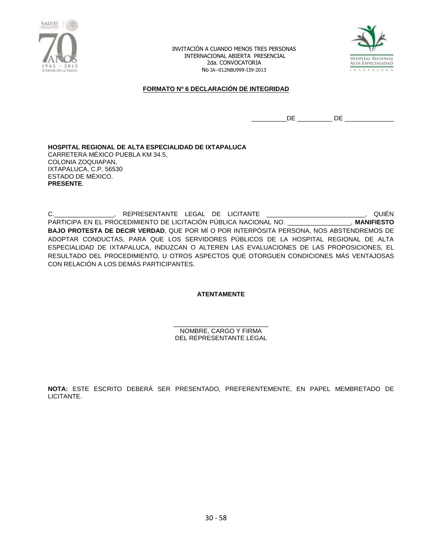



### **FORMATO Nº 6 DECLARACIÓN DE INTEGRIDAD**

 $\hbox{DE}$   $\hbox{DE}$   $\hbox{DE}$   $\hbox{DE}$   $\hbox{DE}$   $\hbox{DE}$   $\hbox{DE}$   $\hbox{DE}$   $\hbox{DE}$   $\hbox{DE}$   $\hbox{DE}$   $\hbox{DE}$   $\hbox{DE}$   $\hbox{DE}$   $\hbox{DE}$   $\hbox{DE}$   $\hbox{DE}$   $\hbox{DE}$   $\hbox{DE}$   $\hbox{DE}$   $\hbox{DE}$   $\hbox{DE}$   $\hbox{DE}$   $\hbox{DE}$   $\hbox{$ 

**HOSPITAL REGIONAL DE ALTA ESPECIALIDAD DE IXTAPALUCA** CARRETERA MÉXICO PUEBLA KM 34.5, COLONIA ZOQUIAPAN, IXTAPALUCA, C.P. 56530 ESTADO DE MÉXICO. **PRESENTE**.

C.\_\_\_\_\_\_\_\_\_\_\_\_\_\_\_\_\_, REPRESENTANTE LEGAL DE LICITANTE \_\_\_\_\_\_\_\_\_\_\_\_\_\_\_\_\_\_\_\_\_\_\_\_\_\_\_\_, QUIÉN PARTICIPA EN EL PROCEDIMIENTO DE LICITACIÓN PÚBLICA NACIONAL NO. \_\_\_\_\_\_\_\_\_\_\_\_\_\_\_\_\_\_, **MANIFIESTO BAJO PROTESTA DE DECIR VERDAD**, QUE POR MÍ O POR INTERPÓSITA PERSONA, NOS ABSTENDREMOS DE ADOPTAR CONDUCTAS, PARA QUE LOS SERVIDORES PÚBLICOS DE LA HOSPITAL REGIONAL DE ALTA ESPECIALIDAD DE IXTAPALUCA, INDUZCAN O ALTEREN LAS EVALUACIONES DE LAS PROPOSICIONES, EL RESULTADO DEL PROCEDIMIENTO, U OTROS ASPECTOS QUE OTORGUEN CONDICIONES MÁS VENTAJOSAS CON RELACIÓN A LOS DEMÁS PARTICIPANTES.

**ATENTAMENTE**

\_\_\_\_\_\_\_\_\_\_\_\_\_\_\_\_\_\_\_\_\_\_\_\_\_\_\_ NOMBRE, CARGO Y FIRMA DEL REPRESENTANTE LEGAL

**NOTA:** ESTE ESCRITO DEBERÁ SER PRESENTADO, PREFERENTEMENTE, EN PAPEL MEMBRETADO DE LICITANTE.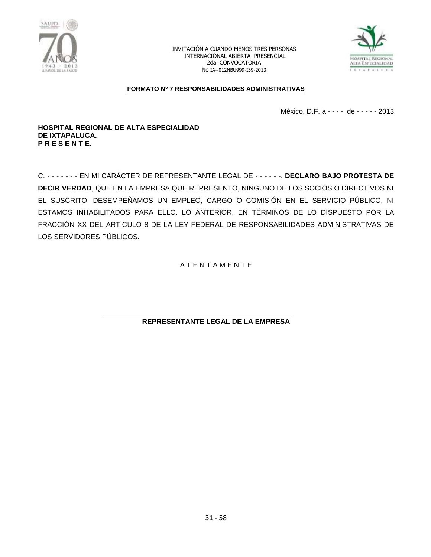



### **FORMATO Nº 7 RESPONSABILIDADES ADMINISTRATIVAS**

México, D.F. a - - - - de - - - - - 2013

**HOSPITAL REGIONAL DE ALTA ESPECIALIDAD DE IXTAPALUCA. P R E S E N T E.**

C. - - - - - - - EN MI CARÁCTER DE REPRESENTANTE LEGAL DE - - - - - -, **DECLARO BAJO PROTESTA DE DECIR VERDAD**, QUE EN LA EMPRESA QUE REPRESENTO, NINGUNO DE LOS SOCIOS O DIRECTIVOS NI EL SUSCRITO, DESEMPEÑAMOS UN EMPLEO, CARGO O COMISIÓN EN EL SERVICIO PÚBLICO, NI ESTAMOS INHABILITADOS PARA ELLO. LO ANTERIOR, EN TÉRMINOS DE LO DISPUESTO POR LA FRACCIÓN XX DEL ARTÍCULO 8 DE LA LEY FEDERAL DE RESPONSABILIDADES ADMINISTRATIVAS DE LOS SERVIDORES PÚBLICOS.

A T E N T A M E N T E

**REPRESENTANTE LEGAL DE LA EMPRESA**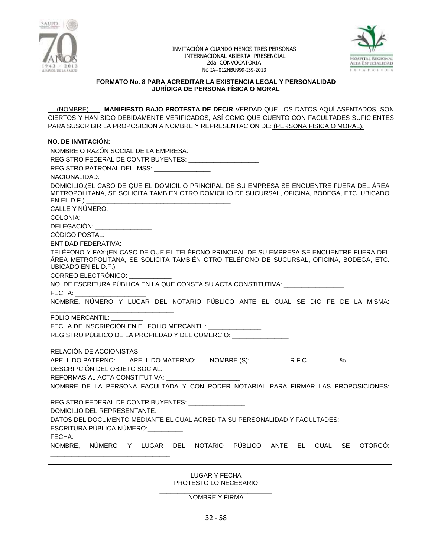



### **FORMATO No. 8 PARA ACREDITAR LA EXISTENCIA LEGAL Y PERSONALIDAD JURÍDICA DE PERSONA FÍSICA O MORAL**

 (NOMBRE) , **MANIFIESTO BAJO PROTESTA DE DECIR** VERDAD QUE LOS DATOS AQUÍ ASENTADOS, SON CIERTOS Y HAN SIDO DEBIDAMENTE VERIFICADOS, ASÍ COMO QUE CUENTO CON FACULTADES SUFICIENTES PARA SUSCRIBIR LA PROPOSICIÓN A NOMBRE Y REPRESENTACIÓN DE: (PERSONA FÍSICA O MORAL).

### **NO. DE INVITACIÓN:**

| NOMBRE O RAZÓN SOCIAL DE LA EMPRESA:<br>REGISTRO FEDERAL DE CONTRIBUYENTES: _____________________                                                                                                                              |  |  |  |  |  |  |
|--------------------------------------------------------------------------------------------------------------------------------------------------------------------------------------------------------------------------------|--|--|--|--|--|--|
| REGISTRO PATRONAL DEL IMSS: ________________                                                                                                                                                                                   |  |  |  |  |  |  |
| NACIONALIDAD: NACIONALIDAD:                                                                                                                                                                                                    |  |  |  |  |  |  |
| DOMICILIO: (EL CASO DE QUE EL DOMICILIO PRINCIPAL DE SU EMPRESA SE ENCUENTRE FUERA DEL ÁREA                                                                                                                                    |  |  |  |  |  |  |
| METROPOLITANA, SE SOLICITA TAMBIÉN OTRO DOMICILIO DE SUCURSAL, OFICINA, BODEGA, ETC. UBICADO                                                                                                                                   |  |  |  |  |  |  |
|                                                                                                                                                                                                                                |  |  |  |  |  |  |
| CALLE Y NÚMERO: ___________                                                                                                                                                                                                    |  |  |  |  |  |  |
| COLONIA: ______________                                                                                                                                                                                                        |  |  |  |  |  |  |
| DELEGACIÓN: _________________                                                                                                                                                                                                  |  |  |  |  |  |  |
| CÓDIGO POSTAL: ____                                                                                                                                                                                                            |  |  |  |  |  |  |
| ENTIDAD FEDERATIVA:                                                                                                                                                                                                            |  |  |  |  |  |  |
| TELÉFONO Y FAX: (EN CASO DE QUE EL TELÉFONO PRINCIPAL DE SU EMPRESA SE ENCUENTRE FUERA DEL                                                                                                                                     |  |  |  |  |  |  |
| ÁREA METROPOLITANA, SE SOLICITA TAMBIÉN OTRO TELÉFONO DE SUCURSAL, OFICINA, BODEGA, ETC.                                                                                                                                       |  |  |  |  |  |  |
| UBICADO EN EL D.F.) __________________________________                                                                                                                                                                         |  |  |  |  |  |  |
| CORREO ELECTRÓNICO:                                                                                                                                                                                                            |  |  |  |  |  |  |
| NO. DE ESCRITURA PÚBLICA EN LA QUE CONSTA SU ACTA CONSTITUTIVA:                                                                                                                                                                |  |  |  |  |  |  |
| FECHA: ________________________                                                                                                                                                                                                |  |  |  |  |  |  |
| NOMBRE, NÚMERO Y LUGAR DEL NOTARIO PÚBLICO ANTE EL CUAL SE DIO FE DE LA MISMA:                                                                                                                                                 |  |  |  |  |  |  |
| <b>FOLIO MERCANTIL:</b>                                                                                                                                                                                                        |  |  |  |  |  |  |
| FECHA DE INSCRIPCIÓN EN EL FOLIO MERCANTIL: ________________                                                                                                                                                                   |  |  |  |  |  |  |
| REGISTRO PÚBLICO DE LA PROPIEDAD Y DEL COMERCIO:                                                                                                                                                                               |  |  |  |  |  |  |
|                                                                                                                                                                                                                                |  |  |  |  |  |  |
| RELACIÓN DE ACCIONISTAS:                                                                                                                                                                                                       |  |  |  |  |  |  |
|                                                                                                                                                                                                                                |  |  |  |  |  |  |
| $\%$                                                                                                                                                                                                                           |  |  |  |  |  |  |
| APELLIDO PATERNO: APELLIDO MATERNO: NOMBRE (S): R.F.C.                                                                                                                                                                         |  |  |  |  |  |  |
| DESCRIPCIÓN DEL OBJETO SOCIAL: __________________<br>REFORMAS AL ACTA CONSTITUTIVA:                                                                                                                                            |  |  |  |  |  |  |
| NOMBRE DE LA PERSONA FACULTADA Y CON PODER NOTARIAL PARA FIRMAR LAS PROPOSICIONES:                                                                                                                                             |  |  |  |  |  |  |
|                                                                                                                                                                                                                                |  |  |  |  |  |  |
| REGISTRO FEDERAL DE CONTRIBUYENTES: ________________                                                                                                                                                                           |  |  |  |  |  |  |
|                                                                                                                                                                                                                                |  |  |  |  |  |  |
| DATOS DEL DOCUMENTO MEDIANTE EL CUAL ACREDITA SU PERSONALIDAD Y FACULTADES:                                                                                                                                                    |  |  |  |  |  |  |
| ESCRITURA PÚBLICA NÚMERO:                                                                                                                                                                                                      |  |  |  |  |  |  |
| FECHA: The contract of the contract of the contract of the contract of the contract of the contract of the contract of the contract of the contract of the contract of the contract of the contract of the contract of the con |  |  |  |  |  |  |
| NOMBRE, NÚMERO Y LUGAR DEL NOTARIO PÚBLICO ANTE EL CUAL SE<br>OTORGO:                                                                                                                                                          |  |  |  |  |  |  |
|                                                                                                                                                                                                                                |  |  |  |  |  |  |

LUGAR Y FECHA PROTESTO LO NECESARIO

\_\_\_\_\_\_\_\_\_\_\_\_\_\_\_\_\_\_\_\_\_\_\_\_\_\_\_\_\_\_\_\_ NOMBRE Y FIRMA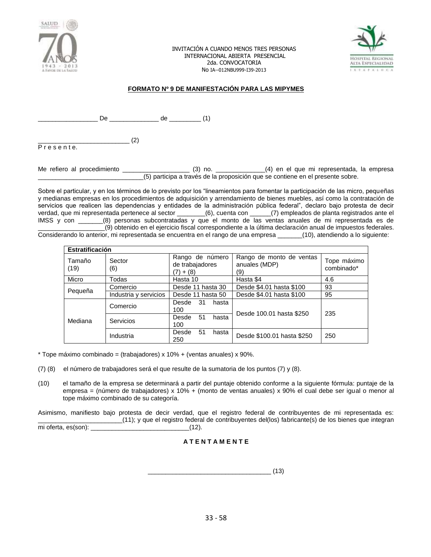



### **FORMATO Nº 9 DE MANIFESTACIÓN PARA LAS MIPYMES**

\_\_ De \_\_\_\_\_\_\_\_\_\_\_\_\_ de \_\_\_\_\_\_\_\_\_ (1)

 $\qquad \qquad (2)$ P r e s e n t e.

Me refiero al procedimiento \_\_\_\_\_\_\_\_\_\_\_\_\_\_\_\_\_\_\_ (3) no. \_\_\_\_\_\_\_\_\_\_\_\_\_\_(4) en el que mi representada, la empresa \_\_\_\_\_\_\_\_\_\_\_\_\_\_\_\_\_\_\_\_\_\_\_\_\_\_\_\_\_\_(5) participa a través de la proposición que se contiene en el presente sobre.

Sobre el particular, y en los términos de lo previsto por los "lineamientos para fomentar la participación de las micro, pequeñas y medianas empresas en los procedimientos de adquisición y arrendamiento de bienes muebles, así como la contratación de servicios que realicen las dependencias y entidades de la administración pública federal", declaro bajo protesta de decir verdad, que mi representada pertenece al sector \_\_\_\_\_\_\_\_(6), cuenta con \_\_\_\_\_\_(7) empleados de planta registrados ante el IMSS y con \_\_\_\_\_\_\_(8) personas subcontratadas y que el monto de las ventas anuales de mi representada es de \_\_\_\_\_\_\_\_\_\_\_\_\_\_\_\_\_\_\_(9) obtenido en el ejercicio fiscal correspondiente a la última declaración anual de impuestos federales. Considerando lo anterior, mi representada se encuentra en el rango de una empresa \_\_\_\_\_\_\_(10), atendiendo a lo siguiente:

|                | <b>Estratificación</b> |                                                     |                                                  |                           |  |  |  |
|----------------|------------------------|-----------------------------------------------------|--------------------------------------------------|---------------------------|--|--|--|
| Tamaño<br>(19) | Sector<br>(6)          | Rango de número<br>de trabajadores<br>$+ (8)$<br>7) | Rango de monto de ventas<br>anuales (MDP)<br>(9) | Tope máximo<br>combinado* |  |  |  |
| Micro          | Todas                  | Hasta 10                                            | Hasta \$4                                        | 4.6                       |  |  |  |
|                | Comercio               | Desde 11 hasta 30                                   | Desde \$4.01 hasta \$100                         | 93                        |  |  |  |
| Pequeña        | Industria y servicios  | Desde 11 hasta 50                                   | Desde \$4.01 hasta \$100                         | 95                        |  |  |  |
| Mediana        | Comercio               | -31<br>Desde<br>hasta<br>100                        | Desde 100.01 hasta \$250                         | 235                       |  |  |  |
|                | Servicios              | 51<br>Desde<br>hasta<br>100                         |                                                  |                           |  |  |  |
|                | Industria              | 51<br>Desde<br>hasta<br>250                         | Desde \$100.01 hasta \$250                       | 250                       |  |  |  |

 $*$  Tope máximo combinado = (trabajadores) x 10% + (ventas anuales) x 90%.

- (7) (8) el número de trabajadores será el que resulte de la sumatoria de los puntos (7) y (8).
- (10) el tamaño de la empresa se determinará a partir del puntaje obtenido conforme a la siguiente fórmula: puntaje de la empresa = (número de trabajadores) x 10% + (monto de ventas anuales) x 90% el cual debe ser igual o menor al tope máximo combinado de su categoría.

Asimismo, manifiesto bajo protesta de decir verdad, que el registro federal de contribuyentes de mi representada es: \_\_\_\_\_\_\_\_\_\_\_\_\_\_\_\_\_\_\_\_\_\_\_\_(11); y que el registro federal de contribuyentes del(los) fabricante(s) de los bienes que integran mi oferta, es(son):  $(12)$ .

# **A T E N T A M E N T E**

\_\_\_\_\_\_\_\_\_\_\_\_\_\_\_\_\_\_\_\_\_\_\_\_\_\_\_\_\_\_\_\_\_\_\_ (13)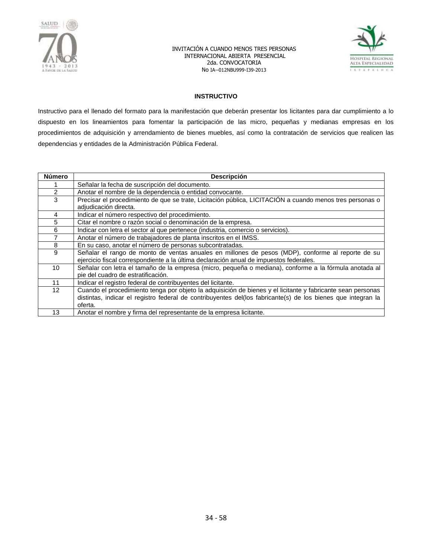



### **INSTRUCTIVO**

Instructivo para el llenado del formato para la manifestación que deberán presentar los licitantes para dar cumplimiento a lo dispuesto en los lineamientos para fomentar la participación de las micro, pequeñas y medianas empresas en los procedimientos de adquisición y arrendamiento de bienes muebles, así como la contratación de servicios que realicen las dependencias y entidades de la Administración Pública Federal.

| <b>Número</b>     | <b>Descripción</b>                                                                                                                                                                                                                     |
|-------------------|----------------------------------------------------------------------------------------------------------------------------------------------------------------------------------------------------------------------------------------|
|                   | Señalar la fecha de suscripción del documento.                                                                                                                                                                                         |
| 2                 | Anotar el nombre de la dependencia o entidad convocante.                                                                                                                                                                               |
| 3                 | Precisar el procedimiento de que se trate, Licitación pública, LICITACIÓN a cuando menos tres personas o<br>adjudicación directa.                                                                                                      |
| 4                 | Indicar el número respectivo del procedimiento.                                                                                                                                                                                        |
| 5                 | Citar el nombre o razón social o denominación de la empresa.                                                                                                                                                                           |
| 6                 | Indicar con letra el sector al que pertenece (industria, comercio o servicios).                                                                                                                                                        |
|                   | Anotar el número de trabajadores de planta inscritos en el IMSS.                                                                                                                                                                       |
| 8                 | En su caso, anotar el número de personas subcontratadas.                                                                                                                                                                               |
| 9                 | Señalar el rango de monto de ventas anuales en millones de pesos (MDP), conforme al reporte de su<br>ejercicio fiscal correspondiente a la última declaración anual de impuestos federales.                                            |
| 10                | Señalar con letra el tamaño de la empresa (micro, pequeña o mediana), conforme a la fórmula anotada al<br>pie del cuadro de estratificación.                                                                                           |
| 11                | Indicar el registro federal de contribuyentes del licitante.                                                                                                                                                                           |
| $12 \overline{ }$ | Cuando el procedimiento tenga por objeto la adquisición de bienes y el licitante y fabricante sean personas<br>distintas, indicar el registro federal de contribuyentes del(los fabricante(s) de los bienes que integran la<br>oferta. |
| 13                | Anotar el nombre y firma del representante de la empresa licitante.                                                                                                                                                                    |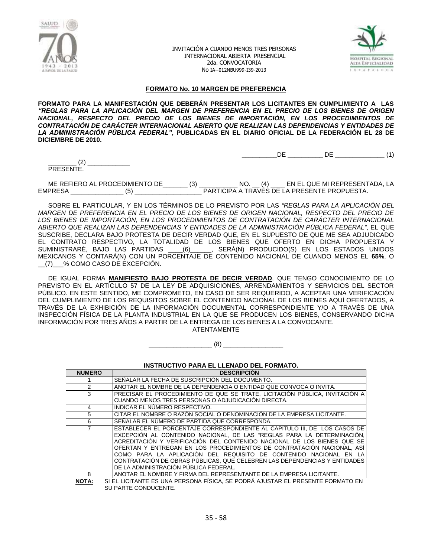



\_\_\_\_\_\_\_\_\_\_DE \_\_\_\_\_\_\_\_\_\_ DE \_\_\_\_\_\_\_\_\_\_\_\_\_\_ (1)

#### **FORMATO No. 10 MARGEN DE PREFERENCIA**

**FORMATO PARA LA MANIFESTACIÓN QUE DEBERÁN PRESENTAR LOS LICITANTES EN CUMPLIMIENTO A LAS**  *"REGLAS PARA LA APLICACIÓN DEL MARGEN DE PREFERENCIA EN EL PRECIO DE LOS BIENES DE ORIGEN NACIONAL, RESPECTO DEL PRECIO DE LOS BIENES DE IMPORTACIÓN, EN LOS PROCEDIMIENTOS DE CONTRATACIÓN DE CARÁCTER INTERNACIONAL ABIERTO QUE REALIZAN LAS DEPENDENCIAS Y ENTIDADES DE LA ADMINISTRACIÓN PÚBLICA FEDERAL"***, PUBLICADAS EN EL DIARIO OFICIAL DE LA FEDERACIÓN EL 28 DE DICIEMBRE DE 2010.**

 $(2)$ PRESENTE.

ME REFIERO AL PROCEDIMIENTO DE\_\_\_\_\_\_\_ (3) \_\_\_\_\_\_\_\_\_\_\_ NO. \_\_ (4) \_\_\_\_ EN EL QUE MI REPRESENTADA, LA EMPRESA \_\_\_\_\_\_\_\_\_\_\_\_\_\_\_ (5) \_\_\_\_\_\_\_\_\_\_\_\_\_\_\_\_\_\_\_ PARTICIPA A TRAVÉS DE LA PRESENTE PROPUESTA.

SOBRE EL PARTICULAR, Y EN LOS TÉRMINOS DE LO PREVISTO POR LAS *"REGLAS PARA LA APLICACIÓN DEL MARGEN DE PREFERENCIA EN EL PRECIO DE LOS BIENES DE ORIGEN NACIONAL, RESPECTO DEL PRECIO DE LOS BIENES DE IMPORTACIÓN, EN LOS PROCEDIMIENTOS DE CONTRATACIÓN DE CARÁCTER INTERNACIONAL ABIERTO QUE REALIZAN LAS DEPENDENCIAS Y ENTIDADES DE LA ADMINISTRACIÓN PÚBLICA FEDERAL"*, EL QUE SUSCRIBE, DECLARA BAJO PROTESTA DE DECIR VERDAD QUE, EN EL SUPUESTO DE QUE ME SEA ADJUDICADO EL CONTRATO RESPECTIVO, LA TOTALIDAD DE LOS BIENES QUE OFERTO EN DICHA PROPUESTA Y SUMINISTRARÉ, BAJO LAS PARTIDAS \_\_\_\_(6)\_\_\_\_\_\_, SERÁ(N) PRODUCIDO(S) EN LOS ESTADOS UNIDOS MEXICANOS Y CONTARÁ(N) CON UN PORCENTAJE DE CONTENIDO NACIONAL DE CUANDO MENOS EL **65%**, O \_\_(7)\_\_\_% COMO CASO DE EXCEPCIÓN.

DE IGUAL FORMA **MANIFIESTO BAJO PROTESTA DE DECIR VERDAD**, QUE TENGO CONOCIMIENTO DE LO PREVISTO EN EL ARTÍCULO 57 DE LA LEY DE ADQUISICIONES, ARRENDAMIENTOS Y SERVICIOS DEL SECTOR PÚBLICO. EN ESTE SENTIDO, ME COMPROMETO, EN CASO DE SER REQUERIDO, A ACEPTAR UNA VERIFICACIÓN DEL CUMPLIMIENTO DE LOS REQUISITOS SOBRE EL CONTENIDO NACIONAL DE LOS BIENES AQUÍ OFERTADOS, A TRAVÉS DE LA EXHIBICIÓN DE LA INFORMACIÓN DOCUMENTAL CORRESPONDIENTE Y/O A TRAVÉS DE UNA INSPECCIÓN FÍSICA DE LA PLANTA INDUSTRIAL EN LA QUE SE PRODUCEN LOS BIENES, CONSERVANDO DICHA INFORMACIÓN POR TRES AÑOS A PARTIR DE LA ENTREGA DE LOS BIENES A LA CONVOCANTE. ATENTAMENTE

 $(8)$ 

**INSTRUCTIVO PARA EL LLENADO DEL FORMATO.**

| <b>NUMERO</b> | <b>DESCRIPCIÓN</b>                                                                                                                                                                                                                                                                                                                                                                                                                                                                                  |
|---------------|-----------------------------------------------------------------------------------------------------------------------------------------------------------------------------------------------------------------------------------------------------------------------------------------------------------------------------------------------------------------------------------------------------------------------------------------------------------------------------------------------------|
|               | SEÑALAR LA FECHA DE SUSCRIPCIÓN DEL DOCUMENTO.                                                                                                                                                                                                                                                                                                                                                                                                                                                      |
| 2             | ANOTAR EL NOMBRE DE LA DEPENDENCIA O ENTIDAD QUE CONVOCA O INVITA.                                                                                                                                                                                                                                                                                                                                                                                                                                  |
| 3             | PRECISAR EL PROCEDIMIENTO DE QUE SE TRATE. LICITACIÓN PÚBLICA. INVITACIÓN A                                                                                                                                                                                                                                                                                                                                                                                                                         |
|               | CUANDO MENOS TRES PERSONAS O ADJUDICACIÓN DIRECTA.                                                                                                                                                                                                                                                                                                                                                                                                                                                  |
| 4             | INDICAR EL NUMERO RESPECTIVO.                                                                                                                                                                                                                                                                                                                                                                                                                                                                       |
| 5             | CITAR EL NOMBRE O RAZON SOCIAL O DENOMINACION DE LA EMPRESA LICITANTE.                                                                                                                                                                                                                                                                                                                                                                                                                              |
| 6             | SEÑALAR EL NUMERO DE PARTIDA QUE CORRESPONDA.                                                                                                                                                                                                                                                                                                                                                                                                                                                       |
|               | ESTABLECER EL PORCENTAJE CORRESPONDIENTE AL CAPITULO III, DE LOS CASOS DE<br>EXCEPCIÓN AL CONTENIDO NACIONAL, DE LAS "REGLAS PARA LA DETERMINACIÓN,<br>ACREDITACIÓN Y VERIFICACIÓN DEL CONTENIDO NACIONAL DE LOS BIENES QUE SE<br>OFERTAN Y ENTREGAN EN LOS PROCEDIMIENTOS DE CONTRATACIÓN NACIONAL. ASÍ<br>COMO PARA LA APLICACIÓN DEL REQUISITO DE CONTENIDO NACIONAL EN LA<br>CONTRATACIÓN DE OBRAS PÚBLICAS, QUE CELEBREN LAS DEPENDENCIAS Y ENTIDADES<br>DE LA ADMINISTRACIÓN PÚBLICA FEDERAL. |
| 8             | ANOTAR EL NOMBRE Y FIRMA DEL REPRESENTANTE DE LA EMPRESA LICITANTE.                                                                                                                                                                                                                                                                                                                                                                                                                                 |

**NOTA:** SI EL LICITANTE ES UNA PERSONA FÍSICA, SE PODRÁ AJUSTAR EL PRESENTE FORMATO EN SU PARTE CONDUCENTE.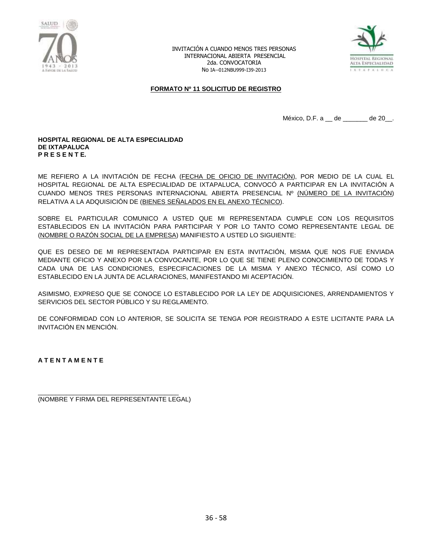



#### **FORMATO Nº 11 SOLICITUD DE REGISTRO**

México, D.F. a \_\_ de \_\_\_\_\_\_\_ de 20\_\_.

#### **HOSPITAL REGIONAL DE ALTA ESPECIALIDAD DE IXTAPALUCA P R E S E N T E.**

ME REFIERO A LA INVITACIÓN DE FECHA (FECHA DE OFICIO DE INVITACIÓN), POR MEDIO DE LA CUAL EL HOSPITAL REGIONAL DE ALTA ESPECIALIDAD DE IXTAPALUCA, CONVOCÓ A PARTICIPAR EN LA INVITACIÓN A CUANDO MENOS TRES PERSONAS INTERNACIONAL ABIERTA PRESENCIAL Nº (NÚMERO DE LA INVITACIÓN) RELATIVA A LA ADQUISICIÓN DE (BIENES SEÑALADOS EN EL ANEXO TÉCNICO).

SOBRE EL PARTICULAR COMUNICO A USTED QUE MI REPRESENTADA CUMPLE CON LOS REQUISITOS ESTABLECIDOS EN LA INVITACIÓN PARA PARTICIPAR Y POR LO TANTO COMO REPRESENTANTE LEGAL DE (NOMBRE O RAZÓN SOCIAL DE LA EMPRESA) MANIFIESTO A USTED LO SIGUIENTE:

QUE ES DESEO DE MI REPRESENTADA PARTICIPAR EN ESTA INVITACIÓN, MISMA QUE NOS FUE ENVIADA MEDIANTE OFICIO Y ANEXO POR LA CONVOCANTE, POR LO QUE SE TIENE PLENO CONOCIMIENTO DE TODAS Y CADA UNA DE LAS CONDICIONES, ESPECIFICACIONES DE LA MISMA Y ANEXO TÉCNICO, ASÍ COMO LO ESTABLECIDO EN LA JUNTA DE ACLARACIONES, MANIFESTANDO MI ACEPTACIÓN.

ASIMISMO, EXPRESO QUE SE CONOCE LO ESTABLECIDO POR LA LEY DE ADQUISICIONES, ARRENDAMIENTOS Y SERVICIOS DEL SECTOR PÚBLICO Y SU REGLAMENTO.

DE CONFORMIDAD CON LO ANTERIOR, SE SOLICITA SE TENGA POR REGISTRADO A ESTE LICITANTE PARA LA INVITACIÓN EN MENCIÓN.

**A T E N T A M E N T E**

\_\_\_\_\_\_\_\_\_\_\_\_\_\_\_\_\_\_\_\_\_\_\_\_\_\_\_\_\_\_\_\_\_\_\_\_\_\_\_\_ (NOMBRE Y FIRMA DEL REPRESENTANTE LEGAL)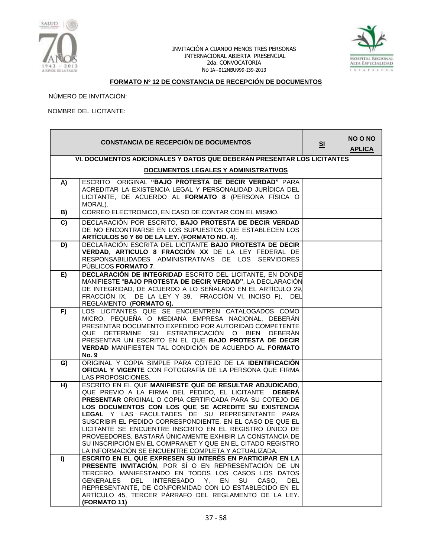



# **FORMATO Nº 12 DE CONSTANCIA DE RECEPCIÓN DE DOCUMENTOS**

NÚMERO DE INVITACIÓN:

#### NOMBRE DEL LICITANTE:

|    | <b>CONSTANCIA DE RECEPCIÓN DE DOCUMENTOS</b>                                                                                                                                                                                                                                                                                                                                                                                                                                                                                                                                                      | S <sub>1</sub> | NO O NO<br><b>APLICA</b> |
|----|---------------------------------------------------------------------------------------------------------------------------------------------------------------------------------------------------------------------------------------------------------------------------------------------------------------------------------------------------------------------------------------------------------------------------------------------------------------------------------------------------------------------------------------------------------------------------------------------------|----------------|--------------------------|
|    | VI. DOCUMENTOS ADICIONALES Y DATOS QUE DEBERÁN PRESENTAR LOS LICITANTES                                                                                                                                                                                                                                                                                                                                                                                                                                                                                                                           |                |                          |
|    | <b>DOCUMENTOS LEGALES Y ADMINISTRATIVOS</b>                                                                                                                                                                                                                                                                                                                                                                                                                                                                                                                                                       |                |                          |
| A) | ESCRITO ORIGINAL "BAJO PROTESTA DE DECIR VERDAD" PARA<br>ACREDITAR LA EXISTENCIA LEGAL Y PERSONALIDAD JURÍDICA DEL<br>LICITANTE, DE ACUERDO AL FORMATO 8 (PERSONA FÍSICA O<br>MORAL).                                                                                                                                                                                                                                                                                                                                                                                                             |                |                          |
| B) | CORREO ELECTRONICO, EN CASO DE CONTAR CON EL MISMO.                                                                                                                                                                                                                                                                                                                                                                                                                                                                                                                                               |                |                          |
| C) | DECLARACIÓN POR ESCRITO, BAJO PROTESTA DE DECIR VERDAD<br>DE NO ENCONTRARSE EN LOS SUPUESTOS QUE ESTABLECEN LOS<br>ARTÍCULOS 50 Y 60 DE LA LEY. (FORMATO NO. 4).                                                                                                                                                                                                                                                                                                                                                                                                                                  |                |                          |
| D) | DECLARACIÓN ESCRITA DEL LICITANTE BAJO PROTESTA DE DECIR<br>VERDAD, ARTICULO 8 FRACCIÓN XX DE LA LEY FEDERAL DE<br>RESPONSABILIDADES ADMINISTRATIVAS DE LOS SERVIDORES<br>PUBLICOS FORMATO 7.                                                                                                                                                                                                                                                                                                                                                                                                     |                |                          |
| E) | DECLARACIÓN DE INTEGRIDAD ESCRITO DEL LICITANTE, EN DONDE<br>MANIFIESTE "BAJO PROTESTA DE DECIR VERDAD", LA DECLARACIÓN<br>DE INTEGRIDAD, DE ACUERDO A LO SEÑALADO EN EL ARTÍCULO 29.<br>FRACCIÓN IX, DE LA LEY Y 39, FRACCIÓN VI, INCISO F), DEL<br>REGLAMENTO (FORMATO 6).                                                                                                                                                                                                                                                                                                                      |                |                          |
| F) | LOS LICITANTES QUE SE ENCUENTREN CATALOGADOS COMO<br>MICRO, PEQUEÑA O MEDIANA EMPRESA NACIONAL, DEBERÁN<br>PRESENTAR DOCUMENTO EXPEDIDO POR AUTORIDAD COMPETENTE<br>QUE DETERMINE SU ESTRATIFICACIÓN O BIEN DEBERÁN<br>PRESENTAR UN ESCRITO EN EL QUE BAJO PROTESTA DE DECIR<br>VERDAD MANIFIESTEN TAL CONDICIÓN DE ACUERDO AL FORMATO<br><b>No. 9</b>                                                                                                                                                                                                                                            |                |                          |
| G) | ORIGINAL Y COPIA SIMPLE PARA COTEJO DE LA IDENTIFICACIÓN<br>OFICIAL Y VIGENTE CON FOTOGRAFÍA DE LA PERSONA QUE FIRMA<br>LAS PROPOSICIONES.                                                                                                                                                                                                                                                                                                                                                                                                                                                        |                |                          |
| H) | ESCRITO EN EL QUE MANIFIESTE QUE DE RESULTAR ADJUDICADO,<br>QUE PREVIO A LA FIRMA DEL PEDIDO, EL LICITANTE DEBERÁ<br>PRESENTAR ORIGINAL O COPIA CERTIFICADA PARA SU COTEJO DE<br>LOS DOCUMENTOS CON LOS QUE SE ACREDITE SU EXISTENCIA<br>LEGAL Y LAS FACULTADES DE SU REPRESENTANTE PARA<br>SUSCRIBIR EL PEDIDO CORRESPONDIENTE. EN EL CASO DE QUE EL<br>LICITANTE SE ENCUENTRE INSCRITO EN EL REGISTRO ÚNICO DE<br>PROVEEDORES, BASTARÁ ÚNICAMENTE EXHIBIR LA CONSTANCIA DE<br>SU INSCRIPCIÓN EN EL COMPRANET Y QUE EN EL CITADO REGISTRO<br>LA INFORMACIÓN SE ENCUENTRE COMPLETA Y ACTUALIZADA. |                |                          |
| I) | ESCRITO EN EL QUE EXPRESEN SU INTERÉS EN PARTICIPAR EN LA<br>PRESENTE INVITACIÓN, POR SÍ O EN REPRESENTACIÓN DE UN<br>TERCERO, MANIFESTANDO EN TODOS LOS CASOS LOS DATOS<br>INTERESADO Y, EN<br>GENERALES<br>DEL<br>SU CASO,<br><b>DEL</b><br>REPRESENTANTE, DE CONFORMIDAD CON LO ESTABLECIDO EN EL<br>ARTÍCULO 45, TERCER PÁRRAFO DEL REGLAMENTO DE LA LEY.<br>(FORMATO 11)                                                                                                                                                                                                                     |                |                          |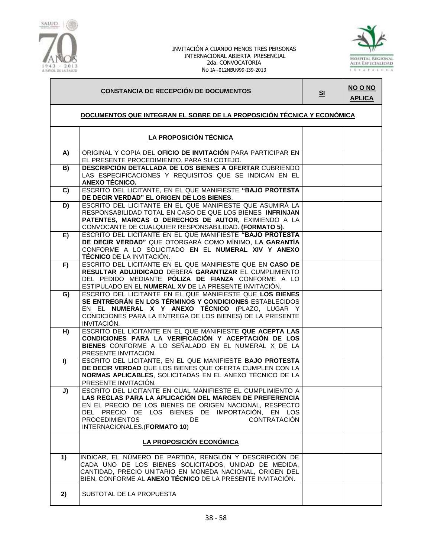



# **CONSTANCIA DE RECEPCIÓN DE DOCUMENTOS SI**

**NO O NO APLICA**

# **DOCUMENTOS QUE INTEGRAN EL SOBRE DE LA PROPOSICIÓN TÉCNICA Y ECONÓMICA**

|    | LA PROPOSICIÓN TÉCNICA                                                                                                                                                                                                                                                                                                     |  |
|----|----------------------------------------------------------------------------------------------------------------------------------------------------------------------------------------------------------------------------------------------------------------------------------------------------------------------------|--|
| A) | ORIGINAL Y COPIA DEL OFICIO DE INVITACIÓN PARA PARTICIPAR EN<br>EL PRESENTE PROCEDIMIENTO, PARA SU COTEJO.                                                                                                                                                                                                                 |  |
| B) | DESCRIPCIÓN DETALLADA DE LOS BIENES A OFERTAR CUBRIENDO<br>LAS ESPECIFICACIONES Y REQUISITOS QUE SE INDICAN EN EL<br>ANEXO TÉCNICO.                                                                                                                                                                                        |  |
| C) | ESCRITO DEL LICITANTE, EN EL QUE MANIFIESTE "BAJO PROTESTA<br>DE DECIR VERDAD" EL ORIGEN DE LOS BIENES.                                                                                                                                                                                                                    |  |
| D) | ESCRITO DEL LICITANTE EN EL QUE MANIFIESTE QUE ASUMIRÁ LA<br>RESPONSABILIDAD TOTAL EN CASO DE QUE LOS BIENES INFRINJAN<br>PATENTES, MARCAS O DERECHOS DE AUTOR, EXIMIENDO A LA<br>CONVOCANTE DE CUALQUIER RESPONSABILIDAD. (FORMATO 5).                                                                                    |  |
| E) | ESCRITO DEL LICITANTE EN EL QUE MANIFIESTE "BAJO PROTESTA<br>DE DECIR VERDAD" QUE OTORGARÁ COMO MÍNIMO, LA GARANTÍA<br>CONFORME A LO SOLICITADO EN EL NUMERAL XIV Y ANEXO<br><b>TÉCNICO</b> DE LA INVITACIÓN.                                                                                                              |  |
| F) | ESCRITO DEL LICITANTE EN EL QUE MANIFIESTE QUE EN CASO DE<br>RESULTAR ADUJIDICADO DEBERÁ GARANTIZAR EL CUMPLIMIENTO<br>DEL PEDIDO MEDIANTE PÓLIZA DE FIANZA CONFORME A LO<br>ESTIPULADO EN EL NUMERAL XV DE LA PRESENTE INVITACIÓN.                                                                                        |  |
| G) | ESCRITO DEL LICITANTE EN EL QUE MANIFIESTE QUE LOS BIENES<br>SE ENTREGRÁN EN LOS TÉRMINOS Y CONDICIONES ESTABLECIDOS<br>EN EL NUMERAL X Y ANEXO TÉCNICO (PLAZO, LUGAR Y<br>CONDICIONES PARA LA ENTREGA DE LOS BIENES) DE LA PRESENTE<br>INVITACIÓN.                                                                        |  |
| H) | ESCRITO DEL LICITANTE EN EL QUE MANIFIESTE QUE ACEPTA LAS<br>CONDICIONES PARA LA VERIFICACIÓN Y ACEPTACIÓN DE LOS<br>BIENES CONFORME A LO SEÑALADO EN EL NUMERAL X DE LA<br>PRESENTE INVITACIÓN.                                                                                                                           |  |
| I) | ESCRITO DEL LICITANTE, EN EL QUE MANIFIESTE BAJO PROTESTA<br>DE DECIR VERDAD QUE LOS BIENES QUE OFERTA CUMPLEN CON LA<br>NORMAS APLICABLES, SOLICITADAS EN EL ANEXO TÉCNICO DE LA<br>PRESENTE INVITACIÓN.                                                                                                                  |  |
| J) | ESCRITO DEL LICITANTE EN CUAL MANIFIESTE EL CUMPLIMIENTO A<br>LAS REGLAS PARA LA APLICACIÓN DEL MARGEN DE PREFERENCIA<br>EN EL PRECIO DE LOS BIENES DE ORIGEN NACIONAL, RESPECTO<br>DEL PRECIO DE LOS BIENES DE IMPORTACIÓN, EN LOS<br><b>PROCEDIMIENTOS</b><br>DE.<br><b>CONTRATACIÓN</b><br>INTERNACIONALES.(FORMATO 10) |  |
|    | LA PROPOSICIÓN ECONÓMICA                                                                                                                                                                                                                                                                                                   |  |
| 1) | INDICAR, EL NÚMERO DE PARTIDA, RENGLÓN Y DESCRIPCIÓN DE<br>CADA UNO DE LOS BIENES SOLICITADOS, UNIDAD DE MEDIDA,<br>CANTIDAD, PRECIO UNITARIO EN MONEDA NACIONAL, ORIGEN DEL<br>BIEN, CONFORME AL <b>ANEXO TÉCNICO</b> DE LA PRESENTE INVITACIÓN.                                                                          |  |
| 2) | SUBTOTAL DE LA PROPUESTA                                                                                                                                                                                                                                                                                                   |  |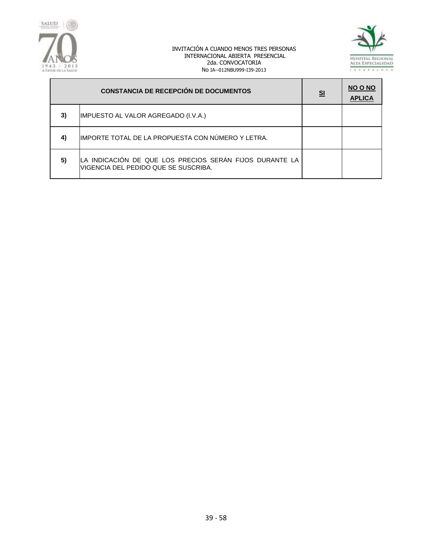



|    | <b>CONSTANCIA DE RECEPCIÓN DE DOCUMENTOS</b>                                                    | <u>sı</u> | NO O NO<br><b>APLICA</b> |
|----|-------------------------------------------------------------------------------------------------|-----------|--------------------------|
| 3) | IMPUESTO AL VALOR AGREGADO (I.V.A.)                                                             |           |                          |
| 4) | IMPORTE TOTAL DE LA PROPUESTA CON NÚMERO Y LETRA.                                               |           |                          |
| 5) | LA INDICACIÓN DE QUE LOS PRECIOS SERÁN FIJOS DURANTE LA<br>VIGENCIA DEL PEDIDO QUE SE SUSCRIBA. |           |                          |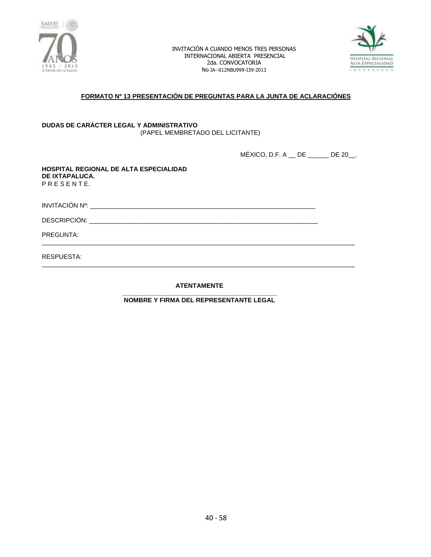



# **FORMATO Nº 13 PRESENTACIÓN DE PREGUNTAS PARA LA JUNTA DE ACLARACIÓNES**

#### **DUDAS DE CARÁCTER LEGAL Y ADMINISTRATIVO** (PAPEL MEMBRETADO DEL LICITANTE)

MÉXICO, D.F. A \_\_ DE \_\_\_\_\_\_ DE 20\_\_.

**HOSPITAL REGIONAL DE ALTA ESPECIALIDAD DE IXTAPALUCA.** P R E S E N T E.

INVITACIÓN Nº: \_\_\_\_\_\_\_\_\_\_\_\_\_\_\_\_\_\_\_\_\_\_\_\_\_\_\_\_\_\_\_\_\_\_\_\_\_\_\_\_\_\_\_\_\_\_\_\_\_\_\_\_\_\_\_\_\_\_\_\_\_\_\_\_

DESCRIPCIÓN: \_\_\_\_\_\_\_\_\_\_\_\_\_\_\_\_\_\_\_\_\_\_\_\_\_\_\_\_\_\_\_\_\_\_\_\_\_\_\_\_\_\_\_\_\_\_\_\_\_\_\_\_\_\_\_\_\_\_\_\_\_\_\_\_\_

PREGUNTA:

RESPUESTA:

**ATENTAMENTE**

\_\_\_\_\_\_\_\_\_\_\_\_\_\_\_\_\_\_\_\_\_\_\_\_\_\_\_\_\_\_\_\_\_\_\_\_\_\_\_\_\_\_\_\_\_\_\_\_\_\_\_\_\_\_\_\_\_\_\_\_\_\_\_\_\_\_\_\_\_\_\_\_\_\_\_\_\_\_\_\_\_\_\_\_\_\_\_\_\_

\_\_\_\_\_\_\_\_\_\_\_\_\_\_\_\_\_\_\_\_\_\_\_\_\_\_\_\_\_\_\_\_\_\_\_\_\_\_\_\_\_\_\_\_\_\_\_\_\_\_\_\_\_\_\_\_\_\_\_\_\_\_\_\_\_\_\_\_\_\_\_\_\_\_\_\_\_\_\_\_\_\_\_\_\_\_\_\_\_

**\_\_\_\_\_\_\_\_\_\_\_\_\_\_\_\_\_\_\_\_\_\_\_\_\_\_\_\_\_\_\_\_\_\_\_\_\_\_\_\_\_\_\_\_ NOMBRE Y FIRMA DEL REPRESENTANTE LEGAL**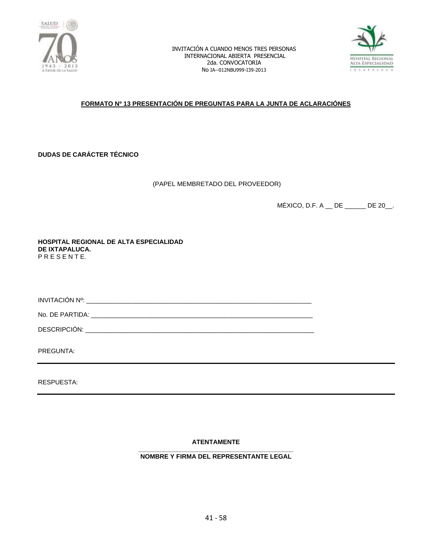



# **FORMATO Nº 13 PRESENTACIÓN DE PREGUNTAS PARA LA JUNTA DE ACLARACIÓNES**

**DUDAS DE CARÁCTER TÉCNICO**

(PAPEL MEMBRETADO DEL PROVEEDOR)

MÉXICO, D.F. A \_\_ DE \_\_\_\_\_\_ DE 20\_\_.

**HOSPITAL REGIONAL DE ALTA ESPECIALIDAD DE IXTAPALUCA.** P R E S E N T E.

INVITACIÓN Nº: \_\_\_\_\_\_\_\_\_\_\_\_\_\_\_\_\_\_\_\_\_\_\_\_\_\_\_\_\_\_\_\_\_\_\_\_\_\_\_\_\_\_\_\_\_\_\_\_\_\_\_\_\_\_\_\_\_\_\_\_\_\_\_\_

No. DE PARTIDA: \_\_\_\_\_\_\_\_\_\_\_\_\_\_\_\_\_\_\_\_\_\_\_\_\_\_\_\_\_\_\_\_\_\_\_\_\_\_\_\_\_\_\_\_\_\_\_\_\_\_\_\_\_\_\_\_\_\_\_\_\_\_\_

DESCRIPCIÓN: \_\_\_\_\_\_\_\_\_\_\_\_\_\_\_\_\_\_\_\_\_\_\_\_\_\_\_\_\_\_\_\_\_\_\_\_\_\_\_\_\_\_\_\_\_\_\_\_\_\_\_\_\_\_\_\_\_\_\_\_\_\_\_\_\_

PREGUNTA:

RESPUESTA:

**ATENTAMENTE**

**\_\_\_\_\_\_\_\_\_\_\_\_\_\_\_\_\_\_\_\_\_\_\_\_\_\_\_\_\_\_\_\_\_\_\_\_\_\_\_\_\_\_\_\_ NOMBRE Y FIRMA DEL REPRESENTANTE LEGAL**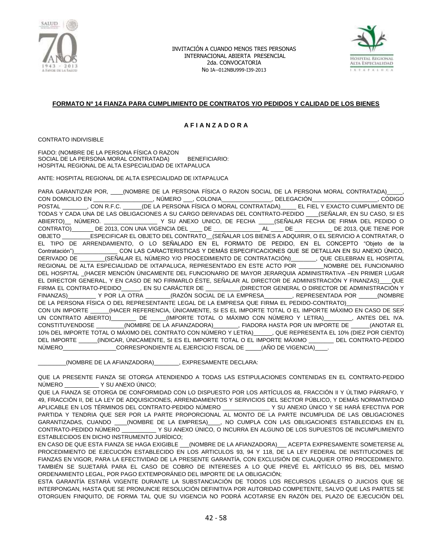



### **FORMATO Nº 14 FIANZA PARA CUMPLIMIENTO DE CONTRATOS Y/O PEDIDOS Y CALIDAD DE LOS BIENES**

### **A F I A N Z A D O R A**

CONTRATO INDIVISIBLE

FIADO: (NOMBRE DE LA PERSONA FÍSICA O RAZON SOCIAL DE LA PERSONA MORAL CONTRATADA) BENEFICIARIO: HOSPITAL REGIONAL DE ALTA ESPECIALIDAD DE IXTAPALUCA

ANTE: HOSPITAL REGIONAL DE ALTA ESPECIALIDAD DE IXTAPALUCA

PARA GARANTIZAR POR, \_\_\_\_\_(NOMBRE DE LA PERSONA FÍSICA O RAZON SOCIAL DE LA PERSONA MORAL CONTRATADA) CON DOMICILIO EN \_\_\_\_\_\_\_\_\_\_\_\_\_\_\_\_\_\_\_, NÚMERO \_\_\_, COLONIA\_\_\_\_\_\_\_\_\_\_\_\_\_\_\_\_, DELEGACIÓN\_\_\_\_\_\_\_\_\_\_\_\_\_\_\_\_\_\_\_\_\_, CÓDIGO POSTAL \_\_\_\_\_\_\_\_, CON R.F.C. \_\_\_\_\_\_(DE LA PERSONA FÍSICA O MORAL CONTRATADA)\_\_\_\_\_ EL FIEL Y EXACTO CUMPLIMIENTO DE TODAS Y CADA UNA DE LAS OBLIGACIONES A SU CARGO DERIVADAS DEL CONTRATO-PEDIDO \_\_\_\_(SEÑALAR, EN SU CASO, SI ES ABIERTO)\_\_ NÚMERO. \_\_\_\_\_\_\_\_\_\_\_\_\_\_\_\_\_ Y SU ANEXO UNICO, DE FECHA \_\_\_\_\_(SEÑALAR FECHA DE FIRMA DEL PEDIDO O CONTRATO)\_\_\_\_\_\_\_ DE 2013, CON UNA VIGENCIA DEL \_\_\_\_ DE \_\_\_\_\_\_\_\_\_\_\_\_\_\_\_ AL \_\_\_\_ DE \_\_\_\_\_\_\_\_\_\_\_\_ DE 2013, QUE TIENE POR OBJETO \_\_\_\_\_\_\_\_\_ESPECIFICAR EL OBJETO DEL CONTRATO\_\_(SEÑALAR LOS BIENES A ADQUIRIR, O EL SERVICIO A CONTRATAR, O EL TIPO DE ARRENDAMIENTO, O LO SEÑALADO EN EL FORMATO DE PEDIDO, EN EL CONCEPTO "Objeto de la Contratación")\_\_\_\_\_\_\_\_\_\_\_\_\_\_ CON LAS CARACTERISTICAS Y DEMÁS ESPECIFICACIONES QUE SE DETALLAN EN SU ANEXO ÚNICO, DERIVADO DE \_\_\_\_\_\_\_\_(SEÑALAR EL NÚMERO Y/O PROCEDIMIENTO DE CONTRATACIÓN)\_\_\_\_\_\_\_\_, QUE CELEBRAN EL HOSPITAL REGIONAL DE ALTA ESPECIALIDAD DE IXTAPALUCA, REPRESENTADO EN ESTE ACTO POR \_\_\_\_\_\_\_\_NOMBRE DEL FUNCIONARIO DEL HOSPITAL \_(HACER MENCIÓN ÚNICAMENTE DEL FUNCIONARIO DE MAYOR JERARQUIA ADMINISTRATIVA –EN PRIMER LUGAR EL DIRECTOR GENERAL, Y EN CASO DE NO FIRMARLO ÉSTE, SEÑALAR AL DIRECTOR DE ADMINISTRACIÓN Y FINANZAS)\_\_\_\_QUE FIRMA EL CONTRATO-PEDIDO\_\_\_\_\_, EN SU CARÁCTER DE \_\_\_\_\_\_\_\_\_\_(DIRECTOR GENERAL O DIRECTOR DE ADMINISTRACIÓN Y<br>FINANZAS) Y POR LA OTRA (RAZÓN SOCIAL DE LA EMPRESA REPRESENTADA POR FINANZAS)\_\_\_\_\_\_\_\_\_ Y POR LA OTRA \_\_\_\_\_\_\_\_(RAZÓN SOCIAL DE LA EMPRESA\_\_\_\_\_\_\_\_\_, REPRESENTADA POR \_\_\_\_\_\_(NOMBRE DE LA PERSONA FÍSICA O DEL REPRESENTANTE LEGAL DE LA EMPRESA QUE FIRMA EL PEDIDO-CONTRATO) CON UN IMPORTE \_\_\_\_\_\_(HACER REFERENCIA, ÚNICAMENTE, SI ES EL IMPORTE TOTAL O EL IMPORTE MÁXIMO EN CASO DE SER UN CONTRATO ABIERTO)\_\_\_\_\_\_\_\_ DE \_\_\_\_\_(IMPORTE TOTAL O MÁXIMO CON NÚMERO Y LETRA)\_\_\_\_\_\_\_\_\_, ANTES DEL IVA. CONSTITUYENDOSE \_\_\_\_\_\_\_\_\_(NOMBRE DE LA AFIANZADORA)\_\_\_\_\_\_\_\_, FIADORA HASTA POR UN IMPORTE DE \_\_\_\_\_\_(ANOTAR EL 10% DEL IMPORTE TOTAL O MÁXIMO DEL CONTRATO CON NÚMERO Y LETRA)\_\_\_\_\_\_, QUE REPRESENTA EL 10% (DIEZ POR CIENTO) DEL IMPORTE \_\_\_\_\_\_(INDICAR, ÚNICAMENTE, SI ES EL IMPORTE TOTAL O EL IMPORTE MÁXIMO \_\_\_\_\_\_\_\_ DEL CONTRATO-PEDIDO NÚMERO\_\_\_\_\_\_\_\_\_\_\_\_\_\_\_\_\_\_CORRESPONDIENTE AL EJERCICIO FISCAL DE \_\_\_\_\_(AÑO DE VIGENCIA)\_

\_\_\_\_\_\_\_\_\_(NOMBRE DE LA AFIANZADORA)\_\_\_\_\_\_\_\_, EXPRESAMENTE DECLARA:

QUE LA PRESENTE FIANZA SE OTORGA ATENDIENDO A TODAS LAS ESTIPULACIONES CONTENIDAS EN EL CONTRATO-PEDIDO NÚMERO \_\_\_\_\_\_\_\_\_\_\_ Y SU ANEXO ÚNICO;

QUE LA FIANZA SE OTORGA DE CONFORMIDAD CON LO DISPUESTO POR LOS ARTÍCULOS 48, FRACCIÓN II Y ÚLTIMO PÁRRAFO, Y 49, FRACCIÓN II, DE LA LEY DE ADQUISICIONES, ARRENDAMIENTOS Y SERVICIOS DEL SECTOR PÚBLICO, Y DEMÁS NORMATIVIDAD APLICABLE EN LOS TÉRMINOS DEL CONTRATO-PEDIDO NÚMERO \_\_\_\_\_\_\_\_\_\_\_\_\_\_\_ Y SU ANEXO ÚNICO Y SE HARÁ EFECTIVA POR PARTIDA Y TENDRIA QUE SER POR LA PARTE PROPORCIONAL AL MONTO DE LA PARTE INCUMPLIDA DE LAS OBLIGACIONES GARANTIZADAS, CUANDO \_\_\_\_(NOMBRE DE LA EMPRESA)\_\_\_\_, NO CUMPLA CON LAS OBLIGACIONES ESTABLECIDAS EN EL CONTRATO-PEDIDO NÚMERO \_\_\_\_\_\_\_\_\_\_\_ Y SU ANEXO ÚNICO, O INCURRA EN ALGUNO DE LOS SUPUESTOS DE INCUMPLIMIENTO ESTABLECIDOS EN DICHO INSTRUMENTO JURÍDICO;

EN CASO DE QUE ESTA FIANZA SE HAGA EXIGIBLE \_\_\_(NOMBRE DE LA AFIANZADORA)\_\_\_ ACEPTA EXPRESAMENTE SOMETERSE AL PROCEDIMIENTO DE EJECUCIÓN ESTABLECIDO EN LOS ARTICULOS 93, 94 Y 118, DE LA LEY FEDERAL DE INSTITUCIONES DE FIANZAS EN VIGOR, PARA LA EFECTIVIDAD DE LA PRESENTE GARANTÍA, CON EXCLUSIÓN DE CUALQUIER OTRO PROCEDIMIENTO. TAMBIÉN SE SUJETARÁ PARA EL CASO DE COBRO DE INTERESES A LO QUE PREVÉ EL ARTÍCULO 95 BIS, DEL MISMO ORDENAMIENTO LEGAL, POR PAGO EXTEMPORÁNEO DEL IMPORTE DE LA OBLIGACIÓN;

ESTA GARANTÍA ESTARÁ VIGENTE DURANTE LA SUBSTANCIACIÓN DE TODOS LOS RECURSOS LEGALES O JUICIOS QUE SE INTERPONGAN, HASTA QUE SE PRONUNCIE RESOLUCIÓN DEFINITIVA POR AUTORIDAD COMPETENTE, SALVO QUE LAS PARTES SE OTORGUEN FINIQUITO, DE FORMA TAL QUE SU VIGENCIA NO PODRÁ ACOTARSE EN RAZÓN DEL PLAZO DE EJECUCIÓN DEL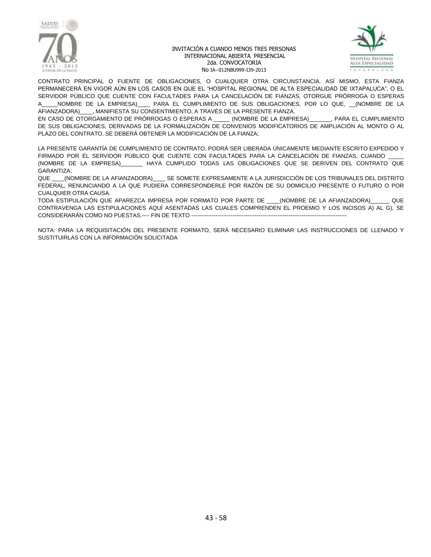



CONTRATO PRINCIPAL O FUENTE DE OBLIGACIONES, O CUALQUIER OTRA CIRCUNSTANCIA. ASÍ MISMO, ESTA FIANZA PERMANECERÁ EN VIGOR AÚN EN LOS CASOS EN QUE EL "HOSPITAL REGIONAL DE ALTA ESPECIALIDAD DE IXTAPALUCA", O EL SERVIDOR PÚBLICO QUE CUENTE CON FACULTADES PARA LA CANCELACIÓN DE FIANZAS, OTORGUE PRÓRROGA O ESPERAS A\_\_\_\_\_NOMBRE DE LA EMPRESA)\_\_\_\_ PARA EL CUMPLIMIENTO DE SUS OBLIGACIONES, POR LO QUE, \_\_(NOMBRE DE LA AFIANZADORA)\_\_\_\_, MANIFIESTA SU CONSENTIMIENTO, A TRAVÉS DE LA PRESENTE FIANZA.

EN CASO DE OTORGAMIENTO DE PRÓRROGAS O ESPERAS A \_\_\_\_\_ (NOMBRE DE LA EMPRESA)\_\_\_\_\_\_\_, PARA EL CUMPLIMIENTO DE SUS OBLIGACIONES, DERIVADAS DE LA FORMALIZACIÓN DE CONVENIOS MODIFICATORIOS DE AMPLIACIÓN AL MONTO O AL PLAZO DEL CONTRATO, SE DEBERÁ OBTENER LA MODIFICACIÓN DE LA FIANZA;

LA PRESENTE GARANTÍA DE CUMPLIMIENTO DE CONTRATO, PODRÁ SER LIBERADA ÚNICAMENTE MEDIANTE ESCRITO EXPEDIDO Y FIRMADO POR EL SERVIDOR PÚBLICO QUE CUENTE CON FACULTADES PARA LA CANCELACIÓN DE FIANZAS, CUANDO (NOMBRE DE LA EMPRESA)\_\_\_\_\_\_\_ HAYA CUMPLIDO TODAS LAS OBLIGACIONES QUE SE DERIVEN DEL CONTRATO QUE GARANTIZA;

QUE \_\_\_\_(NOMBRE DE LA AFIANZADORA)\_\_\_\_ SE SOMETE EXPRESAMENTE A LA JURISDICCIÓN DE LOS TRIBUNALES DEL DISTRITO FEDERAL, RENUNCIANDO A LA QUE PUDIERA CORRESPONDERLE POR RAZÓN DE SU DOMICILIO PRESENTE O FUTURO O POR CUALQUIER OTRA CAUSA.

TODA ESTIPULACIÓN QUE APAREZCA IMPRESA POR FORMATO POR PARTE DE \_\_\_\_(NOMBRE DE LA AFIANZADORA)\_\_\_\_\_\_ QUE CONTRAVENGA LAS ESTIPULACIONES AQUÍ ASENTADAS LAS CUALES COMPRENDEN EL PROEMIO Y LOS INCISOS A) AL G), SE CONSIDERARÁN COMO NO PUESTAS.---- FIN DE TEXTO -----------------------------------------------------------------------------------

NOTA: PARA LA REQUISITACIÓN DEL PRESENTE FORMATO, SERÁ NECESARIO ELIMINAR LAS INSTRUCCIONES DE LLENADO Y SUSTITUIRLAS CON LA INFORMACIÓN SOLICITADA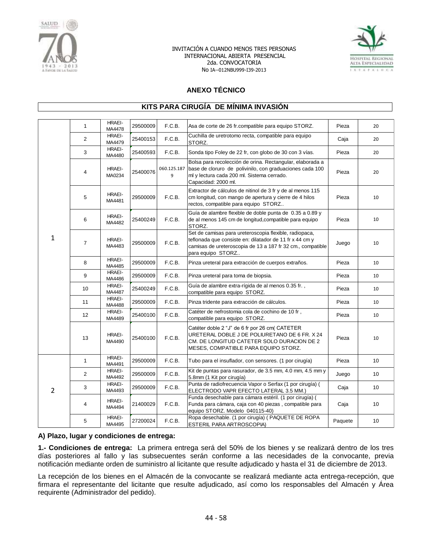



# **ANEXO TÉCNICO**

### **KITS PARA CIRUGÍA DE MÍNIMA INVASIÓN**

|                | $\mathbf{1}$    | HRAEI-<br>MA4478        | 29500009 | F.C.B.           | Asa de corte de 26 fr.compatible para equipo STORZ.                                                                                                                                                  | Pieza   | 20              |
|----------------|-----------------|-------------------------|----------|------------------|------------------------------------------------------------------------------------------------------------------------------------------------------------------------------------------------------|---------|-----------------|
|                | $\overline{2}$  | <b>HRAEI-</b><br>MA4479 | 25400153 | F.C.B.           | Cuchilla de uretrotomo recta, compatible para equipo<br>STORZ.                                                                                                                                       | Caja    | 20              |
|                | 3               | HRAEI-<br>MA4480        | 25400593 | F.C.B.           | Sonda tipo Foley de 22 fr, con globo de 30 con 3 vías.                                                                                                                                               | Pieza   | 20              |
|                | $\overline{4}$  | HRAEI-<br>MA0234        | 25400076 | 060.125.187<br>9 | Bolsa para recolección de orina. Rectangular, elaborada a<br>base de cloruro de polivinilo, con graduaciones cada 100<br>ml y lectura cada 200 ml. Sistema cerrado.<br>Capacidad: 2000 ml.           | Pieza   | 20              |
|                | 5               | <b>HRAEI-</b><br>MA4481 | 29500009 | F.C.B.           | Extractor de cálculos de nitinol de 3 fr y de al menos 115<br>cm longitud, con mango de apertura y cierre de 4 hilos<br>rectos, compatible para equipo STORZ                                         | Pieza   | 10              |
|                | 6               | HRAEI-<br>MA4482        | 25400249 | F.C.B.           | Guía de alambre flexible de doble punta de 0.35 a 0.89 y<br>de al menos 145 cm de longitud, compatible para equipo<br>STORZ.                                                                         | Pieza   | 10              |
| $\mathbf{1}$   | $\overline{7}$  | HRAEI-<br>MA4483        | 29500009 | F.C.B.           | Set de camisas para ureteroscopia flexible, radiopaca,<br>teflonada que consiste en: dilatador de 11 fr x 44 cm y<br>camisas de ureteroscopia de 13 a 187 fr 32 cm., compatible<br>para equipo STORZ | Juego   | 10              |
|                | 8               | HRAEI-<br>MA4485        | 29500009 | F.C.B.           | Pinza ureteral para extracción de cuerpos extraños.                                                                                                                                                  | Pieza   | 10              |
|                | 9               | <b>HRAEI-</b><br>MA4486 | 29500009 | F.C.B.           | Pinza ureteral para toma de biopsia.                                                                                                                                                                 | Pieza   | 10              |
|                | 10 <sup>1</sup> | HRAEI-<br>MA4487        | 25400249 | F.C.B.           | Guía de alambre extra-rígida de al menos 0.35 fr.,<br>compatible para equipo STORZ.                                                                                                                  | Pieza   | 10              |
|                | 11              | <b>HRAEI-</b><br>MA4488 | 29500009 | F.C.B.           | Pinza tridente para extracción de cálculos.                                                                                                                                                          | Pieza   | 10              |
|                | 12              | <b>HRAEI-</b><br>MA4489 | 25400100 | F.C.B.           | Catéter de nefrostomia cola de cochino de 10 fr.<br>compatible para equipo STORZ.                                                                                                                    | Pieza   | 10              |
|                | 13              | HRAEI-<br>MA4490        | 25400100 | F.C.B.           | Catéter doble 2 "J" de 6 fr por 26 cm( CATETER<br>URETERAL DOBLE J DE POLIURETANO DE 6 FR. X 24<br>CM. DE LONGITUD CATETER SOLO DURACION DE 2<br>MESES, COMPATIBLE PARA EQUIPO STORZ.                | Pieza   | 10              |
|                | $\mathbf{1}$    | HRAEI-<br>MA4491        | 29500009 | F.C.B.           | Tubo para el insuflador, con sensores. (1 por cirugía)                                                                                                                                               | Pieza   | 10              |
|                | $\overline{2}$  | <b>HRAEI-</b><br>MA4492 | 29500009 | F.C.B.           | Kit de puntas para rasurador, de 3.5 mm, 4.0 mm, 4.5 mm y<br>5.8mm (1 Kit por cirugía)                                                                                                               | Juego   | 10              |
| $\overline{2}$ | 3               | HRAEI-<br>MA4493        | 29500009 | F.C.B.           | Punta de radiofrecuencia Vapor o Serfax (1 por cirugía) (<br>ELECTRODO VAPR EFECTO LATERAL 3.5 MM.)                                                                                                  | Caja    | 10 <sup>°</sup> |
|                | 4               | HRAEI-<br>MA4494        | 21400029 | F.C.B.           | Funda desechable para cámara estéril. (1 por cirugía) (<br>Funda para cámara, caja con 40 piezas, compatible para<br>equipo STORZ. Modelo 040115-40)                                                 | Caja    | 10              |
|                | 5               | <b>HRAEI-</b><br>MA4495 | 27200024 | F.C.B.           | Ropa desechable. (1 por cirugía) (PAQUETE DE ROPA<br>ESTERIL PARA ARTROSCOPIA)                                                                                                                       | Paquete | 10              |

### **A) Plazo, lugar y condiciones de entrega:**

**1.- Condiciones de entrega:** La primera entrega será del 50% de los bienes y se realizará dentro de los tres días posteriores al fallo y las subsecuentes serán conforme a las necesidades de la convocante, previa notificación mediante orden de suministro al licitante que resulte adjudicado y hasta el 31 de diciembre de 2013.

La recepción de los bienes en el Almacén de la convocante se realizará mediante acta entrega-recepción, que firmara el representante del licitante que resulte adjudicado, así como los responsables del Almacén y Área requirente (Administrador del pedido).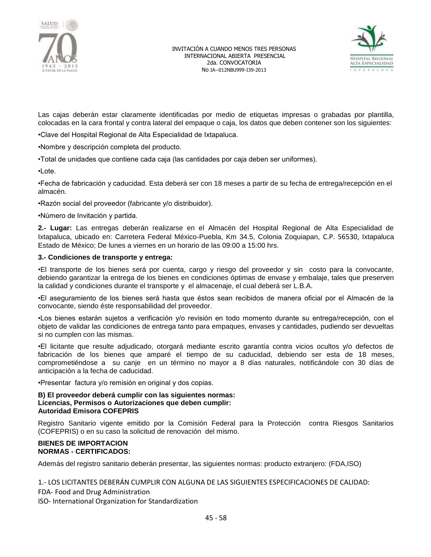



Las cajas deberán estar claramente identificadas por medio de etiquetas impresas o grabadas por plantilla, colocadas en la cara frontal y contra lateral del empaque o caja, los datos que deben contener son los siguientes:

•Clave del Hospital Regional de Alta Especialidad de Ixtapaluca.

•Nombre y descripción completa del producto.

•Total de unidades que contiene cada caja (las cantidades por caja deben ser uniformes).

•Lote.

•Fecha de fabricación y caducidad. Esta deberá ser con 18 meses a partir de su fecha de entrega/recepción en el almacén.

•Razón social del proveedor (fabricante y/o distribuidor).

•Número de Invitación y partida.

**2.- Lugar:** Las entregas deberán realizarse en el Almacén del Hospital Regional de Alta Especialidad de Ixtapaluca, ubicado en: Carretera Federal México-Puebla, Km 34.5, Colonia Zoquiapan, C.P. 56530, Ixtapaluca Estado de México; De lunes a viernes en un horario de las 09:00 a 15:00 hrs.

### **3.- Condiciones de transporte y entrega:**

•El transporte de los bienes será por cuenta, cargo y riesgo del proveedor y sin costo para la convocante, debiendo garantizar la entrega de los bienes en condiciones óptimas de envase y embalaje, tales que preserven la calidad y condiciones durante el transporte y el almacenaje, el cual deberá ser L.B.A.

•El aseguramiento de los bienes será hasta que éstos sean recibidos de manera oficial por el Almacén de la convocante, siendo éste responsabilidad del proveedor.

•Los bienes estarán sujetos a verificación y/o revisión en todo momento durante su entrega/recepción, con el objeto de validar las condiciones de entrega tanto para empaques, envases y cantidades, pudiendo ser devueltas si no cumplen con las mismas.

•El licitante que resulte adjudicado, otorgará mediante escrito garantía contra vicios ocultos y/o defectos de fabricación de los bienes que amparé el tiempo de su caducidad, debiendo ser esta de 18 meses, comprometiéndose a su canje en un término no mayor a 8 días naturales, notificándole con 30 días de anticipación a la fecha de caducidad.

•Presentar factura y/o remisión en original y dos copias.

### **B) El proveedor deberá cumplir con las siguientes normas: Licencias, Permisos o Autorizaciones que deben cumplir: Autoridad Emisora COFEPRIS**

Registro Sanitario vigente emitido por la Comisión Federal para la Protección contra Riesgos Sanitarios (COFEPRIS) o en su caso la solicitud de renovación del mismo.

#### **BIENES DE IMPORTACION NORMAS - CERTIFICADOS:**

Además del registro sanitario deberán presentar, las siguientes normas: producto extranjero: (FDA,ISO)

1.- LOS LICITANTES DEBERÁN CUMPLIR CON ALGUNA DE LAS SIGUIENTES ESPECIFICACIONES DE CALIDAD:

FDA- Food and Drug Administration

ISO- International Organization for Standardization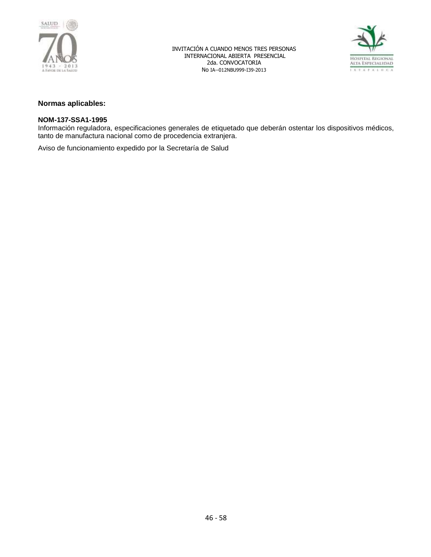



### **Normas aplicables:**

### **NOM-137-SSA1-1995**

Información reguladora, especificaciones generales de etiquetado que deberán ostentar los dispositivos médicos, tanto de manufactura nacional como de procedencia extranjera.

Aviso de funcionamiento expedido por la Secretaría de Salud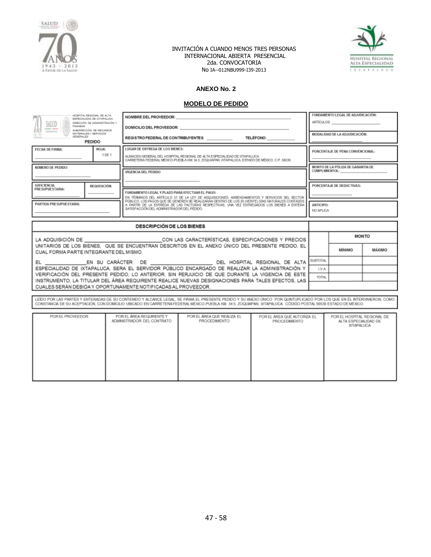



# **ANEXO No. 2**

#### **MODELO DE PEDIDO**

| HOSPITAL REGIONAL DE ALTA<br>ESPECIALIDAD DE INTARALIJOA<br>SALUD<br>DIRECCIÓN DE ADMINISTRACIÓN Y<br>FINANZAS<br>SUBDIRECCIÓN DE RECURSOS<br><b>RODGERIGE</b><br>MATERIALES Y SERVICIOS<br>$[31 - 31]$<br>GENERAL ES<br><b>CARD CARDS</b><br><b>PEDIDO</b>                                                                          |                                                                                                                                                                                                                                | NOMBRE DEL PROVEEDOR:<br>DOMICILIO DEL PROVEEDOR: NORTA<br>REGISTRO FEDERAL DE CONTRIBUYENTES:<br><b>TELÉFONO:</b>                                                                                                                            |                                                                                                                                                                                                                                      |  | FUNDAMENTO LEGAL DE ADJUDICACIÓN:<br>ARTÍCULOS <b>ARTÍCULOS</b><br>MODALIDAD DE LA ADJUDICACIÓN: |                           |              |
|--------------------------------------------------------------------------------------------------------------------------------------------------------------------------------------------------------------------------------------------------------------------------------------------------------------------------------------|--------------------------------------------------------------------------------------------------------------------------------------------------------------------------------------------------------------------------------|-----------------------------------------------------------------------------------------------------------------------------------------------------------------------------------------------------------------------------------------------|--------------------------------------------------------------------------------------------------------------------------------------------------------------------------------------------------------------------------------------|--|--------------------------------------------------------------------------------------------------|---------------------------|--------------|
| FECHA DE FIRMA:                                                                                                                                                                                                                                                                                                                      | LUGAR DE ENTREGA DE LOS BIENES:<br>HOJA:<br>1 DE 1<br>ALMACEN GENERAL DEL HOSPITAL REGIONAL DE ALTA ESPECIALIDAD DE IXTAPALUCA<br>CARRETERA FEDERAL MÉXICO-PUEBLA KM 34.5. ZOQUIAPAN, IXTAPALUCA, ESTADO DE MÉXICO, C.P. 56530 |                                                                                                                                                                                                                                               |                                                                                                                                                                                                                                      |  | PORCENTAJE DE PENA CONVENCIONAL:                                                                 |                           |              |
| NÚMERO DE PEDIDO:                                                                                                                                                                                                                                                                                                                    |                                                                                                                                                                                                                                | VIGENCIA DEL PEDIDO:                                                                                                                                                                                                                          |                                                                                                                                                                                                                                      |  | MONTO DE LA PÓLIZA DE GARANTIA DE<br><b>CUMPLIMIENTOL:</b>                                       |                           |              |
| <b>SUFICIENCIA</b><br>PRESUPUESTARIA:                                                                                                                                                                                                                                                                                                | REQUISICIÓN:                                                                                                                                                                                                                   | FUNDAMENTO LEGAL Y PLAZO PARA EFECTUAR EL PAGO:                                                                                                                                                                                               | EN TÉRMINOS DEL ARTÍCULO 51 DE LA LEY DE ADQUISICIONES, ARRENDAMIENTOS Y SERVICIOS DEL SECTOR                                                                                                                                        |  |                                                                                                  | PORCENTAJE DE DEDUCTIVAS: |              |
| PARTIDA PRESUPUESTARIA:                                                                                                                                                                                                                                                                                                              |                                                                                                                                                                                                                                | PÚBLICO, LOS PAGOS QUE SE GENEREN SE REALIZARAN DENTRO DE LOS 20 (VEINTE) DÍAS NATURALES CONTADOS<br>A PARTIR DE LA ENTREGA DE LAS FACTURAS RESPECTIVAS. UNA VEZ ENTREGÃOOS LOS BIENES A ENTERA<br>SATISFACCIÓN DEL ADMINISTRADOR DEL PEDIDO. |                                                                                                                                                                                                                                      |  | <b>ANTICIPO:</b><br>NO APLICA                                                                    |                           |              |
|                                                                                                                                                                                                                                                                                                                                      |                                                                                                                                                                                                                                | <b>DESCRIPCIÓN DE LOS BIENES</b>                                                                                                                                                                                                              |                                                                                                                                                                                                                                      |  |                                                                                                  |                           |              |
|                                                                                                                                                                                                                                                                                                                                      |                                                                                                                                                                                                                                |                                                                                                                                                                                                                                               | LA ADQUISICIÓN DE <b>Entre Establición de Santa Contra Contra Contra Contra Contra Contra Contra Contra Contra Contra Contra Contra Contra Contra Contra Contra Contra Contra Contra Contra Contra Contra Contra Contra Contra C</b> |  |                                                                                                  |                           | <b>MONTO</b> |
| CUAL FORMA PARTE INTEGRANTE DEL MISMO.                                                                                                                                                                                                                                                                                               |                                                                                                                                                                                                                                |                                                                                                                                                                                                                                               | UNITARIOS DE LOS BIENES. QUE SE ENCUENTRAN DESCRITOS EN EL ANEXO ÚNICO DEL PRESENTE PEDIDO. EL                                                                                                                                       |  |                                                                                                  | <b>MİNIMO</b>             | MÁXIMO       |
|                                                                                                                                                                                                                                                                                                                                      |                                                                                                                                                                                                                                |                                                                                                                                                                                                                                               | EL _________________EN SU CARÁCTER DE ______________________________DEL HOSPITAL REGIONAL DE ALTA                                                                                                                                    |  | SUBTOTAL                                                                                         |                           |              |
|                                                                                                                                                                                                                                                                                                                                      |                                                                                                                                                                                                                                |                                                                                                                                                                                                                                               | ESPECIALIDAD DE IXTAPALUCA. SERA EL SERVIDOR PÚBLICO ENCARGADO DE REALIZAR LA ADMINISTRACIÓN Y<br>VERIFICACIÓN DEL PRESENTE PEDIDO, LO ANTERIOR, SIN PERJUICIO DE QUE DURANTE LA VIGENCIA DE ESTE                                    |  | LV.A.                                                                                            |                           |              |
| TOTAL<br>INSTRUMENTO, LA TITULAR DEL ÁREA REQUIRENTE REALICE NUEVAS DESIGNACIONES PARA TALES EFECTOS, LAS<br>CUALES SERÁN DEBIDA Y OPORTUNAMENTE NOTIFICADAS AL PROVEEDOR.                                                                                                                                                           |                                                                                                                                                                                                                                |                                                                                                                                                                                                                                               |                                                                                                                                                                                                                                      |  |                                                                                                  |                           |              |
| LEIDO POR LAS PARTES Y ENTERADAS DE SU CONTENIDO Y ALCANCE LEGAL. SE FIRMA EL PRESENTE PEDIDO Y SU ANEXO ÚNICO POR QUINTUPLICADO POR LOS QUE EN ÉL INTERVINERON, COMO<br>CONSTANCIA DE SU ACEPTACIÓN, CON DOMICILIO UBICADO EN CARRETERA FEDERAL MÉXICO-PUEBLA KM, 34.5, ZOQUAPAN, IXTAPALUCA, CÓDIGO POSTAL 56530 ESTADO DE MÉXICO. |                                                                                                                                                                                                                                |                                                                                                                                                                                                                                               |                                                                                                                                                                                                                                      |  |                                                                                                  |                           |              |
| POR EL ÁREA REQUIRENTE Y<br>POR EL ÁREA QUE REALIZA EL<br>POR EL PROVEEDOR<br>POR EL ÁREA QUE AUTORIZA EL<br>POR EL HOSPITAL REGIONAL DE<br>ADMINISTRADOR DEL CONTRATO<br>PROCEDIMENTO<br>PROCEDMENTO<br>ALTA ESPECIALIDAD DE<br>DCTAPALUCA                                                                                          |                                                                                                                                                                                                                                |                                                                                                                                                                                                                                               |                                                                                                                                                                                                                                      |  |                                                                                                  |                           |              |

| POR EL PROVEEDOR | POR EL AREA REQUIRENTE Y<br>ADMINISTRADOR DEL CONTRATO | POR EL AREA QUE REALIZA EL<br>PROCEDIMENTO | POR EL AREA QUE AUTORIZA EL<br>PROCEDMENTO | POR EL HOSPITAL REGIONAL DE<br>ALTA ESPECIALIDAD DE<br><b>DITAPALUCA</b> |
|------------------|--------------------------------------------------------|--------------------------------------------|--------------------------------------------|--------------------------------------------------------------------------|
|                  |                                                        |                                            |                                            |                                                                          |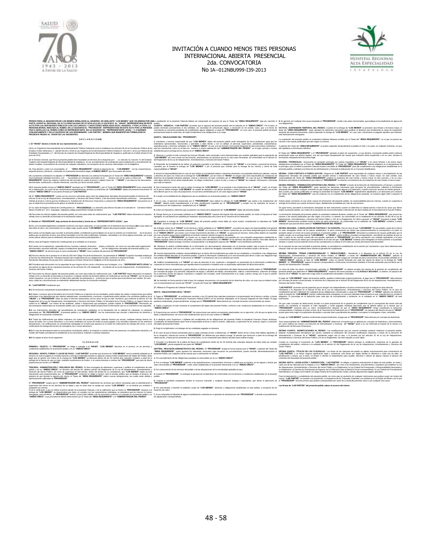



#### **FEDDO FAN LADOUSON'N ELOS BURS SEN ADOVERS EN ADELATE TOS BENEF QUE SELECTION FOR DUAL CONSIDERATION** DE PROTO CUADA debai ser inspectable in principi de que a Thán del -**AREA REQUEENTE**" que per recindi el a En dispectab ACTO POR LOS SERVIDORES PUBLICOS CON LOS CARGOS Y CARACTERES SENALADOS EN EL ANVERSO, Y POR LA OTRA, LA<br>PERSONA MORAL INDICADA AL RUBRO, EN LO SUCESIVO EL "PROVEEDOR", REPRESENTADA EN ESTE ACTO POR LA PERSONA<br>FÍSICA SEÑALA Lo establish on a procedure internation periods on a This of "AREA REQUENTE" on por recins of a Engeral procedure accuse international and the CEEOR", sink a last an exposure internation of the control of the control of th peddo.<br>CUARTA - WGENCIA - "LAS PARTES" acuerdan que la vigencia del presente pedido será la indicada en el "ANEXO ÚNICO". Por lo tanto, el<br>peddo: terminará precisamente el dia señalado, sin necesidad de comunicado alguno o

**CONJUNTAMENTE Y EN LO SUCESIVO SE LES DENOMINARÁ "LAS PARTES", MISMAS QUE MANIFIESTAN FORMALIZAR EL PRESENTE PEDIDO AL TENOR DE LAS SIGUIENTES: D E C L A R A C I O N E S I.- El "HRAEI" declara a través de sus representantes, que:** L1 Es un Organismo Descentralizado de la Administración Pública Federal tal como lo establecen los anticulos 90 de la Constitución Política de los<br>Estados Unidos Mexicanos, 1º, párrafo tercero y 45 de la Loy Orgánica de la Estados Unid<br>Entidades Pa 1.2 El Director General que firma el presente pedido tiene facultades en términos de lo dispuesto por l os anticulos 16, fracción IV del Estatuto<br>Orgánico del Hospital Regional de Alta Especialidad de totapaluca, en los pr 1.3 Para atender y cubrir sus necesidades, el "AREA REQUIRENTE" solicita la adquisición de "LOS BIENES" con las características,<br>especificaciones y términos, contenidos en el presente instrumento legal y efANEXO ÚNICO" que (4 la presenta containada se adjudo al "PROVERDOR en atención al soliciula formán por el Tale del "AREA REQUIRENTE" mediana.<br>ARCOURENTE" directa las mejoras condiciones de metrodo en cartedo política formán de 1. "Mark El" de su elaboración, así como de las características especificaciones, términos ycondiciones de "LOS BIENES" objeto del presente instrumento. El<br>referido "ANEXO ÚNICO" se encuentra firmado por "LAS PARTES". uts El "A**REA REQUIRENTE"** cuenta con los recursos suficientes para cubrir las deligaciones delvisos en el merios<br>anticulo 25 de la Ley de Adquisidones, Arrendamientos y Servicios del Sector Público, y del documento denom 1.7 Su clave de Registro Federal de Contribuyentes es: HRA120609DQ4 y su domicilio para efectos fiscales es el ubicado en Carretera Federal<br>México-Puebla Km. 34.5, Zoquiapan, Ixtapaluca,código postal 56530, Estado de Méxic **I.8** Para todos los efectos legales del presente pedido, así como para todas las notificaciones que **"LAS PARTES"** deban efectuarse al respecto, señala como su domicilio el precisado en la declaración anterior. **II.- Declara el "PROVEEDOR", bajo protesta de decirverdad, a través de su "REPRESENTANTE LEGAL", que:** II.1 Es una sociedad legalmente constituida conforme a las leyes mexicanas, lo cual acredita con el testimonio de la escritura púlica cuyos datos se<br>describen al rubro y de conformidad con su objeto soial, puede vender "LO II.2 Cuenta con facultades para suscribir el presente pedido, acreditando la personalidad con la que se ostenta con el testimonio — de la escritura<br>pública que se describe al rubor, que dichas facultades no le ham sido mod **II.3** Su clave de Registro Federal de Contribuyentes es el señalado en el anverso. II.4 Cuenta con la experiencia, capacidad técnica, humana, material y financiera — propia y suficiente, así como con una adecuada organización<br>administrativa, personal calificado, equipo e instataciones apropiadas para cum II.5 Para los efectos de lo previsto en el artículo 32D del Código Fiscal de la Federación, ha presentado al "HRAEI" la opinión favorable emitida por<br>el Servicio de Administración Tributaria respecto del cumplimiento de su Resolución Miscelánea Fiscal para 2012, publicada en el Diario Oficial de la Federación el 28 de diciembre de 2011. IL6 Formaliza este documento con la seguridad de que ninguno de los socios o directivos que la integran, ni su<br>encuentran en alguno de los supuestos previstos en los articulos 50 y 60 antepenúti — mo párrafo de la Ley de A IL7 Para todos los efectos legales del presente pedido, así como para todas las notificaciones que "LAS PARTES" deban efectuarse al respecto,<br>señala como su domicilio el precisado en el anverso. Cualquier cambio de domisió aviso, todas las comunicaciones se entenderán válidamente hechas en el domicilio señalado. **III.- "LAS PARTES"** manifiestan que: III. 16 seconos mutamente la pensatidad on que sederato, de sus particulas pode testos las visites e logociones que estima<br>III. 3 Seconos con mutamente de la Eurola Pública en el genócio de sus facultados, pode testos la c III.3 Los instrumentos derivados del procedimiento de contratación señalados en la Declaración L4, la solcitol de colización, la colización<br>presentada por "EL PROVEEDOR", el presente pedido y su "ANEXO ÚNICO", son los inst IIILA Todas las notificaiones que deban realizaxe con molto del presente pedioi, deberán haceras por escrito a<br>acuse de recibo, fax o correo electrónico o vía correo certificado con acuse de recibo y lo porte pagado a los<br> pentre pendiente de cum<br>i en tanto éste, dé cabal c **QUINTA.- OBLIGACIONES DEL "PROVEEDOR";** t. Gamnizar y hacese responsable de que "LO**S BENES"** objets del presente pedios seria entregados de forma pretesional, (gual que los presentations, el presentations, el presentations, el presentations, el presentations, e 2. Observar y cumplir en todo momento las Normas Oficiales, tanto nacionales como internacionales que resulten aplicables para la adquisición de<br>"LOS BIENES" así como contar con las licencias, autorizaciones y/o permisos q del Reglamento de la Ley de Adquisiciones, Arrendamientos y Servicios del Sector Público. 3. Responder de la totalidad de los daños yío perjuicios causados a los bienes o trabajadores del "HRAEI" o a los bienes y personal de terceros,<br>causados por él durante la entrega de "LOS BIENES" o por el personal que cont 4. Ausmit la responsibilisid stal en caso de que infrigiu la nomalividat relativa haben proposa inspeciendo in<br>y derechos de autor con motivo de la entrega de "LOS BIENES", por tal motivo el "HRADE" en ningún caso será res agun uere<br>urja al res 5. Que el personal a través del cual se realice la entrega de "LOS BIENES" no se presente a las instalaciones de el "HRAEI", o bien, en el lugar<br>en el que se deban entregar "LOS BIENES" en estado de ebriedad o con aliento **6.** Cumplir con la totalidad de las obligaciones que se establecen en el presente pedido y su **"ANEXO ÚNICO"**. 7. En su caso, el pesonal comisionado por el "PROVEEDOR" para realizar la entrega de "LOS BIENES" que asista a las instalaciones del<br>"HRAE", deberá portar invariablemente a la vista, identificación expedida por el "PROVEED **8.** Cubrir los impuestos y derechos que se generen con motivo de la adquisición de **"LOS BIENES"** objeto del presente pedido. 9. Otorgar fianza por el porcentaje señalado en el "ANEXO UNICO" respecto del importe total del presente pedido, sin incluir el Impuesto al Valor<br>Agregado, la cual deberá ser expedida por institución autorizada para ello a **10.** Garantizar la entrega de **"LOS BIENES"** objeto del presente pedido contra fallas y/o vicios ocultos, considerando la naturaleza de **"LOS BIENES"**, durante la vigencia del presente pedido. **11.** Entregar a favor de el **"HRAEI"** en los términos y fecha señalada en el **"ANEXO ÚNICO"**, una póliza de seguro de responsabilidad civil general que garantice los daños que puedan causarse a el **"HRAEI"** y/o a terceros en sus bienes o personas por una suma asegurada igual a la señalada en el **"ANEXO ÚNICO"**, por evento o por el total resarcimiento del daño a el **"HRAEI"**, su personal y/o terceros. Dicha póliza deberá ser expedida na compañía aseguradora estable<br>xo de que el "**PROVEEDOR**", vi En caso de que el "**PROVEEDOR**" ya cuente con un seguro de responsabilidad civil expedido por una compañía aseguradora establecida en<br>territorio nacional, antes de la fima del pedido, se tenda como beneliciano a el "HRAEI" **12.** Mantener la estricta confidencialidad de la información y/o documentación relacionada con el presente pedido, bajo la pena de incurrir en responsabilidad penal, civil o de otra índole, y por lo tanto, no podrá ser divulgada, transmitida, ni utilizada en beneficio propio o de tercero. 13. Asumir expresamente cualquier responsabilidad que se derive del incumplimiento por parte de sus empleados o consultores a las obligaciones<br>de cortidencialidad descritas en el presente pedido. Cuando la información conf 14. Notificar inmediatamente a el "HRAEI" en caso de descubrir el uso, revelación o divulgación no autorizados de la información confidencial y<br>cooperará en forma razonable para que aquélla retorne la posesión e impedirá u **15.** Realizar todas las erogaciones y gastos directos e indirectos que para el cumplimiento del objeto del presente pedido realice el **"PROVEEDOR"** por concepto de pagos a su personal, adquisición de equipo y utensilos de trabajo, amortizaciones, viáticos, mantenimientos, uniformes de trabajo<br>de su personal, orimas de seguros, impuestos y cualquier otro concepto, será 16. No transferir en forma parcial ni total a favor de cualquier otra persona, con excepción de los derechos de cobro, en cuyo caso se deberá contar<br>con el consentimiento por escrito del "HRAEI"" a través del Titular del " **17.** Afiliarse al "Programa de Cadenas Productivas". **SEXTA.- OBLIGACIONES DE EL "HRAEI";** 1. Pagar al "**PROVEEDOR**", en exhibiciones vencidas, a los 20 (veinte) días naturales posteriores a la presentación de la factura o recibos, a través<br>del Sistema Integral de Administración Financiera Federal (SIAFF) en los quedará condicionado, proporcionalmente, al pago que el **"PROVEEDOR"** deba efectuar por concepto de penas convencionales por atraso. **2.** Vigilar y supervisar en todo momento el cumplimiento del objeto del presente Pedido, conforme a las condiciones establecidas en el mismo y su **"ANEXO ÚNICO"**. 3. Proporcionar por escrito al "**PROVEEDOR**" las instrucciones que estime convenientes relacionadas con su ejecución, a fin de que se ajuste a los<br>datos y especificaciones, así como a las modificaciones que en su caso orde 4. A designar como Supervisor o Vigilante del cumplimiento de las obligaciones del presente Pedido al Arquitecto Francisco Reyes Alcántara,<br>Coordinador de Mantenimiento quien será el responsable de llevar a cabo la revisió La suspensión del presente pedido se sustentará mediante dictamen emitido por el Titular del **"AREA REQUIRENTE"**, en el que se precise las<br>razones o las causas justificadas que dan origen a la misma. A petición del Titular del **"ÁREA REQUIRENTE"** se podrá suspender temporalmente el pedido en todo o en parte, en cualquier momento, sin que ello signifique su terminación definitiva. El Titular del "**AREA REQUIRENTE**" y el "**PROVEEDOR**" padarán el plazo de suspersión, a cuyo término, el presente pedido podrá continuar<br>produciendo todos sus efectos legales, una vez que hayan desaparecido las causas que NOVENA - PRÓRROGAS - Un'«amento se otoganín prómasa por causas impúables a el "HRAEI" y en casos fonútos o de fueza mayo<br>debidamente acreditados por el Tiular del "AREA REQUIRENTE". El Tiular del "AREA REQUIRENTE" debatá e DÉCAMA. CASO FORTUITO O FUERZA MAYOR. Ninguna de "LAS PARTES" será responsávia de cualquier retraco o incumplimento de las<br>coligaciones derivadas del presente pedido que resulten directa o indirectamente de caso fortulto o De igual forma, procederá la terminación anticipada de este instrumento cuando se determine la nulidad parcial o total de los actos que dieron<br>origen al presente pedido, con motivo de la resolución de una inconformidad o i **DÉCIMA SEGUNDA.- CANCELACIÓN DE PARTIDAS Y SU SANCIÓN.- Para**<br>no sean entregados dentro de los plazos establecidos, la pena convencion En el supuesto de que sea rescindido el presente pedido, no procederá la contabilización de la sanción por cancelación a que hace referencia esta cláusula, toda vez que se deberá hacer efectiva la garantía de cumplimiento. **"LAS PARTES"** a<br>Atendiendo a lo d

**III.5** En caso de discrepancia entre la convocatoria a la licitación pública, la invitación a cuando menos tres personas o la solicitud de cotización y el<br>modelo del Pedido, prevalecerá lo establecido en la convocatoria,

**III.6** Se sujetan al tenor de las siguientes:

**C L Á U S U L A S**

PRIMERA.» OBJETO.» El "PROVEEDOR" se obliga a entregar a el "HRAEI", "LOS BIENES" descritos en el anverso, en los términos y<br>condiciones establecidos en el presente pedido y en su "ANEXO ÚNICO".

SEGUNDA. MONTO, FORMA Y LUGAR DE PAGO - "LAS PARTES" acustan que di procio de "LOS BIENES" será la candad seráxias en el<br>anverso, la cual se pagarà en mondia nacional y será liga e analización de la completa de la proposic

TEKCERA. ADMINISTRACIÓN Y VIGILARIA DEL PEDDO C. El seu eccapió de sónvictar, superior y vertex el curplemento<br>Sencio del Sacto Público, el cumo de superior en todo Cerpo, derin del ambio de su competensa, que "LOS BENES"<br>

El "PROVEEDOR" acepta que el "ADMINISTRADOR DEL PEDIDO" implemente las acciones que estime necesarias para la administración y<br>supervisión del mismo en los términos de su objeto y que en tanto éste no acepte por escrito "L aceptados komienos.<br>Si de la verificación a que se refere el primer párrafo de la presente Cláusula, o de la nota de la media de l<br>enrega de - LOS BIBNES -, a Pedió MEDOR He -eda (oronzelan kolles calhoratous del cláusula

**5.** Exigir el cumplimiento o el reintegro de las cantidades pagadas en demasía.

6. En caso de que la factura presentada para su pago contenga errores o deficiencias, el "HRAEI" dentro de los 3 (tres) días hábiles siguientes al<br>de su recepción, indicará por escrito al "PROVEEDOR" las deficiencias que d citado escrito, y hasta que se presenten las correcciones, no se computarán para efectos del plazo para realizar el pago.

**7.** Proceder a la liberación de la póliza de fianza de cumplimiento dentro de los 30 (treinta) días naturales después de haber dado por recibido **"LOS BIENES",** previa aceptación por parte del **"HRAEI"**. SEPTIMA-RESCISION ADMINISTRATIVA DEL PEDIDO- El "PROVEEDOR" acepta en forma expresa que el "HRAEI", a petición del Titular del<br>"ÁREA REQUIRENTE", quien aportará los elementos necesarios para encauzar los procedimientos, pu

**1.** Por incumplimiento de las obligaciones pactadas en este pedido y/o en su **"ANEXO ÚNICO"**;

2. Por no entregar "LOS BIENES" conforme a las especificaciones, características, términos y calidad que se requiere, en los lugares y fechas que<br>sean comunicadas al "PROVEEDOR", o bien, estén establecidas en el presente i

**5.** Cuando la autoridad competente declare el concurso mercantil, o cualquier situación análoga o equivalente, que afecte el patrimonio de **"PROVEEDOR"**;

**6.** Por subcontratar o transferir la totalidad o parte de **"LOS BIENES"**, derechos u obligaciones establecidos en este pedido, a excepción de los<br>derechos de cobro;

**7.** Si se comprueba la falsedad de alguna manifestación contenida en el apartado de declaraciones del **"PROVEEDOR"** o durante el procedimiento de adjudicación correspondiente;

DECIMA PRIMERA.» TERMINACION ANTICIPADA DEL PEDIDO.» El "HRAEI" a través de la Dirección de Administración y Finanzas y a petición<br>del Titular del "ÁREA REQUIRENTE", quien aportará los elementos necesarios para encauzar lo antipisola del pedido en cualquier memento sin que implaus penalización alla Federación, cuando concurran razones de interés general, o<br>bien cuando, por causas justificadas se extinga la necesidad de requerir "LOS BIENES"

Ambas partes convienen en que serán causas de terminación del presente pedido, sin responsabilidad para las mismas, cuando se suspenda la<br>entrega de los bienes por causas de fuerza mayor, debidamente acreditadas por más de

La teminación articipada del presento pedido se sustentar inediando empreso por el Tralar del "ARBA RECURENTE", que preste las<br>razonso sias causas justifactas que dan orgen a la misma. La anterior, de conformácio con lo se

no san entegado dento ab los plaza estabelado, la pera convertoral por almo que proportamiente la comeporta a la<br>Impúla cumplican la estapa del se pode la positiva de PROVEEDONT por alta campatalana, candalodo la partida d

DÉCADA TERCERA: "RENAS COMPARACIONALES" Y "OEDUCCONES". Anademio a la dispension el serior da la pay de la gr<br>"PROVECOO", por quasa impulsion si mim, V-100 el Data calgaria paggi po coronato de pena convención de parteng<br>"

La suma de todas las penas convencionales aplicadas al "PROVEEDOR" no deberá exceder del importe de la garantía de cumplimiento del<br>presente pedido que determine el "AREA REQUIRENTE", respecto del monto pactado en la CLÁUS

El pago de "**LOS BIENES**" objeto del presente pedido, quedará condicionado proporcionalmente, al pago que el "**PROVEEDOR**" deba efectuar<br>por concepto de penas convencionales, en términos de lo dispuesto por el artículo 95

Atendendo a lo dispuesto en el ariciot 53 Bris de Lloy de Adquisicions, Arendamientos y Sevelicio del Secreto R<br>complimiento parcial odefonens de cualquiera de las obligacions contractuales a cargo del "PROVEEDOR", el "RRA

Sin que cada concepto de deducciones exceda a la parte proporcional de la garantía de cumplimiento que le corresponda del monto total del<br>pedido, sin considerar el Impuesto al Valor Agregado, y serán pagadas mediante que p correspondente o mediante su entero a favor de la Tesorería de la Federación por el **"PROVEEDOR"**, sin perjuicio del derecho de que el "**HRAE!"**<br>pueda optar entre exigir el cumplimiento del pedido o cancelar total o parcia

El pago de **"LOS BIENES"** quedará condicionado proporcionalmente, al pago que el **"PROVEEDOR"** deba efectuar por concepto de deductivas. Será responsabilidad del "ADMINISTRADOR DEL PEDIDO" determinar el importe que se aplicará por concepto de deductivas y documentarlas,<br>así como notíficar por escrito a la Dirección de Administración y Finanzas del "HRAEI" q Será responsabilidad del "ADMINISTR<br>así como notíficar por escrito a la Dire<br>Subdirección de Recursos Financieros.

**DECIMA CUARTA.: MODIFICACIONES AL PEDIDO**.: Las modificaciones que por razones fundadas pudieran realizarse al presente pedido,<br>deberán invariablemente formalizarse por escrito, mediante la celebración del convenio cho co Arrendamientos y Servicios de Servicios de Sector Público deberán invariablemento. Incredizanse por escrito, mec<br>Administración y Finanzas de el "HRAEI", atendiend<br>Arrendamientos y Servicios del Sector Público y 91 de su

Cuando se convenga el incremento de "L**OS BIENES",** el "**PROVEEDOR"** deberá entregar la modificación respectiva de la garantía de<br>cumplimiento del pedido, conforme a lo señalado en el anticulo 91 del Reglamento de la Ley d

**DÉCIMA QUINTA- Titul.05 DE LAS CLÁUSULAS. L**os titulos de las dúsutas del pedios se ulitzan exukariamente para conveniencia de<br>H**.AS PARTES"** y no tienen ninguna significación legal o contractual, sólo tienen por cigien f

DECAN SEXTA-LEGISLACION Y JUNISDICCION-"LAS PARTES" se objeta a sujetare existamente à dejeta de rediscion en solar, superior de la production de la production de la production de la production de la production de la produ

Para la interpretación y cumplimiento del presente pedido, así como para la resolución de cualquier controversia que pudiera surgir con motivo del<br>mismo, "LAS PARTES" se someten a la jurisdicción y competencia de los Tribu **Las firmas de "LAS PARTES" del presente pedido calzan al anverso del mismo.**

**3.** Por contravención de los términos del pedido o de las disposiciones de la normatividad aplicable al caso; **4.** Cuando el "**PROVEEDOR**", no entregue la g pedido;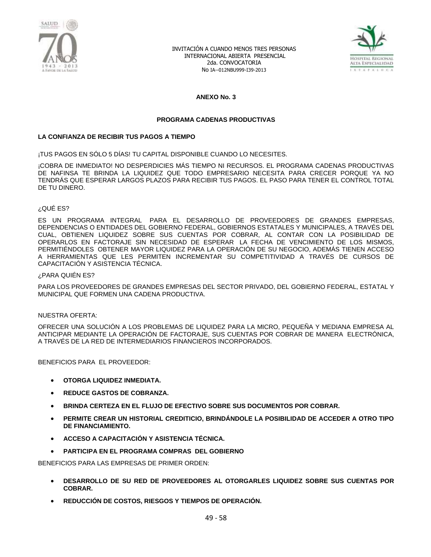



#### **ANEXO No. 3**

#### **PROGRAMA CADENAS PRODUCTIVAS**

#### **LA CONFIANZA DE RECIBIR TUS PAGOS A TIEMPO**

¡TUS PAGOS EN SÓLO 5 DÍAS! TU CAPITAL DISPONIBLE CUANDO LO NECESITES.

¡COBRA DE INMEDIATO! NO DESPERDICIES MÁS TIEMPO NI RECURSOS. EL PROGRAMA CADENAS PRODUCTIVAS DE NAFINSA TE BRINDA LA LIQUIDEZ QUE TODO EMPRESARIO NECESITA PARA CRECER PORQUE YA NO TENDRÁS QUE ESPERAR LARGOS PLAZOS PARA RECIBIR TUS PAGOS. EL PASO PARA TENER EL CONTROL TOTAL DE TU DINERO.

#### ¿QUÉ ES?

ES UN PROGRAMA INTEGRAL PARA EL DESARROLLO DE PROVEEDORES DE GRANDES EMPRESAS, DEPENDENCIAS O ENTIDADES DEL GOBIERNO FEDERAL, GOBIERNOS ESTATALES Y MUNICIPALES, A TRAVÉS DEL CUAL, OBTIENEN LIQUIDEZ SOBRE SUS CUENTAS POR COBRAR, AL CONTAR CON LA POSIBILIDAD DE OPERARLOS EN FACTORAJE SIN NECESIDAD DE ESPERAR LA FECHA DE VENCIMIENTO DE LOS MISMOS, PERMITIÉNDOLES OBTENER MAYOR LIQUIDEZ PARA LA OPERACIÓN DE SU NEGOCIO, ADEMÁS TIENEN ACCESO A HERRAMIENTAS QUE LES PERMITEN INCREMENTAR SU COMPETITIVIDAD A TRAVÉS DE CURSOS DE CAPACITACIÓN Y ASISTENCIA TÉCNICA.

#### ¿PARA QUIÉN ES?

PARA LOS PROVEEDORES DE GRANDES EMPRESAS DEL SECTOR PRIVADO, DEL GOBIERNO FEDERAL, ESTATAL Y MUNICIPAL QUE FORMEN UNA CADENA PRODUCTIVA.

#### NUESTRA OFERTA:

OFRECER UNA SOLUCIÓN A LOS PROBLEMAS DE LIQUIDEZ PARA LA MICRO, PEQUEÑA Y MEDIANA EMPRESA AL ANTICIPAR MEDIANTE LA OPERACIÓN DE FACTORAJE, SUS CUENTAS POR COBRAR DE MANERA ELECTRÓNICA, A TRAVÉS DE LA RED DE INTERMEDIARIOS FINANCIEROS INCORPORADOS.

BENEFICIOS PARA EL PROVEEDOR:

- **OTORGA LIQUIDEZ INMEDIATA.**
- **REDUCE GASTOS DE COBRANZA.**
- **BRINDA CERTEZA EN EL FLUJO DE EFECTIVO SOBRE SUS DOCUMENTOS POR COBRAR.**
- **PERMITE CREAR UN HISTORIAL CREDITICIO, BRINDÁNDOLE LA POSIBILIDAD DE ACCEDER A OTRO TIPO DE FINANCIAMIENTO.**
- **ACCESO A CAPACITACIÓN Y ASISTENCIA TÉCNICA.**
- **PARTICIPA EN EL PROGRAMA COMPRAS DEL GOBIERNO**

BENEFICIOS PARA LAS EMPRESAS DE PRIMER ORDEN:

- **DESARROLLO DE SU RED DE PROVEEDORES AL OTORGARLES LIQUIDEZ SOBRE SUS CUENTAS POR COBRAR.**
- **REDUCCIÓN DE COSTOS, RIESGOS Y TIEMPOS DE OPERACIÓN.**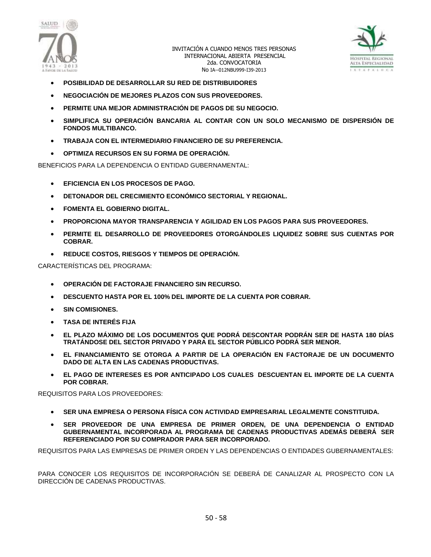



- **POSIBILIDAD DE DESARROLLAR SU RED DE DISTRIBUIDORES**
- **NEGOCIACIÓN DE MEJORES PLAZOS CON SUS PROVEEDORES.**
- **PERMITE UNA MEJOR ADMINISTRACIÓN DE PAGOS DE SU NEGOCIO.**
- **SIMPLIFICA SU OPERACIÓN BANCARIA AL CONTAR CON UN SOLO MECANISMO DE DISPERSIÓN DE FONDOS MULTIBANCO.**
- **TRABAJA CON EL INTERMEDIARIO FINANCIERO DE SU PREFERENCIA.**
- **OPTIMIZA RECURSOS EN SU FORMA DE OPERACIÓN.**

BENEFICIOS PARA LA DEPENDENCIA O ENTIDAD GUBERNAMENTAL:

- **EFICIENCIA EN LOS PROCESOS DE PAGO.**
- **DETONADOR DEL CRECIMIENTO ECONÓMICO SECTORIAL Y REGIONAL.**
- **FOMENTA EL GOBIERNO DIGITAL.**
- **PROPORCIONA MAYOR TRANSPARENCIA Y AGILIDAD EN LOS PAGOS PARA SUS PROVEEDORES.**
- **PERMITE EL DESARROLLO DE PROVEEDORES OTORGÁNDOLES LIQUIDEZ SOBRE SUS CUENTAS POR COBRAR.**
- **REDUCE COSTOS, RIESGOS Y TIEMPOS DE OPERACIÓN.**

CARACTERÍSTICAS DEL PROGRAMA:

- **OPERACIÓN DE FACTORAJE FINANCIERO SIN RECURSO.**
- **DESCUENTO HASTA POR EL 100% DEL IMPORTE DE LA CUENTA POR COBRAR.**
- **SIN COMISIONES.**
- **TASA DE INTERÉS FIJA**
- **EL PLAZO MÁXIMO DE LOS DOCUMENTOS QUE PODRÁ DESCONTAR PODRÁN SER DE HASTA 180 DÍAS TRATÁNDOSE DEL SECTOR PRIVADO Y PARA EL SECTOR PÚBLICO PODRÁ SER MENOR.**
- **EL FINANCIAMIENTO SE OTORGA A PARTIR DE LA OPERACIÓN EN FACTORAJE DE UN DOCUMENTO DADO DE ALTA EN LAS CADENAS PRODUCTIVAS.**
- **EL PAGO DE INTERESES ES POR ANTICIPADO LOS CUALES DESCUENTAN EL IMPORTE DE LA CUENTA POR COBRAR.**

REQUISITOS PARA LOS PROVEEDORES:

- **SER UNA EMPRESA O PERSONA FÍSICA CON ACTIVIDAD EMPRESARIAL LEGALMENTE CONSTITUIDA.**
- **SER PROVEEDOR DE UNA EMPRESA DE PRIMER ORDEN, DE UNA DEPENDENCIA O ENTIDAD GUBERNAMENTAL INCORPORADA AL PROGRAMA DE CADENAS PRODUCTIVAS ADEMÁS DEBERÁ SER REFERENCIADO POR SU COMPRADOR PARA SER INCORPORADO.**

REQUISITOS PARA LAS EMPRESAS DE PRIMER ORDEN Y LAS DEPENDENCIAS O ENTIDADES GUBERNAMENTALES:

PARA CONOCER LOS REQUISITOS DE INCORPORACIÓN SE DEBERÁ DE CANALIZAR AL PROSPECTO CON LA DIRECCIÓN DE CADENAS PRODUCTIVAS.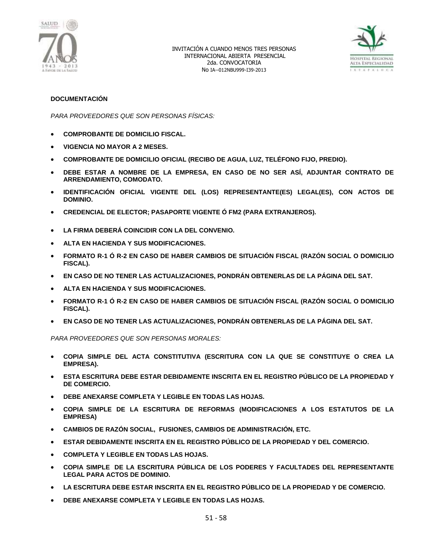



### **DOCUMENTACIÓN**

*PARA PROVEEDORES QUE SON PERSONAS FÍSICAS:*

- **COMPROBANTE DE DOMICILIO FISCAL.**
- **VIGENCIA NO MAYOR A 2 MESES.**
- **COMPROBANTE DE DOMICILIO OFICIAL (RECIBO DE AGUA, LUZ, TELÉFONO FIJO, PREDIO).**
- **DEBE ESTAR A NOMBRE DE LA EMPRESA, EN CASO DE NO SER ASÍ, ADJUNTAR CONTRATO DE ARRENDAMIENTO, COMODATO.**
- **IDENTIFICACIÓN OFICIAL VIGENTE DEL (LOS) REPRESENTANTE(ES) LEGAL(ES), CON ACTOS DE DOMINIO.**
- **CREDENCIAL DE ELECTOR; PASAPORTE VIGENTE Ó FM2 (PARA EXTRANJEROS).**
- **LA FIRMA DEBERÁ COINCIDIR CON LA DEL CONVENIO.**
- **ALTA EN HACIENDA Y SUS MODIFICACIONES.**
- **FORMATO R-1 Ó R-2 EN CASO DE HABER CAMBIOS DE SITUACIÓN FISCAL (RAZÓN SOCIAL O DOMICILIO FISCAL).**
- **EN CASO DE NO TENER LAS ACTUALIZACIONES, PONDRÁN OBTENERLAS DE LA PÁGINA DEL SAT.**
- **ALTA EN HACIENDA Y SUS MODIFICACIONES.**
- **FORMATO R-1 Ó R-2 EN CASO DE HABER CAMBIOS DE SITUACIÓN FISCAL (RAZÓN SOCIAL O DOMICILIO FISCAL).**
- **EN CASO DE NO TENER LAS ACTUALIZACIONES, PONDRÁN OBTENERLAS DE LA PÁGINA DEL SAT.**

*PARA PROVEEDORES QUE SON PERSONAS MORALES:*

- **COPIA SIMPLE DEL ACTA CONSTITUTIVA (ESCRITURA CON LA QUE SE CONSTITUYE O CREA LA EMPRESA).**
- **ESTA ESCRITURA DEBE ESTAR DEBIDAMENTE INSCRITA EN EL REGISTRO PÚBLICO DE LA PROPIEDAD Y DE COMERCIO.**
- **DEBE ANEXARSE COMPLETA Y LEGIBLE EN TODAS LAS HOJAS.**
- **COPIA SIMPLE DE LA ESCRITURA DE REFORMAS (MODIFICACIONES A LOS ESTATUTOS DE LA EMPRESA)**
- **CAMBIOS DE RAZÓN SOCIAL, FUSIONES, CAMBIOS DE ADMINISTRACIÓN, ETC.**
- **ESTAR DEBIDAMENTE INSCRITA EN EL REGISTRO PÚBLICO DE LA PROPIEDAD Y DEL COMERCIO.**
- **COMPLETA Y LEGIBLE EN TODAS LAS HOJAS.**
- **COPIA SIMPLE DE LA ESCRITURA PÚBLICA DE LOS PODERES Y FACULTADES DEL REPRESENTANTE LEGAL PARA ACTOS DE DOMINIO.**
- **LA ESCRITURA DEBE ESTAR INSCRITA EN EL REGISTRO PÚBLICO DE LA PROPIEDAD Y DE COMERCIO.**
- **DEBE ANEXARSE COMPLETA Y LEGIBLE EN TODAS LAS HOJAS.**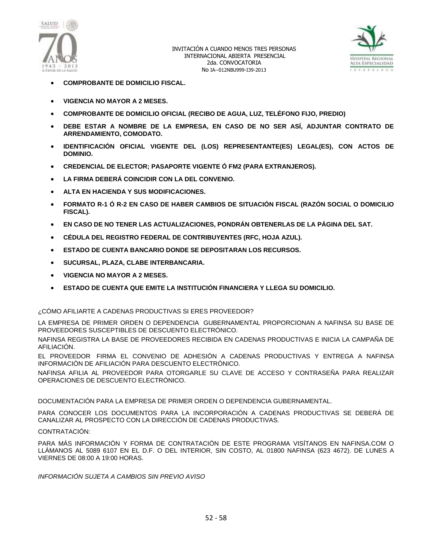



- **COMPROBANTE DE DOMICILIO FISCAL.**
- **VIGENCIA NO MAYOR A 2 MESES.**
- **COMPROBANTE DE DOMICILIO OFICIAL (RECIBO DE AGUA, LUZ, TELÉFONO FIJO, PREDIO)**
- **DEBE ESTAR A NOMBRE DE LA EMPRESA, EN CASO DE NO SER ASÍ, ADJUNTAR CONTRATO DE ARRENDAMIENTO, COMODATO.**
- **IDENTIFICACIÓN OFICIAL VIGENTE DEL (LOS) REPRESENTANTE(ES) LEGAL(ES), CON ACTOS DE DOMINIO.**
- **CREDENCIAL DE ELECTOR; PASAPORTE VIGENTE Ó FM2 (PARA EXTRANJEROS).**
- **LA FIRMA DEBERÁ COINCIDIR CON LA DEL CONVENIO.**
- **ALTA EN HACIENDA Y SUS MODIFICACIONES.**
- **FORMATO R-1 Ó R-2 EN CASO DE HABER CAMBIOS DE SITUACIÓN FISCAL (RAZÓN SOCIAL O DOMICILIO FISCAL).**
- **EN CASO DE NO TENER LAS ACTUALIZACIONES, PONDRÁN OBTENERLAS DE LA PÁGINA DEL SAT.**
- **CÉDULA DEL REGISTRO FEDERAL DE CONTRIBUYENTES (RFC, HOJA AZUL).**
- **ESTADO DE CUENTA BANCARIO DONDE SE DEPOSITARAN LOS RECURSOS.**
- **SUCURSAL, PLAZA, CLABE INTERBANCARIA.**
- **VIGENCIA NO MAYOR A 2 MESES.**
- **ESTADO DE CUENTA QUE EMITE LA INSTITUCIÓN FINANCIERA Y LLEGA SU DOMICILIO.**

### ¿CÓMO AFILIARTE A CADENAS PRODUCTIVAS SI ERES PROVEEDOR?

LA EMPRESA DE PRIMER ORDEN O DEPENDENCIA GUBERNAMENTAL PROPORCIONAN A NAFINSA SU BASE DE PROVEEDORES SUSCEPTIBLES DE DESCUENTO ELECTRÓNICO.

NAFINSA REGISTRA LA BASE DE PROVEEDORES RECIBIDA EN CADENAS PRODUCTIVAS E INICIA LA CAMPAÑA DE AFILIACIÓN.

EL PROVEEDOR FIRMA EL CONVENIO DE ADHESIÓN A CADENAS PRODUCTIVAS Y ENTREGA A NAFINSA INFORMACIÓN DE AFILIACIÓN PARA DESCUENTO ELECTRÓNICO.

NAFINSA AFILIA AL PROVEEDOR PARA OTORGARLE SU CLAVE DE ACCESO Y CONTRASEÑA PARA REALIZAR OPERACIONES DE DESCUENTO ELECTRÓNICO.

DOCUMENTACIÓN PARA LA EMPRESA DE PRIMER ORDEN O DEPENDENCIA GUBERNAMENTAL.

PARA CONOCER LOS DOCUMENTOS PARA LA INCORPORACIÓN A CADENAS PRODUCTIVAS SE DEBERÁ DE CANALIZAR AL PROSPECTO CON LA DIRECCIÓN DE CADENAS PRODUCTIVAS.

### CONTRATACIÓN:

PARA MÁS INFORMACIÓN Y FORMA DE CONTRATACIÓN DE ESTE PROGRAMA VISÍTANOS EN NAFINSA.COM O LLÁMANOS AL 5089 6107 EN EL D.F. O DEL INTERIOR, SIN COSTO, AL 01800 NAFINSA (623 4672). DE LUNES A VIERNES DE 08:00 A 19:00 HORAS.

*INFORMACIÓN SUJETA A CAMBIOS SIN PREVIO AVISO*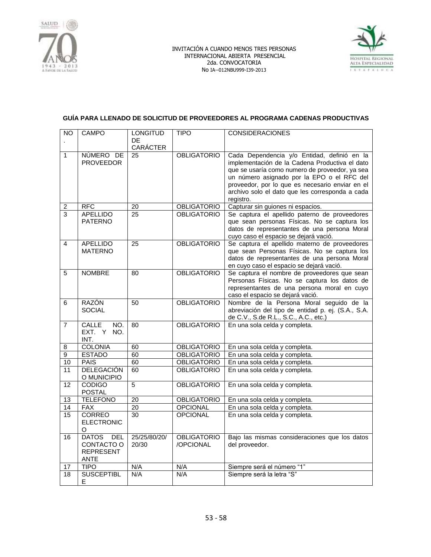



# **GUÍA PARA LLENADO DE SOLICITUD DE PROVEEDORES AL PROGRAMA CADENAS PRODUCTIVAS**

| CARÁCTER<br>NÚMERO DE<br>$\mathbf{1}$<br>25<br><b>OBLIGATORIO</b><br>Cada Dependencia y/o Entidad, definió en la<br>implementación de la Cadena Productiva el dato<br><b>PROVEEDOR</b><br>que se usaría como numero de proveedor, ya sea<br>un número asignado por la EPO o el RFC del<br>proveedor, por lo que es necesario enviar en el<br>archivo solo el dato que les corresponda a cada<br>registro.<br><b>RFC</b><br><b>OBLIGATORIO</b><br>Capturar sin guiones ni espacios.<br>$20\,$<br>$\overline{\mathbf{c}}$<br>3<br>Se captura el apellido paterno de proveedores<br><b>APELLIDO</b><br>25<br><b>OBLIGATORIO</b><br><b>PATERNO</b><br>que sean personas Físicas. No se captura los<br>datos de representantes de una persona Moral<br>cuyo caso el espacio se dejará vació.<br>Se captura el apellido materno de proveedores<br>4<br><b>APELLIDO</b><br>25<br><b>OBLIGATORIO</b><br><b>MATERNO</b><br>que sean Personas Físicas. No se captura los<br>datos de representantes de una persona Moral<br>en cuyo caso el espacio se dejará vació.<br>Se captura el nombre de proveedores que sean<br>5<br><b>NOMBRE</b><br><b>OBLIGATORIO</b><br>80<br>Personas Físicas. No se captura los datos de<br>representantes de una persona moral en cuyo<br>caso el espacio se dejará vació.<br>RAZÓN<br><b>OBLIGATORIO</b><br>Nombre de la Persona Moral seguido de la<br>6<br>50<br><b>SOCIAL</b><br>abreviación del tipo de entidad p. ej. (S.A., S.A.<br>de C.V., S.de R.L., S.C., A.C., etc.)<br>En una sola celda y completa.<br>$\overline{7}$<br><b>CALLE</b><br>NO.<br>80<br><b>OBLIGATORIO</b><br>EXT. Y<br>NO.<br>INT.<br><b>COLONIA</b><br>60<br><b>OBLIGATORIO</b><br>En una sola celda y completa.<br>8<br>$\overline{9}$<br><b>ESTADO</b><br>60<br><b>OBLIGATORIO</b><br>En una sola celda y completa.<br>En una sola celda y completa.<br><b>PAIS</b><br>60<br><b>OBLIGATORIO</b><br>10<br><b>DELEGACIÓN</b><br>60<br><b>OBLIGATORIO</b><br>En una sola celda y completa.<br>11<br>O MUNICIPIO<br><b>CODIGO</b><br>5<br>En una sola celda y completa.<br><b>OBLIGATORIO</b><br>12<br><b>POSTAL</b><br><b>TELEFONO</b><br><b>OBLIGATORIO</b><br>$\overline{20}$<br>En una sola celda y completa.<br>13<br><b>OPCIONAL</b><br>14<br><b>FAX</b><br>20<br>En una sola celda y completa.<br><b>CORREO</b><br>En una sola celda y completa.<br>30<br><b>OPCIONAL</b><br>15<br><b>ELECTRONIC</b><br>O<br><b>DATOS</b><br>25/25/80/20/<br><b>DEL</b><br><b>OBLIGATORIO</b><br>Bajo las mismas consideraciones que los datos<br>16<br>CONTACTO O<br>20/30<br>del proveedor.<br>/OPCIONAL<br><b>REPRESENT</b> | <b>NO</b> | <b>CAMPO</b> | <b>LONGITUD</b> | <b>TIPO</b> | <b>CONSIDERACIONES</b> |
|------------------------------------------------------------------------------------------------------------------------------------------------------------------------------------------------------------------------------------------------------------------------------------------------------------------------------------------------------------------------------------------------------------------------------------------------------------------------------------------------------------------------------------------------------------------------------------------------------------------------------------------------------------------------------------------------------------------------------------------------------------------------------------------------------------------------------------------------------------------------------------------------------------------------------------------------------------------------------------------------------------------------------------------------------------------------------------------------------------------------------------------------------------------------------------------------------------------------------------------------------------------------------------------------------------------------------------------------------------------------------------------------------------------------------------------------------------------------------------------------------------------------------------------------------------------------------------------------------------------------------------------------------------------------------------------------------------------------------------------------------------------------------------------------------------------------------------------------------------------------------------------------------------------------------------------------------------------------------------------------------------------------------------------------------------------------------------------------------------------------------------------------------------------------------------------------------------------------------------------------------------------------------------------------------------------------------------------------------------------------------------------------------------------------------------------------------------------------------------------------------------------------------------------------------------------------------------------------------------------------|-----------|--------------|-----------------|-------------|------------------------|
|                                                                                                                                                                                                                                                                                                                                                                                                                                                                                                                                                                                                                                                                                                                                                                                                                                                                                                                                                                                                                                                                                                                                                                                                                                                                                                                                                                                                                                                                                                                                                                                                                                                                                                                                                                                                                                                                                                                                                                                                                                                                                                                                                                                                                                                                                                                                                                                                                                                                                                                                                                                                                        |           |              | DE              |             |                        |
|                                                                                                                                                                                                                                                                                                                                                                                                                                                                                                                                                                                                                                                                                                                                                                                                                                                                                                                                                                                                                                                                                                                                                                                                                                                                                                                                                                                                                                                                                                                                                                                                                                                                                                                                                                                                                                                                                                                                                                                                                                                                                                                                                                                                                                                                                                                                                                                                                                                                                                                                                                                                                        |           |              |                 |             |                        |
|                                                                                                                                                                                                                                                                                                                                                                                                                                                                                                                                                                                                                                                                                                                                                                                                                                                                                                                                                                                                                                                                                                                                                                                                                                                                                                                                                                                                                                                                                                                                                                                                                                                                                                                                                                                                                                                                                                                                                                                                                                                                                                                                                                                                                                                                                                                                                                                                                                                                                                                                                                                                                        |           |              |                 |             |                        |
|                                                                                                                                                                                                                                                                                                                                                                                                                                                                                                                                                                                                                                                                                                                                                                                                                                                                                                                                                                                                                                                                                                                                                                                                                                                                                                                                                                                                                                                                                                                                                                                                                                                                                                                                                                                                                                                                                                                                                                                                                                                                                                                                                                                                                                                                                                                                                                                                                                                                                                                                                                                                                        |           |              |                 |             |                        |
|                                                                                                                                                                                                                                                                                                                                                                                                                                                                                                                                                                                                                                                                                                                                                                                                                                                                                                                                                                                                                                                                                                                                                                                                                                                                                                                                                                                                                                                                                                                                                                                                                                                                                                                                                                                                                                                                                                                                                                                                                                                                                                                                                                                                                                                                                                                                                                                                                                                                                                                                                                                                                        |           |              |                 |             |                        |
|                                                                                                                                                                                                                                                                                                                                                                                                                                                                                                                                                                                                                                                                                                                                                                                                                                                                                                                                                                                                                                                                                                                                                                                                                                                                                                                                                                                                                                                                                                                                                                                                                                                                                                                                                                                                                                                                                                                                                                                                                                                                                                                                                                                                                                                                                                                                                                                                                                                                                                                                                                                                                        |           |              |                 |             |                        |
|                                                                                                                                                                                                                                                                                                                                                                                                                                                                                                                                                                                                                                                                                                                                                                                                                                                                                                                                                                                                                                                                                                                                                                                                                                                                                                                                                                                                                                                                                                                                                                                                                                                                                                                                                                                                                                                                                                                                                                                                                                                                                                                                                                                                                                                                                                                                                                                                                                                                                                                                                                                                                        |           |              |                 |             |                        |
|                                                                                                                                                                                                                                                                                                                                                                                                                                                                                                                                                                                                                                                                                                                                                                                                                                                                                                                                                                                                                                                                                                                                                                                                                                                                                                                                                                                                                                                                                                                                                                                                                                                                                                                                                                                                                                                                                                                                                                                                                                                                                                                                                                                                                                                                                                                                                                                                                                                                                                                                                                                                                        |           |              |                 |             |                        |
|                                                                                                                                                                                                                                                                                                                                                                                                                                                                                                                                                                                                                                                                                                                                                                                                                                                                                                                                                                                                                                                                                                                                                                                                                                                                                                                                                                                                                                                                                                                                                                                                                                                                                                                                                                                                                                                                                                                                                                                                                                                                                                                                                                                                                                                                                                                                                                                                                                                                                                                                                                                                                        |           |              |                 |             |                        |
|                                                                                                                                                                                                                                                                                                                                                                                                                                                                                                                                                                                                                                                                                                                                                                                                                                                                                                                                                                                                                                                                                                                                                                                                                                                                                                                                                                                                                                                                                                                                                                                                                                                                                                                                                                                                                                                                                                                                                                                                                                                                                                                                                                                                                                                                                                                                                                                                                                                                                                                                                                                                                        |           |              |                 |             |                        |
|                                                                                                                                                                                                                                                                                                                                                                                                                                                                                                                                                                                                                                                                                                                                                                                                                                                                                                                                                                                                                                                                                                                                                                                                                                                                                                                                                                                                                                                                                                                                                                                                                                                                                                                                                                                                                                                                                                                                                                                                                                                                                                                                                                                                                                                                                                                                                                                                                                                                                                                                                                                                                        |           |              |                 |             |                        |
|                                                                                                                                                                                                                                                                                                                                                                                                                                                                                                                                                                                                                                                                                                                                                                                                                                                                                                                                                                                                                                                                                                                                                                                                                                                                                                                                                                                                                                                                                                                                                                                                                                                                                                                                                                                                                                                                                                                                                                                                                                                                                                                                                                                                                                                                                                                                                                                                                                                                                                                                                                                                                        |           |              |                 |             |                        |
|                                                                                                                                                                                                                                                                                                                                                                                                                                                                                                                                                                                                                                                                                                                                                                                                                                                                                                                                                                                                                                                                                                                                                                                                                                                                                                                                                                                                                                                                                                                                                                                                                                                                                                                                                                                                                                                                                                                                                                                                                                                                                                                                                                                                                                                                                                                                                                                                                                                                                                                                                                                                                        |           |              |                 |             |                        |
|                                                                                                                                                                                                                                                                                                                                                                                                                                                                                                                                                                                                                                                                                                                                                                                                                                                                                                                                                                                                                                                                                                                                                                                                                                                                                                                                                                                                                                                                                                                                                                                                                                                                                                                                                                                                                                                                                                                                                                                                                                                                                                                                                                                                                                                                                                                                                                                                                                                                                                                                                                                                                        |           |              |                 |             |                        |
|                                                                                                                                                                                                                                                                                                                                                                                                                                                                                                                                                                                                                                                                                                                                                                                                                                                                                                                                                                                                                                                                                                                                                                                                                                                                                                                                                                                                                                                                                                                                                                                                                                                                                                                                                                                                                                                                                                                                                                                                                                                                                                                                                                                                                                                                                                                                                                                                                                                                                                                                                                                                                        |           |              |                 |             |                        |
|                                                                                                                                                                                                                                                                                                                                                                                                                                                                                                                                                                                                                                                                                                                                                                                                                                                                                                                                                                                                                                                                                                                                                                                                                                                                                                                                                                                                                                                                                                                                                                                                                                                                                                                                                                                                                                                                                                                                                                                                                                                                                                                                                                                                                                                                                                                                                                                                                                                                                                                                                                                                                        |           |              |                 |             |                        |
|                                                                                                                                                                                                                                                                                                                                                                                                                                                                                                                                                                                                                                                                                                                                                                                                                                                                                                                                                                                                                                                                                                                                                                                                                                                                                                                                                                                                                                                                                                                                                                                                                                                                                                                                                                                                                                                                                                                                                                                                                                                                                                                                                                                                                                                                                                                                                                                                                                                                                                                                                                                                                        |           |              |                 |             |                        |
|                                                                                                                                                                                                                                                                                                                                                                                                                                                                                                                                                                                                                                                                                                                                                                                                                                                                                                                                                                                                                                                                                                                                                                                                                                                                                                                                                                                                                                                                                                                                                                                                                                                                                                                                                                                                                                                                                                                                                                                                                                                                                                                                                                                                                                                                                                                                                                                                                                                                                                                                                                                                                        |           |              |                 |             |                        |
|                                                                                                                                                                                                                                                                                                                                                                                                                                                                                                                                                                                                                                                                                                                                                                                                                                                                                                                                                                                                                                                                                                                                                                                                                                                                                                                                                                                                                                                                                                                                                                                                                                                                                                                                                                                                                                                                                                                                                                                                                                                                                                                                                                                                                                                                                                                                                                                                                                                                                                                                                                                                                        |           |              |                 |             |                        |
|                                                                                                                                                                                                                                                                                                                                                                                                                                                                                                                                                                                                                                                                                                                                                                                                                                                                                                                                                                                                                                                                                                                                                                                                                                                                                                                                                                                                                                                                                                                                                                                                                                                                                                                                                                                                                                                                                                                                                                                                                                                                                                                                                                                                                                                                                                                                                                                                                                                                                                                                                                                                                        |           |              |                 |             |                        |
|                                                                                                                                                                                                                                                                                                                                                                                                                                                                                                                                                                                                                                                                                                                                                                                                                                                                                                                                                                                                                                                                                                                                                                                                                                                                                                                                                                                                                                                                                                                                                                                                                                                                                                                                                                                                                                                                                                                                                                                                                                                                                                                                                                                                                                                                                                                                                                                                                                                                                                                                                                                                                        |           |              |                 |             |                        |
|                                                                                                                                                                                                                                                                                                                                                                                                                                                                                                                                                                                                                                                                                                                                                                                                                                                                                                                                                                                                                                                                                                                                                                                                                                                                                                                                                                                                                                                                                                                                                                                                                                                                                                                                                                                                                                                                                                                                                                                                                                                                                                                                                                                                                                                                                                                                                                                                                                                                                                                                                                                                                        |           |              |                 |             |                        |
|                                                                                                                                                                                                                                                                                                                                                                                                                                                                                                                                                                                                                                                                                                                                                                                                                                                                                                                                                                                                                                                                                                                                                                                                                                                                                                                                                                                                                                                                                                                                                                                                                                                                                                                                                                                                                                                                                                                                                                                                                                                                                                                                                                                                                                                                                                                                                                                                                                                                                                                                                                                                                        |           |              |                 |             |                        |
|                                                                                                                                                                                                                                                                                                                                                                                                                                                                                                                                                                                                                                                                                                                                                                                                                                                                                                                                                                                                                                                                                                                                                                                                                                                                                                                                                                                                                                                                                                                                                                                                                                                                                                                                                                                                                                                                                                                                                                                                                                                                                                                                                                                                                                                                                                                                                                                                                                                                                                                                                                                                                        |           |              |                 |             |                        |
|                                                                                                                                                                                                                                                                                                                                                                                                                                                                                                                                                                                                                                                                                                                                                                                                                                                                                                                                                                                                                                                                                                                                                                                                                                                                                                                                                                                                                                                                                                                                                                                                                                                                                                                                                                                                                                                                                                                                                                                                                                                                                                                                                                                                                                                                                                                                                                                                                                                                                                                                                                                                                        |           |              |                 |             |                        |
|                                                                                                                                                                                                                                                                                                                                                                                                                                                                                                                                                                                                                                                                                                                                                                                                                                                                                                                                                                                                                                                                                                                                                                                                                                                                                                                                                                                                                                                                                                                                                                                                                                                                                                                                                                                                                                                                                                                                                                                                                                                                                                                                                                                                                                                                                                                                                                                                                                                                                                                                                                                                                        |           |              |                 |             |                        |
|                                                                                                                                                                                                                                                                                                                                                                                                                                                                                                                                                                                                                                                                                                                                                                                                                                                                                                                                                                                                                                                                                                                                                                                                                                                                                                                                                                                                                                                                                                                                                                                                                                                                                                                                                                                                                                                                                                                                                                                                                                                                                                                                                                                                                                                                                                                                                                                                                                                                                                                                                                                                                        |           |              |                 |             |                        |
|                                                                                                                                                                                                                                                                                                                                                                                                                                                                                                                                                                                                                                                                                                                                                                                                                                                                                                                                                                                                                                                                                                                                                                                                                                                                                                                                                                                                                                                                                                                                                                                                                                                                                                                                                                                                                                                                                                                                                                                                                                                                                                                                                                                                                                                                                                                                                                                                                                                                                                                                                                                                                        |           |              |                 |             |                        |
|                                                                                                                                                                                                                                                                                                                                                                                                                                                                                                                                                                                                                                                                                                                                                                                                                                                                                                                                                                                                                                                                                                                                                                                                                                                                                                                                                                                                                                                                                                                                                                                                                                                                                                                                                                                                                                                                                                                                                                                                                                                                                                                                                                                                                                                                                                                                                                                                                                                                                                                                                                                                                        |           |              |                 |             |                        |
|                                                                                                                                                                                                                                                                                                                                                                                                                                                                                                                                                                                                                                                                                                                                                                                                                                                                                                                                                                                                                                                                                                                                                                                                                                                                                                                                                                                                                                                                                                                                                                                                                                                                                                                                                                                                                                                                                                                                                                                                                                                                                                                                                                                                                                                                                                                                                                                                                                                                                                                                                                                                                        |           |              |                 |             |                        |
|                                                                                                                                                                                                                                                                                                                                                                                                                                                                                                                                                                                                                                                                                                                                                                                                                                                                                                                                                                                                                                                                                                                                                                                                                                                                                                                                                                                                                                                                                                                                                                                                                                                                                                                                                                                                                                                                                                                                                                                                                                                                                                                                                                                                                                                                                                                                                                                                                                                                                                                                                                                                                        |           |              |                 |             |                        |
|                                                                                                                                                                                                                                                                                                                                                                                                                                                                                                                                                                                                                                                                                                                                                                                                                                                                                                                                                                                                                                                                                                                                                                                                                                                                                                                                                                                                                                                                                                                                                                                                                                                                                                                                                                                                                                                                                                                                                                                                                                                                                                                                                                                                                                                                                                                                                                                                                                                                                                                                                                                                                        |           |              |                 |             |                        |
|                                                                                                                                                                                                                                                                                                                                                                                                                                                                                                                                                                                                                                                                                                                                                                                                                                                                                                                                                                                                                                                                                                                                                                                                                                                                                                                                                                                                                                                                                                                                                                                                                                                                                                                                                                                                                                                                                                                                                                                                                                                                                                                                                                                                                                                                                                                                                                                                                                                                                                                                                                                                                        |           |              |                 |             |                        |
|                                                                                                                                                                                                                                                                                                                                                                                                                                                                                                                                                                                                                                                                                                                                                                                                                                                                                                                                                                                                                                                                                                                                                                                                                                                                                                                                                                                                                                                                                                                                                                                                                                                                                                                                                                                                                                                                                                                                                                                                                                                                                                                                                                                                                                                                                                                                                                                                                                                                                                                                                                                                                        |           |              |                 |             |                        |
|                                                                                                                                                                                                                                                                                                                                                                                                                                                                                                                                                                                                                                                                                                                                                                                                                                                                                                                                                                                                                                                                                                                                                                                                                                                                                                                                                                                                                                                                                                                                                                                                                                                                                                                                                                                                                                                                                                                                                                                                                                                                                                                                                                                                                                                                                                                                                                                                                                                                                                                                                                                                                        |           |              |                 |             |                        |
|                                                                                                                                                                                                                                                                                                                                                                                                                                                                                                                                                                                                                                                                                                                                                                                                                                                                                                                                                                                                                                                                                                                                                                                                                                                                                                                                                                                                                                                                                                                                                                                                                                                                                                                                                                                                                                                                                                                                                                                                                                                                                                                                                                                                                                                                                                                                                                                                                                                                                                                                                                                                                        |           |              |                 |             |                        |
|                                                                                                                                                                                                                                                                                                                                                                                                                                                                                                                                                                                                                                                                                                                                                                                                                                                                                                                                                                                                                                                                                                                                                                                                                                                                                                                                                                                                                                                                                                                                                                                                                                                                                                                                                                                                                                                                                                                                                                                                                                                                                                                                                                                                                                                                                                                                                                                                                                                                                                                                                                                                                        |           |              |                 |             |                        |
|                                                                                                                                                                                                                                                                                                                                                                                                                                                                                                                                                                                                                                                                                                                                                                                                                                                                                                                                                                                                                                                                                                                                                                                                                                                                                                                                                                                                                                                                                                                                                                                                                                                                                                                                                                                                                                                                                                                                                                                                                                                                                                                                                                                                                                                                                                                                                                                                                                                                                                                                                                                                                        |           |              |                 |             |                        |
|                                                                                                                                                                                                                                                                                                                                                                                                                                                                                                                                                                                                                                                                                                                                                                                                                                                                                                                                                                                                                                                                                                                                                                                                                                                                                                                                                                                                                                                                                                                                                                                                                                                                                                                                                                                                                                                                                                                                                                                                                                                                                                                                                                                                                                                                                                                                                                                                                                                                                                                                                                                                                        |           |              |                 |             |                        |
|                                                                                                                                                                                                                                                                                                                                                                                                                                                                                                                                                                                                                                                                                                                                                                                                                                                                                                                                                                                                                                                                                                                                                                                                                                                                                                                                                                                                                                                                                                                                                                                                                                                                                                                                                                                                                                                                                                                                                                                                                                                                                                                                                                                                                                                                                                                                                                                                                                                                                                                                                                                                                        |           |              |                 |             |                        |
|                                                                                                                                                                                                                                                                                                                                                                                                                                                                                                                                                                                                                                                                                                                                                                                                                                                                                                                                                                                                                                                                                                                                                                                                                                                                                                                                                                                                                                                                                                                                                                                                                                                                                                                                                                                                                                                                                                                                                                                                                                                                                                                                                                                                                                                                                                                                                                                                                                                                                                                                                                                                                        |           |              |                 |             |                        |
| <b>TIPO</b><br>N/A<br>N/A                                                                                                                                                                                                                                                                                                                                                                                                                                                                                                                                                                                                                                                                                                                                                                                                                                                                                                                                                                                                                                                                                                                                                                                                                                                                                                                                                                                                                                                                                                                                                                                                                                                                                                                                                                                                                                                                                                                                                                                                                                                                                                                                                                                                                                                                                                                                                                                                                                                                                                                                                                                              |           | <b>ANTE</b>  |                 |             |                        |
| Siempre será el número "1"<br>17<br>Siempre será la letra "S"<br><b>SUSCEPTIBL</b><br>N/A<br>N/A<br>18                                                                                                                                                                                                                                                                                                                                                                                                                                                                                                                                                                                                                                                                                                                                                                                                                                                                                                                                                                                                                                                                                                                                                                                                                                                                                                                                                                                                                                                                                                                                                                                                                                                                                                                                                                                                                                                                                                                                                                                                                                                                                                                                                                                                                                                                                                                                                                                                                                                                                                                 |           |              |                 |             |                        |
| Е                                                                                                                                                                                                                                                                                                                                                                                                                                                                                                                                                                                                                                                                                                                                                                                                                                                                                                                                                                                                                                                                                                                                                                                                                                                                                                                                                                                                                                                                                                                                                                                                                                                                                                                                                                                                                                                                                                                                                                                                                                                                                                                                                                                                                                                                                                                                                                                                                                                                                                                                                                                                                      |           |              |                 |             |                        |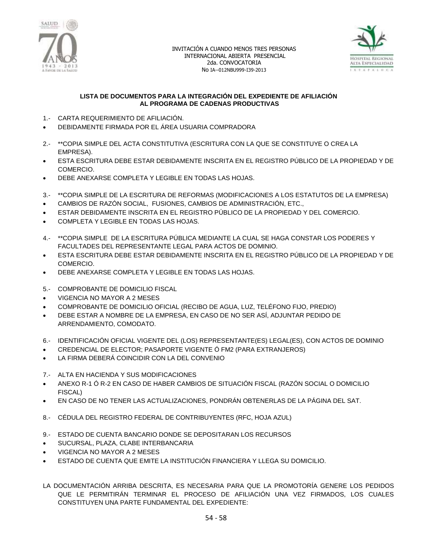



### **LISTA DE DOCUMENTOS PARA LA INTEGRACIÓN DEL EXPEDIENTE DE AFILIACIÓN AL PROGRAMA DE CADENAS PRODUCTIVAS**

- 1.- CARTA REQUERIMIENTO DE AFILIACIÓN.
- DEBIDAMENTE FIRMADA POR EL ÁREA USUARIA COMPRADORA
- 2.- \*\*COPIA SIMPLE DEL ACTA CONSTITUTIVA (ESCRITURA CON LA QUE SE CONSTITUYE O CREA LA EMPRESA).
- ESTA ESCRITURA DEBE ESTAR DEBIDAMENTE INSCRITA EN EL REGISTRO PÚBLICO DE LA PROPIEDAD Y DE COMERCIO.
- DEBE ANEXARSE COMPLETA Y LEGIBLE EN TODAS LAS HOJAS.
- 3.- \*\*COPIA SIMPLE DE LA ESCRITURA DE REFORMAS (MODIFICACIONES A LOS ESTATUTOS DE LA EMPRESA)
- CAMBIOS DE RAZÓN SOCIAL, FUSIONES, CAMBIOS DE ADMINISTRACIÓN, ETC.,
- ESTAR DEBIDAMENTE INSCRITA EN EL REGISTRO PÚBLICO DE LA PROPIEDAD Y DEL COMERCIO.
- COMPLETA Y LEGIBLE EN TODAS LAS HOJAS.
- 4.- \*\*COPIA SIMPLE DE LA ESCRITURA PÚBLICA MEDIANTE LA CUAL SE HAGA CONSTAR LOS PODERES Y FACULTADES DEL REPRESENTANTE LEGAL PARA ACTOS DE DOMINIO.
- ESTA ESCRITURA DEBE ESTAR DEBIDAMENTE INSCRITA EN EL REGISTRO PÚBLICO DE LA PROPIEDAD Y DE COMERCIO.
- DEBE ANEXARSE COMPLETA Y LEGIBLE EN TODAS LAS HOJAS.
- 5.- COMPROBANTE DE DOMICILIO FISCAL
- VIGENCIA NO MAYOR A 2 MESES
- COMPROBANTE DE DOMICILIO OFICIAL (RECIBO DE AGUA, LUZ, TELÉFONO FIJO, PREDIO)
- DEBE ESTAR A NOMBRE DE LA EMPRESA, EN CASO DE NO SER ASÍ, ADJUNTAR PEDIDO DE ARRENDAMIENTO, COMODATO.
- 6.- IDENTIFICACIÓN OFICIAL VIGENTE DEL (LOS) REPRESENTANTE(ES) LEGAL(ES), CON ACTOS DE DOMINIO
- CREDENCIAL DE ELECTOR; PASAPORTE VIGENTE Ó FM2 (PARA EXTRANJEROS)
- LA FIRMA DEBERÁ COINCIDIR CON LA DEL CONVENIO
- 7.- ALTA EN HACIENDA Y SUS MODIFICACIONES
- ANEXO R-1 Ó R-2 EN CASO DE HABER CAMBIOS DE SITUACIÓN FISCAL (RAZÓN SOCIAL O DOMICILIO FISCAL)
- EN CASO DE NO TENER LAS ACTUALIZACIONES, PONDRÁN OBTENERLAS DE LA PÁGINA DEL SAT.
- 8.- CÉDULA DEL REGISTRO FEDERAL DE CONTRIBUYENTES (RFC, HOJA AZUL)
- 9.- ESTADO DE CUENTA BANCARIO DONDE SE DEPOSITARAN LOS RECURSOS
- SUCURSAL, PLAZA, CLABE INTERBANCARIA
- VIGENCIA NO MAYOR A 2 MESES
- ESTADO DE CUENTA QUE EMITE LA INSTITUCIÓN FINANCIERA Y LLEGA SU DOMICILIO.
- LA DOCUMENTACIÓN ARRIBA DESCRITA, ES NECESARIA PARA QUE LA PROMOTORÍA GENERE LOS PEDIDOS QUE LE PERMITIRÁN TERMINAR EL PROCESO DE AFILIACIÓN UNA VEZ FIRMADOS, LOS CUALES CONSTITUYEN UNA PARTE FUNDAMENTAL DEL EXPEDIENTE: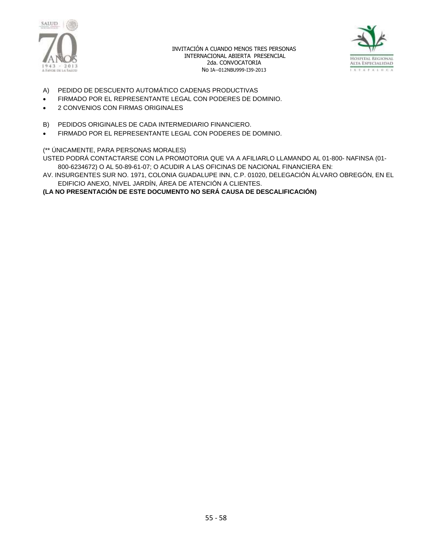



- A) PEDIDO DE DESCUENTO AUTOMÁTICO CADENAS PRODUCTIVAS
- FIRMADO POR EL REPRESENTANTE LEGAL CON PODERES DE DOMINIO.
- 2 CONVENIOS CON FIRMAS ORIGINALES
- B) PEDIDOS ORIGINALES DE CADA INTERMEDIARIO FINANCIERO.
- FIRMADO POR EL REPRESENTANTE LEGAL CON PODERES DE DOMINIO.

### (\*\* ÚNICAMENTE, PARA PERSONAS MORALES)

USTED PODRÁ CONTACTARSE CON LA PROMOTORIA QUE VA A AFILIARLO LLAMANDO AL 01-800- NAFINSA (01- 800-6234672) O AL 50-89-61-07; O ACUDIR A LAS OFICINAS DE NACIONAL FINANCIERA EN:

AV. INSURGENTES SUR NO. 1971, COLONIA GUADALUPE INN, C.P. 01020, DELEGACIÓN ÁLVARO OBREGÓN, EN EL EDIFICIO ANEXO, NIVEL JARDÍN, ÁREA DE ATENCIÓN A CLIENTES.

**(LA NO PRESENTACIÓN DE ESTE DOCUMENTO NO SERÁ CAUSA DE DESCALIFICACIÓN)**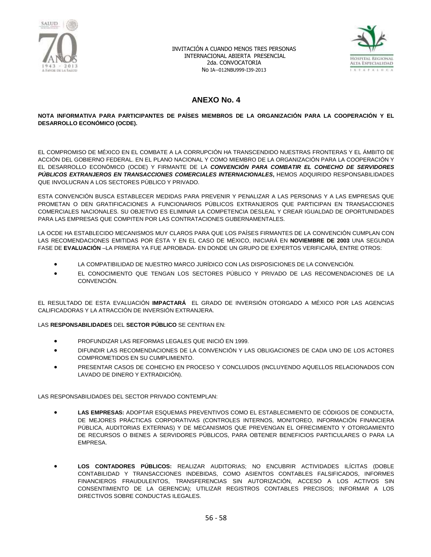



# **ANEXO No. 4**

#### **NOTA INFORMATIVA PARA PARTICIPANTES DE PAÍSES MIEMBROS DE LA ORGANIZACIÓN PARA LA COOPERACIÓN Y EL DESARROLLO ECONÓMICO (OCDE).**

EL COMPROMISO DE MÉXICO EN EL COMBATE A LA CORRUPCIÓN HA TRANSCENDIDO NUESTRAS FRONTERAS Y EL ÁMBITO DE ACCIÓN DEL GOBIERNO FEDERAL. EN EL PLANO NACIONAL Y COMO MIEMBRO DE LA ORGANIZACIÓN PARA LA COOPERACIÓN Y EL DESARROLLO ECONÓMICO (OCDE) Y FIRMANTE DE LA *CONVENCIÓN PARA COMBATIR EL COHECHO DE SERVIDORES PÚBLICOS EXTRANJEROS EN TRANSACCIONES COMERCIALES INTERNACIONALES***,** HEMOS ADQUIRIDO RESPONSABILIDADES QUE INVOLUCRAN A LOS SECTORES PÚBLICO Y PRIVADO.

ESTA CONVENCIÓN BUSCA ESTABLECER MEDIDAS PARA PREVENIR Y PENALIZAR A LAS PERSONAS Y A LAS EMPRESAS QUE PROMETAN O DEN GRATIFICACIONES A FUNCIONARIOS PÚBLICOS EXTRANJEROS QUE PARTICIPAN EN TRANSACCIONES COMERCIALES NACIONALES. SU OBJETIVO ES ELIMINAR LA COMPETENCIA DESLEAL Y CREAR IGUALDAD DE OPORTUNIDADES PARA LAS EMPRESAS QUE COMPITEN POR LAS CONTRATACIONES GUBERNAMENTALES.

LA OCDE HA ESTABLECIDO MECANISMOS MUY CLAROS PARA QUE LOS PAÍSES FIRMANTES DE LA CONVENCIÓN CUMPLAN CON LAS RECOMENDACIONES EMITIDAS POR ÉSTA Y EN EL CASO DE MÉXICO, INICIARÁ EN **NOVIEMBRE DE 2003** UNA SEGUNDA FASE DE **EVALUACIÓN** –LA PRIMERA YA FUE APROBADA- EN DONDE UN GRUPO DE EXPERTOS VERIFICARÁ, ENTRE OTROS:

- LA COMPATIBILIDAD DE NUESTRO MARCO JURÍDICO CON LAS DISPOSICIONES DE LA CONVENCIÓN.
- EL CONOCIMIENTO QUE TENGAN LOS SECTORES PÚBLICO Y PRIVADO DE LAS RECOMENDACIONES DE LA CONVENCIÓN.

EL RESULTADO DE ESTA EVALUACIÓN **IMPACTARÁ** EL GRADO DE INVERSIÓN OTORGADO A MÉXICO POR LAS AGENCIAS CALIFICADORAS Y LA ATRACCIÓN DE INVERSIÓN EXTRANJERA.

#### LAS **RESPONSABILIDADES** DEL **SECTOR PÚBLICO** SE CENTRAN EN:

- PROFUNDIZAR LAS REFORMAS LEGALES QUE INICIÓ EN 1999.
- DIFUNDIR LAS RECOMENDACIONES DE LA CONVENCIÓN Y LAS OBLIGACIONES DE CADA UNO DE LOS ACTORES COMPROMETIDOS EN SU CUMPLIMIENTO.
- PRESENTAR CASOS DE COHECHO EN PROCESO Y CONCLUIDOS (INCLUYENDO AQUELLOS RELACIONADOS CON LAVADO DE DINERO Y EXTRADICIÓN).

LAS RESPONSABILIDADES DEL SECTOR PRIVADO CONTEMPLAN:

- **LAS EMPRESAS:** ADOPTAR ESQUEMAS PREVENTIVOS COMO EL ESTABLECIMIENTO DE CÓDIGOS DE CONDUCTA, DE MEJORES PRÁCTICAS CORPORATIVAS (CONTROLES INTERNOS, MONITOREO, INFORMACIÓN FINANCIERA PÚBLICA, AUDITORIAS EXTERNAS) Y DE MECANISMOS QUE PREVENGAN EL OFRECIMIENTO Y OTORGAMIENTO DE RECURSOS O BIENES A SERVIDORES PÚBLICOS, PARA OBTENER BENEFICIOS PARTICULARES O PARA LA EMPRESA.
- **LOS CONTADORES PÚBLICOS:** REALIZAR AUDITORIAS; NO ENCUBRIR ACTIVIDADES ILÍCITAS (DOBLE CONTABILIDAD Y TRANSACCIONES INDEBIDAS, COMO ASIENTOS CONTABLES FALSIFICADOS, INFORMES FINANCIEROS FRAUDULENTOS, TRANSFERENCIAS SIN AUTORIZACIÓN, ACCESO A LOS ACTIVOS SIN CONSENTIMIENTO DE LA GERENCIA); UTILIZAR REGISTROS CONTABLES PRECISOS; INFORMAR A LOS DIRECTIVOS SOBRE CONDUCTAS ILEGALES.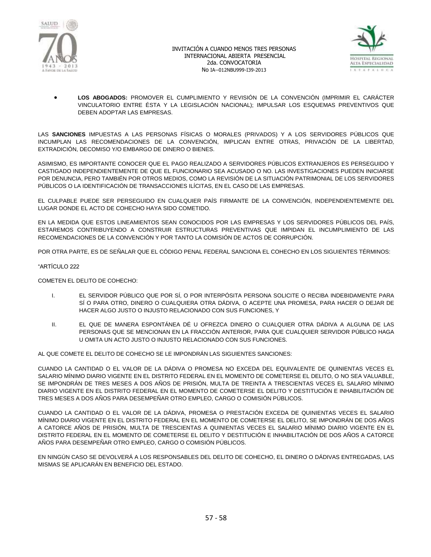



 **LOS ABOGADOS:** PROMOVER EL CUMPLIMIENTO Y REVISIÓN DE LA CONVENCIÓN (IMPRIMIR EL CARÁCTER VINCULATORIO ENTRE ÉSTA Y LA LEGISLACIÓN NACIONAL); IMPULSAR LOS ESQUEMAS PREVENTIVOS QUE DEBEN ADOPTAR LAS EMPRESAS.

LAS **SANCIONES** IMPUESTAS A LAS PERSONAS FÍSICAS O MORALES (PRIVADOS) Y A LOS SERVIDORES PÚBLICOS QUE INCUMPLAN LAS RECOMENDACIONES DE LA CONVENCIÓN, IMPLICAN ENTRE OTRAS, PRIVACIÓN DE LA LIBERTAD, EXTRADICIÓN, DECOMISO Y/O EMBARGO DE DINERO O BIENES.

ASIMISMO, ES IMPORTANTE CONOCER QUE EL PAGO REALIZADO A SERVIDORES PÚBLICOS EXTRANJEROS ES PERSEGUIDO Y CASTIGADO INDEPENDIENTEMENTE DE QUE EL FUNCIONARIO SEA ACUSADO O NO. LAS INVESTIGACIONES PUEDEN INICIARSE POR DENUNCIA, PERO TAMBIÉN POR OTROS MEDIOS, COMO LA REVISIÓN DE LA SITUACIÓN PATRIMONIAL DE LOS SERVIDORES PÚBLICOS O LA IDENTIFICACIÓN DE TRANSACCIONES ILÍCITAS, EN EL CASO DE LAS EMPRESAS.

EL CULPABLE PUEDE SER PERSEGUIDO EN CUALQUIER PAÍS FIRMANTE DE LA CONVENCIÓN, INDEPENDIENTEMENTE DEL LUGAR DONDE EL ACTO DE COHECHO HAYA SIDO COMETIDO.

EN LA MEDIDA QUE ESTOS LINEAMIENTOS SEAN CONOCIDOS POR LAS EMPRESAS Y LOS SERVIDORES PÚBLICOS DEL PAÍS, ESTAREMOS CONTRIBUYENDO A CONSTRUIR ESTRUCTURAS PREVENTIVAS QUE IMPIDAN EL INCUMPLIMIENTO DE LAS RECOMENDACIONES DE LA CONVENCIÓN Y POR TANTO LA COMISIÓN DE ACTOS DE CORRUPCIÓN.

POR OTRA PARTE, ES DE SEÑALAR QUE EL CÓDIGO PENAL FEDERAL SANCIONA EL COHECHO EN LOS SIGUIENTES TÉRMINOS:

#### "ARTÍCULO 222

COMETEN EL DELITO DE COHECHO:

- I. EL SERVIDOR PÚBLICO QUE POR SÍ, O POR INTERPÓSITA PERSONA SOLICITE O RECIBA INDEBIDAMENTE PARA SÍ O PARA OTRO, DINERO O CUALQUIERA OTRA DÁDIVA, O ACEPTE UNA PROMESA, PARA HACER O DEJAR DE HACER ALGO JUSTO O INJUSTO RELACIONADO CON SUS FUNCIONES, Y
- II. EL QUE DE MANERA ESPONTÁNEA DÉ U OFREZCA DINERO O CUALQUIER OTRA DÁDIVA A ALGUNA DE LAS PERSONAS QUE SE MENCIONAN EN LA FRACCIÓN ANTERIOR, PARA QUE CUALQUIER SERVIDOR PÚBLICO HAGA U OMITA UN ACTO JUSTO O INJUSTO RELACIONADO CON SUS FUNCIONES.

AL QUE COMETE EL DELITO DE COHECHO SE LE IMPONDRÁN LAS SIGUIENTES SANCIONES:

CUANDO LA CANTIDAD O EL VALOR DE LA DÁDIVA O PROMESA NO EXCEDA DEL EQUIVALENTE DE QUINIENTAS VECES EL SALARIO MÍNIMO DIARIO VIGENTE EN EL DISTRITO FEDERAL EN EL MOMENTO DE COMETERSE EL DELITO, O NO SEA VALUABLE, SE IMPONDRÁN DE TRES MESES A DOS AÑOS DE PRISIÓN, MULTA DE TREINTA A TRESCIENTAS VECES EL SALARIO MÍNIMO DIARIO VIGENTE EN EL DISTRITO FEDERAL EN EL MOMENTO DE COMETERSE EL DELITO Y DESTITUCIÓN E INHABILITACIÓN DE TRES MESES A DOS AÑOS PARA DESEMPEÑAR OTRO EMPLEO, CARGO O COMISIÓN PÚBLICOS.

CUANDO LA CANTIDAD O EL VALOR DE LA DÁDIVA, PROMESA O PRESTACIÓN EXCEDA DE QUINIENTAS VECES EL SALARIO MÍNIMO DIARIO VIGENTE EN EL DISTRITO FEDERAL EN EL MOMENTO DE COMETERSE EL DELITO, SE IMPONDRÁN DE DOS AÑOS A CATORCE AÑOS DE PRISIÓN, MULTA DE TRESCIENTAS A QUINIENTAS VECES EL SALARIO MÍNIMO DIARIO VIGENTE EN EL DISTRITO FEDERAL EN EL MOMENTO DE COMETERSE EL DELITO Y DESTITUCIÓN E INHABILITACIÓN DE DOS AÑOS A CATORCE AÑOS PARA DESEMPEÑAR OTRO EMPLEO, CARGO O COMISIÓN PÚBLICOS.

EN NINGÚN CASO SE DEVOLVERÁ A LOS RESPONSABLES DEL DELITO DE COHECHO, EL DINERO O DÁDIVAS ENTREGADAS, LAS MISMAS SE APLICARÁN EN BENEFICIO DEL ESTADO.